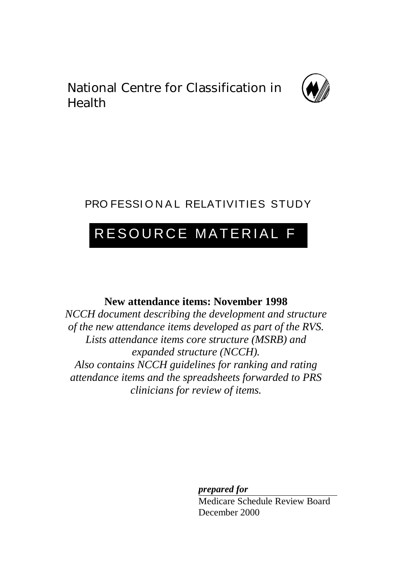National Centre for Classification in Health



## PRO FESSIONAL RELATIVITIES STUDY

# RESOURCE MATERIAL F

## **New attendance items: November 1998**

*NCCH document describing the development and structure of the new attendance items developed as part of the RVS. Lists attendance items core structure (MSRB) and expanded structure (NCCH). Also contains NCCH guidelines for ranking and rating attendance items and the spreadsheets forwarded to PRS clinicians for review of items.*

*prepared for*

Medicare Schedule Review Board December 2000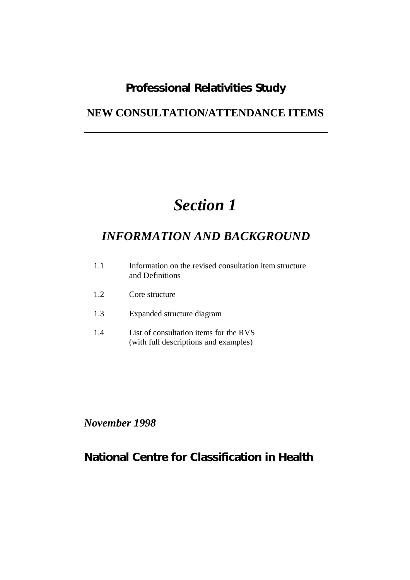## *Professional Relativities Study*

## **NEW CONSULTATION/ATTENDANCE ITEMS**

# *Section 1*

## *INFORMATION AND BACKGROUND*

| 1.1 | Information on the revised consultation item structure |
|-----|--------------------------------------------------------|
|     | and Definitions                                        |

- 1.2 Core structure
- 1.3 Expanded structure diagram
- 1.4 List of consultation items for the RVS (with full descriptions and examples)

*November 1998*

## *National Centre for Classification in Health*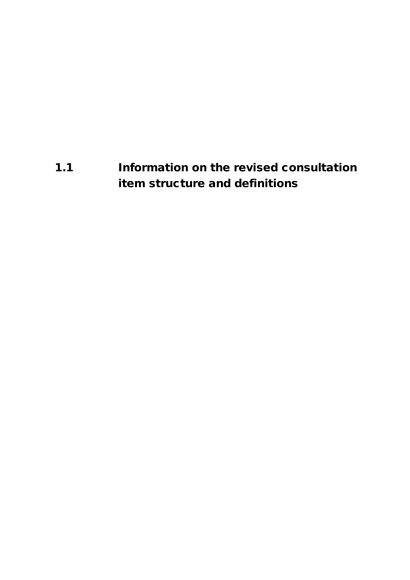# **1.1 Information on the revised consultation item structure and definitions**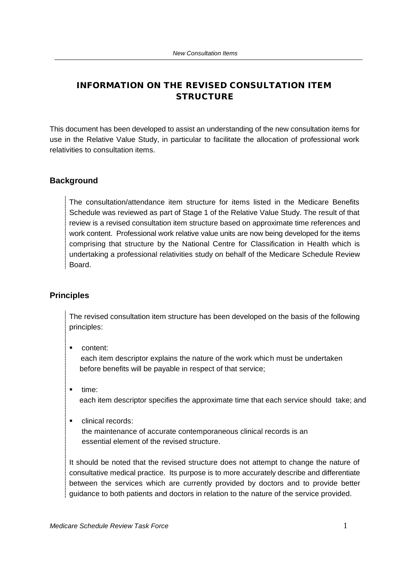## **INFORMATION ON THE REVISED CONSULTATION ITEM STRUCTURE**

This document has been developed to assist an understanding of the new consultation items for use in the Relative Value Study, in particular to facilitate the allocation of professional work relativities to consultation items.

#### **Background**

The consultation/attendance item structure for items listed in the Medicare Benefits Schedule was reviewed as part of Stage 1 of the Relative Value Study. The result of that review is a revised consultation item structure based on approximate time references and work content. Professional work relative value units are now being developed for the items comprising that structure by the National Centre for Classification in Health which is undertaking a professional relativities study on behalf of the Medicare Schedule Review Board.

#### **Principles**

The revised consultation item structure has been developed on the basis of the following principles:

ß content:

 each item descriptor explains the nature of the work which must be undertaken before benefits will be payable in respect of that service;

- time: each item descriptor specifies the approximate time that each service should take; and
- **EXECUTE:** clinical records:

 the maintenance of accurate contemporaneous clinical records is an essential element of the revised structure.

It should be noted that the revised structure does not attempt to change the nature of consultative medical practice. Its purpose is to more accurately describe and differentiate between the services which are currently provided by doctors and to provide better guidance to both patients and doctors in relation to the nature of the service provided.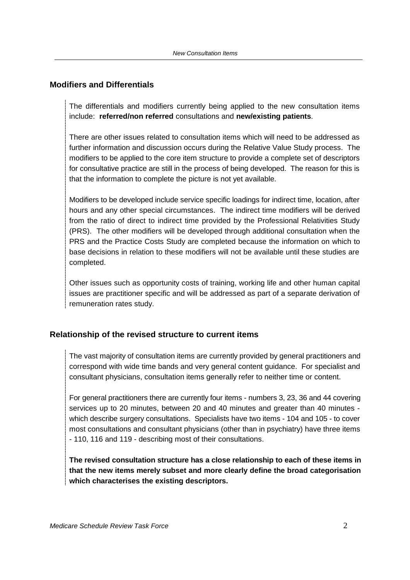#### **Modifiers and Differentials**

The differentials and modifiers currently being applied to the new consultation items include: **referred/non referred** consultations and **new/existing patients**.

There are other issues related to consultation items which will need to be addressed as further information and discussion occurs during the Relative Value Study process. The modifiers to be applied to the core item structure to provide a complete set of descriptors for consultative practice are still in the process of being developed. The reason for this is that the information to complete the picture is not yet available.

Modifiers to be developed include service specific loadings for indirect time, location, after hours and any other special circumstances. The indirect time modifiers will be derived from the ratio of direct to indirect time provided by the Professional Relativities Study (PRS). The other modifiers will be developed through additional consultation when the PRS and the Practice Costs Study are completed because the information on which to base decisions in relation to these modifiers will not be available until these studies are completed.

Other issues such as opportunity costs of training, working life and other human capital issues are practitioner specific and will be addressed as part of a separate derivation of remuneration rates study.

## **Relationship of the revised structure to current items**

The vast majority of consultation items are currently provided by general practitioners and correspond with wide time bands and very general content guidance. For specialist and consultant physicians, consultation items generally refer to neither time or content.

For general practitioners there are currently four items - numbers 3, 23, 36 and 44 covering services up to 20 minutes, between 20 and 40 minutes and greater than 40 minutes which describe surgery consultations. Specialists have two items - 104 and 105 - to cover most consultations and consultant physicians (other than in psychiatry) have three items - 110, 116 and 119 - describing most of their consultations.

**The revised consultation structure has a close relationship to each of these items in that the new items merely subset and more clearly define the broad categorisation which characterises the existing descriptors.**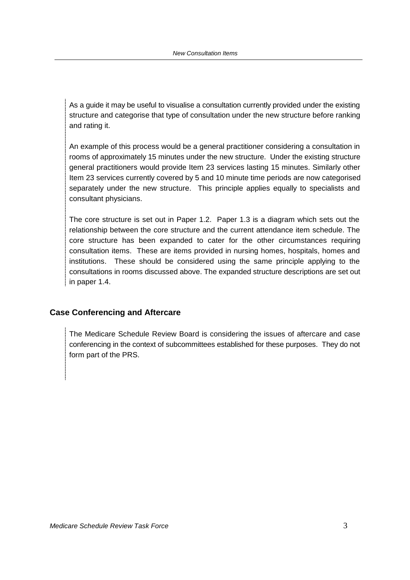As a guide it may be useful to visualise a consultation currently provided under the existing structure and categorise that type of consultation under the new structure before ranking and rating it.

An example of this process would be a general practitioner considering a consultation in rooms of approximately 15 minutes under the new structure. Under the existing structure general practitioners would provide Item 23 services lasting 15 minutes. Similarly other Item 23 services currently covered by 5 and 10 minute time periods are now categorised separately under the new structure. This principle applies equally to specialists and consultant physicians.

The core structure is set out in Paper 1.2. Paper 1.3 is a diagram which sets out the relationship between the core structure and the current attendance item schedule. The core structure has been expanded to cater for the other circumstances requiring consultation items. These are items provided in nursing homes, hospitals, homes and institutions. These should be considered using the same principle applying to the consultations in rooms discussed above. The expanded structure descriptions are set out in paper 1.4.

## **Case Conferencing and Aftercare**

The Medicare Schedule Review Board is considering the issues of aftercare and case conferencing in the context of subcommittees established for these purposes. They do not form part of the PRS.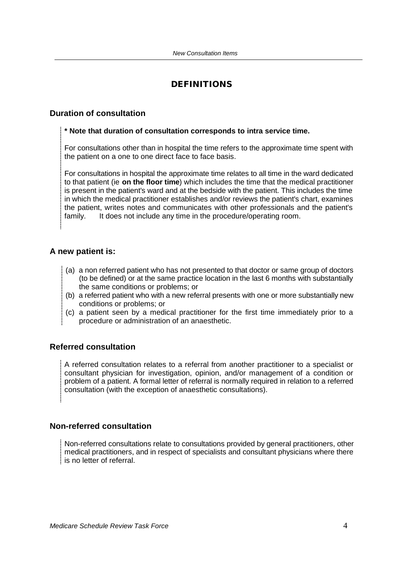## **DEFINITIONS**

#### **Duration of consultation**

#### **\* Note that duration of consultation corresponds to intra service time.**

For consultations other than in hospital the time refers to the approximate time spent with the patient on a one to one direct face to face basis.

For consultations in hospital the approximate time relates to all time in the ward dedicated to that patient (ie **on the floor time**) which includes the time that the medical practitioner is present in the patient's ward and at the bedside with the patient. This includes the time in which the medical practitioner establishes and/or reviews the patient's chart, examines the patient, writes notes and communicates with other professionals and the patient's family. It does not include any time in the procedure/operating room.

#### **A new patient is:**

- (a) a non referred patient who has not presented to that doctor or same group of doctors (to be defined) or at the same practice location in the last 6 months with substantially the same conditions or problems; or
- (b) a referred patient who with a new referral presents with one or more substantially new conditions or problems; or
- (c) a patient seen by a medical practitioner for the first time immediately prior to a procedure or administration of an anaesthetic.

#### **Referred consultation**

A referred consultation relates to a referral from another practitioner to a specialist or consultant physician for investigation, opinion, and/or management of a condition or problem of a patient. A formal letter of referral is normally required in relation to a referred consultation (with the exception of anaesthetic consultations).

#### **Non-referred consultation**

Non-referred consultations relate to consultations provided by general practitioners, other medical practitioners, and in respect of specialists and consultant physicians where there is no letter of referral.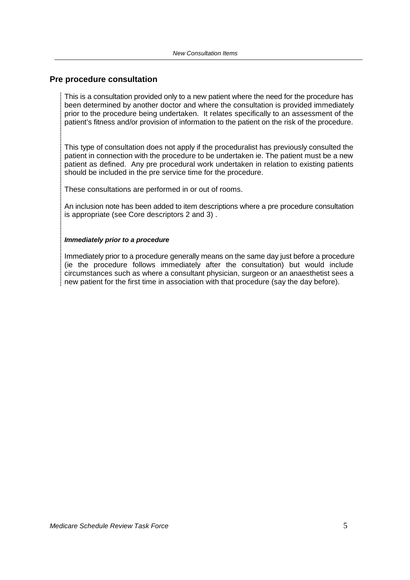#### **Pre procedure consultation**

This is a consultation provided only to a new patient where the need for the procedure has been determined by another doctor and where the consultation is provided immediately prior to the procedure being undertaken. It relates specifically to an assessment of the patient's fitness and/or provision of information to the patient on the risk of the procedure.

This type of consultation does not apply if the proceduralist has previously consulted the patient in connection with the procedure to be undertaken ie. The patient must be a new patient as defined. Any pre procedural work undertaken in relation to existing patients should be included in the pre service time for the procedure.

These consultations are performed in or out of rooms.

An inclusion note has been added to item descriptions where a pre procedure consultation is appropriate (see Core descriptors 2 and 3) .

#### *Immediately prior to a procedure*

Immediately prior to a procedure generally means on the same day just before a procedure (ie the procedure follows immediately after the consultation) but would include circumstances such as where a consultant physician, surgeon or an anaesthetist sees a new patient for the first time in association with that procedure (say the day before).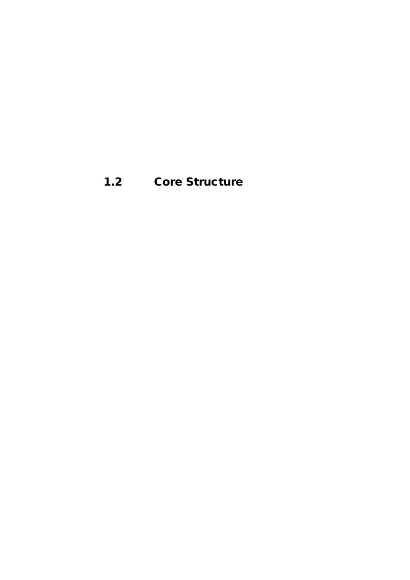**1.2 Core Structure**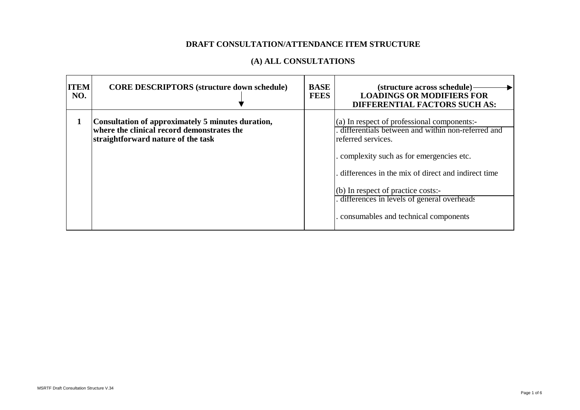| <b>ITEM</b><br>NO. | <b>CORE DESCRIPTORS (structure down schedule)</b>                                                                                     | <b>BASE</b><br><b>FEES</b> | (structure across schedule).<br><b>LOADINGS OR MODIFIERS FOR</b><br><b>DIFFERENTIAL FACTORS SUCH AS:</b>                                                                                                                                                                                                                                              |
|--------------------|---------------------------------------------------------------------------------------------------------------------------------------|----------------------------|-------------------------------------------------------------------------------------------------------------------------------------------------------------------------------------------------------------------------------------------------------------------------------------------------------------------------------------------------------|
| -1                 | Consultation of approximately 5 minutes duration,<br>where the clinical record demonstrates the<br>straightforward nature of the task |                            | (a) In respect of professional components:-<br>differentials between and within non-referred and<br>referred services.<br>. complexity such as for emergencies etc.<br>differences in the mix of direct and indirect time<br>(b) In respect of practice costs:-<br>differences in levels of general overheads<br>consumables and technical components |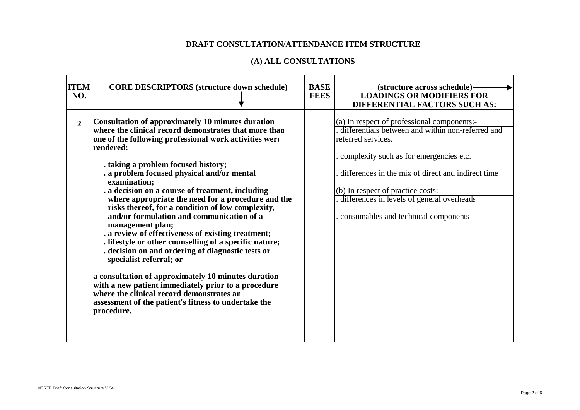| <b>ITEM</b><br>NO. | <b>CORE DESCRIPTORS (structure down schedule)</b>                                                                                                                                                                                                                                                                                                                                                                                                                                                                                                                                                                                                                                                                                                                                                                                                                                                                                                       | <b>BASE</b><br><b>FEES</b> | (structure across schedule)-<br><b>LOADINGS OR MODIFIERS FOR</b><br><b>DIFFERENTIAL FACTORS SUCH AS:</b>                                                                                                                                                                                                                                               |
|--------------------|---------------------------------------------------------------------------------------------------------------------------------------------------------------------------------------------------------------------------------------------------------------------------------------------------------------------------------------------------------------------------------------------------------------------------------------------------------------------------------------------------------------------------------------------------------------------------------------------------------------------------------------------------------------------------------------------------------------------------------------------------------------------------------------------------------------------------------------------------------------------------------------------------------------------------------------------------------|----------------------------|--------------------------------------------------------------------------------------------------------------------------------------------------------------------------------------------------------------------------------------------------------------------------------------------------------------------------------------------------------|
| $\overline{2}$     | Consultation of approximately 10 minutes duration<br>where the clinical record demonstrates that more than<br>one of the following professional work activities were<br>rendered:<br>. taking a problem focused history;<br>. a problem focused physical and/or mental<br>examination;<br>. a decision on a course of treatment, including<br>where appropriate the need for a procedure and the<br>risks thereof, for a condition of low complexity,<br>and/or formulation and communication of a<br>management plan;<br>. a review of effectiveness of existing treatment;<br>. lifestyle or other counselling of a specific nature;<br>. decision on and ordering of diagnostic tests or<br>specialist referral; or<br>a consultation of approximately 10 minutes duration<br>with a new patient immediately prior to a procedure<br>where the clinical record demonstrates an<br>assessment of the patient's fitness to undertake the<br>procedure. |                            | (a) In respect of professional components:-<br>differentials between and within non-referred and<br>referred services.<br>. complexity such as for emergencies etc.<br>differences in the mix of direct and indirect time<br>(b) In respect of practice costs:-<br>differences in levels of general overheads<br>consumables and technical components. |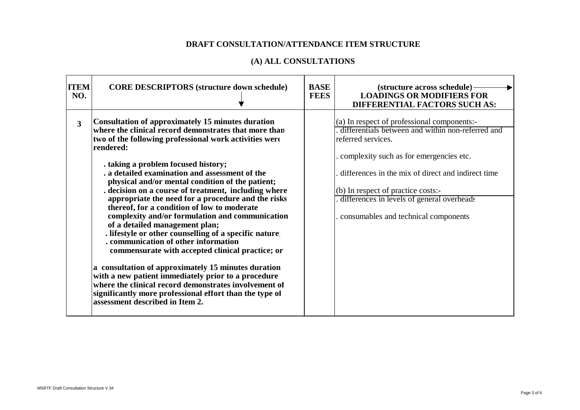| <b>ITEM</b><br><b>CORE DESCRIPTORS (structure down schedule)</b><br>NO.                                                                                                                                                                                                                                                                                                                                                                                                                                                                                                                                                                                                                                                                                                                                                                                                                                                                                                                                               | <b>BASE</b><br><b>FEES</b> | (structure across schedule)<br><b>LOADINGS OR MODIFIERS FOR</b><br><b>DIFFERENTIAL FACTORS SUCH AS:</b>                                                                                                                                                                                                                                             |
|-----------------------------------------------------------------------------------------------------------------------------------------------------------------------------------------------------------------------------------------------------------------------------------------------------------------------------------------------------------------------------------------------------------------------------------------------------------------------------------------------------------------------------------------------------------------------------------------------------------------------------------------------------------------------------------------------------------------------------------------------------------------------------------------------------------------------------------------------------------------------------------------------------------------------------------------------------------------------------------------------------------------------|----------------------------|-----------------------------------------------------------------------------------------------------------------------------------------------------------------------------------------------------------------------------------------------------------------------------------------------------------------------------------------------------|
| <b>Consultation of approximately 15 minutes duration</b><br>3<br>where the clinical record demonstrates that more than<br>two of the following professional work activities were<br>rendered:<br>. taking a problem focused history;<br>. a detailed examination and assessment of the<br>physical and/or mental condition of the patient;<br>decision on a course of treatment, including where<br>appropriate the need for a procedure and the risks<br>thereof, for a condition of low to moderate<br>complexity and/or formulation and communication<br>of a detailed management plan;<br>. lifestyle or other counselling of a specific nature:<br>. communication of other information<br>commensurate with accepted clinical practice; or<br>a consultation of approximately 15 minutes duration<br>with a new patient immediately prior to a procedure<br>where the clinical record demonstrates involvement of<br>significantly more professional effort than the type of<br>assessment described in Item 2. |                            | (a) In respect of professional components:-<br>differentials between and within non-referred and<br>referred services.<br>complexity such as for emergencies etc.<br>differences in the mix of direct and indirect time<br>(b) In respect of practice costs:-<br>differences in levels of general overheads<br>consumables and technical components |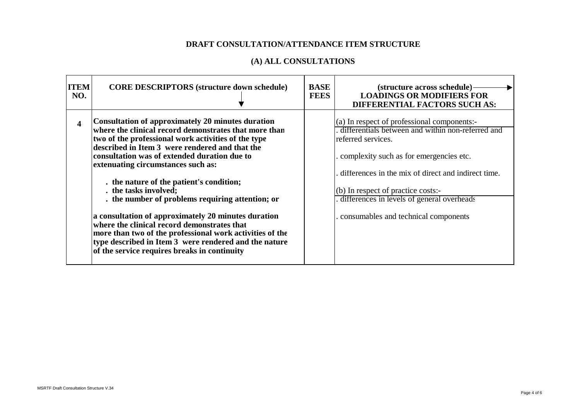| <b>ITEM</b><br>NO. | <b>CORE DESCRIPTORS (structure down schedule)</b>                                                                                                                                                                                                                                                                                                                                                                                                                                                                                                                                                                                                                                                             | <b>BASE</b><br><b>FEES</b> | (structure across schedule)<br><b>LOADINGS OR MODIFIERS FOR</b><br><b>DIFFERENTIAL FACTORS SUCH AS:</b>                                                                                                                                                                                                                                                                      |
|--------------------|---------------------------------------------------------------------------------------------------------------------------------------------------------------------------------------------------------------------------------------------------------------------------------------------------------------------------------------------------------------------------------------------------------------------------------------------------------------------------------------------------------------------------------------------------------------------------------------------------------------------------------------------------------------------------------------------------------------|----------------------------|------------------------------------------------------------------------------------------------------------------------------------------------------------------------------------------------------------------------------------------------------------------------------------------------------------------------------------------------------------------------------|
| 4                  | Consultation of approximately 20 minutes duration<br>where the clinical record demonstrates that more than<br>two of the professional work activities of the type<br>described in Item 3 were rendered and that the<br>consultation was of extended duration due to<br>extenuating circumstances such as:<br>. the nature of the patient's condition;<br>. the tasks involved;<br>. the number of problems requiring attention; or<br>a consultation of approximately 20 minutes duration<br>where the clinical record demonstrates that<br>more than two of the professional work activities of the<br>type described in Item 3 were rendered and the nature<br>of the service requires breaks in continuity |                            | $\left( \text{a} \right)$ In respect of professional components:-<br>differentials between and within non-referred and<br>referred services.<br>complexity such as for emergencies etc.<br>differences in the mix of direct and indirect time.<br>$(b)$ In respect of practice costs:-<br>differences in levels of general overheads<br>consumables and technical components |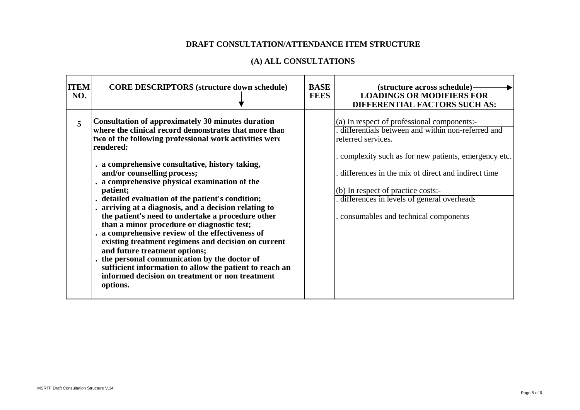| <b>ITEM</b><br>NO. | <b>CORE DESCRIPTORS (structure down schedule)</b>                                                                                                                                                                                                                                                                                                                                                                                                                                                                                                                                                                                                                                                                                                                                                                                                                        | <b>BASE</b><br><b>FEES</b> | (structure across schedule)-<br><b>LOADINGS OR MODIFIERS FOR</b><br><b>DIFFERENTIAL FACTORS SUCH AS:</b>                                                                                                                                                                                                                                                        |
|--------------------|--------------------------------------------------------------------------------------------------------------------------------------------------------------------------------------------------------------------------------------------------------------------------------------------------------------------------------------------------------------------------------------------------------------------------------------------------------------------------------------------------------------------------------------------------------------------------------------------------------------------------------------------------------------------------------------------------------------------------------------------------------------------------------------------------------------------------------------------------------------------------|----------------------------|-----------------------------------------------------------------------------------------------------------------------------------------------------------------------------------------------------------------------------------------------------------------------------------------------------------------------------------------------------------------|
| 5                  | Consultation of approximately 30 minutes duration<br>where the clinical record demonstrates that more than<br>two of the following professional work activities were<br>rendered:<br>. a comprehensive consultative, history taking,<br>and/or counselling process;<br>. a comprehensive physical examination of the<br>patient;<br>. detailed evaluation of the patient's condition;<br>. arriving at a diagnosis, and a decision relating to<br>the patient's need to undertake a procedure other<br>than a minor procedure or diagnostic test;<br>. a comprehensive review of the effectiveness of<br>existing treatment regimens and decision on current<br>and future treatment options;<br>. the personal communication by the doctor of<br>sufficient information to allow the patient to reach an<br>informed decision on treatment or non treatment<br>options. |                            | (a) In respect of professional components:-<br>differentials between and within non-referred and<br>referred services.<br>complexity such as for new patients, emergency etc.<br>differences in the mix of direct and indirect time<br>(b) In respect of practice costs:-<br>differences in levels of general overheads<br>consumables and technical components |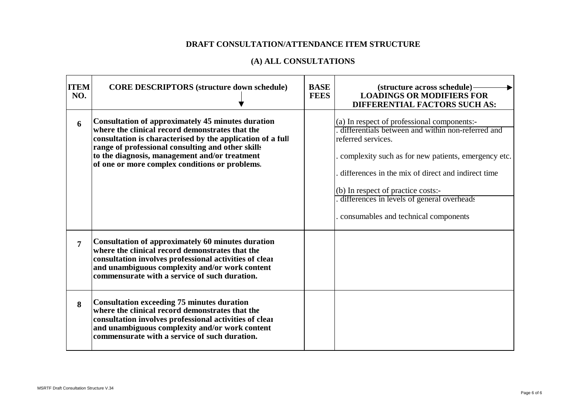| <b>ITEM</b><br>NO. | <b>CORE DESCRIPTORS (structure down schedule)</b>                                                                                                                                                                                                                                                                                 | <b>BASE</b><br><b>FEES</b> | (structure across schedule)-<br><b>LOADINGS OR MODIFIERS FOR</b><br><b>DIFFERENTIAL FACTORS SUCH AS:</b>                                                                                                                                                                                                                                                         |
|--------------------|-----------------------------------------------------------------------------------------------------------------------------------------------------------------------------------------------------------------------------------------------------------------------------------------------------------------------------------|----------------------------|------------------------------------------------------------------------------------------------------------------------------------------------------------------------------------------------------------------------------------------------------------------------------------------------------------------------------------------------------------------|
| 6                  | <b>Consultation of approximately 45 minutes duration</b><br>where the clinical record demonstrates that the<br>consultation is characterised by the application of a full<br>range of professional consulting and other skills<br>to the diagnosis, management and/or treatment<br>of one or more complex conditions or problems. |                            | (a) In respect of professional components:-<br>differentials between and within non-referred and<br>referred services.<br>complexity such as for new patients, emergency etc.<br>differences in the mix of direct and indirect time<br>(b) In respect of practice costs:-<br>differences in levels of general overheads<br>consumables and technical components. |
| $\overline{7}$     | <b>Consultation of approximately 60 minutes duration</b><br>where the clinical record demonstrates that the<br>consultation involves professional activities of clear<br>and unambiguous complexity and/or work content<br>commensurate with a service of such duration.                                                          |                            |                                                                                                                                                                                                                                                                                                                                                                  |
| 8                  | <b>Consultation exceeding 75 minutes duration</b><br>where the clinical record demonstrates that the<br>consultation involves professional activities of clear<br>and unambiguous complexity and/or work content<br>commensurate with a service of such duration.                                                                 |                            |                                                                                                                                                                                                                                                                                                                                                                  |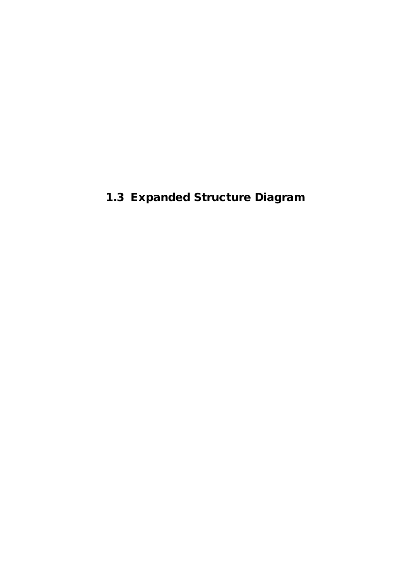**1.3 Expanded Structure Diagram**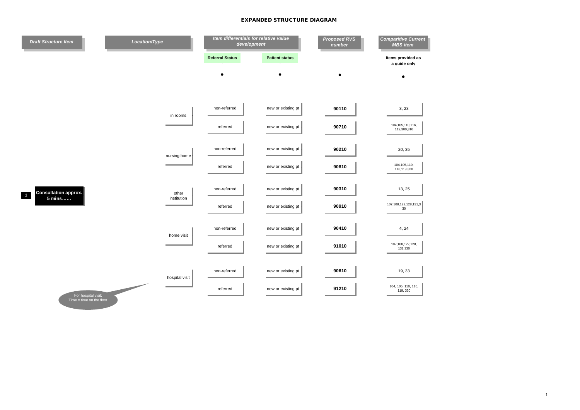| <b>Draft Structure Item</b>                           | Location/Type        | Item differentials for relative value<br>development |                       | <b>Proposed RVS</b><br>number | <b>Comparitive Current</b><br><b>MBS</b> item |
|-------------------------------------------------------|----------------------|------------------------------------------------------|-----------------------|-------------------------------|-----------------------------------------------|
|                                                       |                      | <b>Referral Status</b>                               | <b>Patient status</b> |                               | Items provided as<br>a quide only             |
|                                                       |                      |                                                      |                       |                               | $\bullet$                                     |
|                                                       |                      |                                                      |                       |                               |                                               |
|                                                       | in rooms             | non-referred                                         | new or existing pt    | 90110                         | 3, 23                                         |
|                                                       |                      | referred                                             | new or existing pt    | 90710                         | 104, 105, 110, 116,<br>119,300,310            |
|                                                       |                      | non-referred                                         | new or existing pt    | 90210                         | 20, 35                                        |
|                                                       | nursing home         | referred                                             | new or existing pt    | 90810                         | 104, 105, 110,                                |
|                                                       |                      |                                                      |                       |                               | 116,119,320                                   |
| <b>Consultation approx.</b><br>$\mathbf{1}$<br>5 mins | other<br>institution | non-referred                                         | new or existing pt    | 90310                         | 13, 25                                        |
|                                                       |                      | referred                                             | new or existing pt    | 90910                         | 107, 108, 122, 128, 131, 3<br>$30\,$          |
|                                                       |                      | non-referred                                         | new or existing pt    | 90410                         | 4, 24                                         |
|                                                       | home visit           | referred                                             | new or existing pt    | 91010                         | 107,108,122,128,<br>131,330                   |
|                                                       |                      |                                                      |                       |                               |                                               |
|                                                       | hospital visit       | non-referred                                         | new or existing pt    | 90610                         | 19, 33                                        |
| For hospital visit:                                   |                      | referred                                             | new or existing pt    | 91210                         | 104, 105, 110, 116,<br>119, 320               |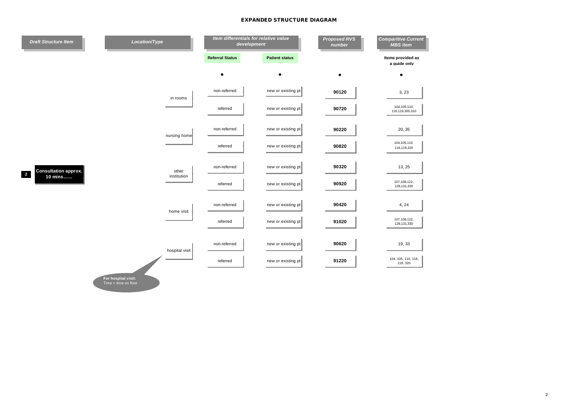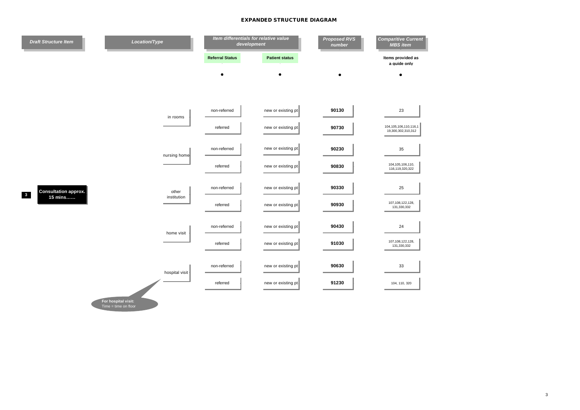

**For hospital visit:** Time = time on floor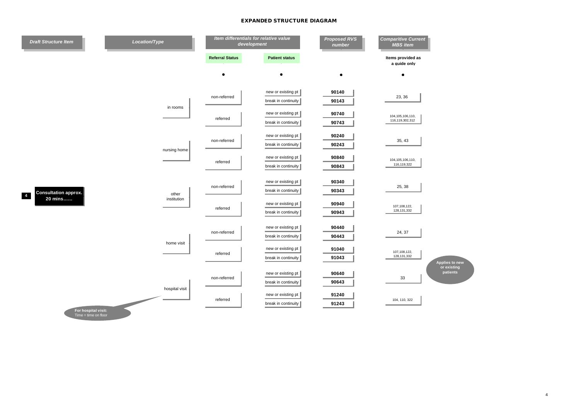| <b>Referral Status</b><br><b>Patient status</b><br>Items provided as<br>a quide only<br>٠<br>$\bullet$<br>$\bullet$<br>new or existing pt<br>90140<br>23, 36<br>non-referred<br>break in continuity<br>90143<br>in rooms<br>new or existing pt<br>90740<br>104, 105, 106, 110,<br>referred<br>116,119,302,312<br>90743<br>break in continuity<br>new or existing pt<br>90240<br>non-referred<br>35, 43<br>break in continuity<br>90243<br>nursing home<br>new or existing pt<br>90840<br>104, 105, 106, 110,<br>referred<br>116,119,322<br>90843<br>break in continuity<br>new or existing pt<br>90340<br>non-referred<br>25, 38<br>break in continuity<br>90343<br><b>Consultation approx.</b><br>other<br>20 mins<br>institution<br>90940<br>new or existing pt<br>107,108,122,<br>referred<br>128, 131, 332<br>90943<br>break in continuity<br>90440<br>new or existing pt<br>24, 37<br>non-referred<br>90443<br>break in continuity<br>home visit<br>new or existing pt<br>91040<br>107,108,122,<br>referred<br>128, 131, 332<br>91043<br>break in continuity<br>Applies to new<br>or existing<br>patients<br>new or existing pt<br>90640 | <b>Draft Structure Item</b> | Location/Type  | Item differentials for relative value<br>development |  | <b>Proposed RVS</b><br>number | <b>Comparitive Current</b><br><b>MBS</b> item |  |
|-----------------------------------------------------------------------------------------------------------------------------------------------------------------------------------------------------------------------------------------------------------------------------------------------------------------------------------------------------------------------------------------------------------------------------------------------------------------------------------------------------------------------------------------------------------------------------------------------------------------------------------------------------------------------------------------------------------------------------------------------------------------------------------------------------------------------------------------------------------------------------------------------------------------------------------------------------------------------------------------------------------------------------------------------------------------------------------------------------------------------------------------------|-----------------------------|----------------|------------------------------------------------------|--|-------------------------------|-----------------------------------------------|--|
|                                                                                                                                                                                                                                                                                                                                                                                                                                                                                                                                                                                                                                                                                                                                                                                                                                                                                                                                                                                                                                                                                                                                               |                             |                |                                                      |  |                               |                                               |  |
|                                                                                                                                                                                                                                                                                                                                                                                                                                                                                                                                                                                                                                                                                                                                                                                                                                                                                                                                                                                                                                                                                                                                               |                             |                |                                                      |  |                               |                                               |  |
|                                                                                                                                                                                                                                                                                                                                                                                                                                                                                                                                                                                                                                                                                                                                                                                                                                                                                                                                                                                                                                                                                                                                               |                             |                |                                                      |  |                               |                                               |  |
|                                                                                                                                                                                                                                                                                                                                                                                                                                                                                                                                                                                                                                                                                                                                                                                                                                                                                                                                                                                                                                                                                                                                               |                             |                |                                                      |  |                               |                                               |  |
|                                                                                                                                                                                                                                                                                                                                                                                                                                                                                                                                                                                                                                                                                                                                                                                                                                                                                                                                                                                                                                                                                                                                               |                             |                |                                                      |  |                               |                                               |  |
|                                                                                                                                                                                                                                                                                                                                                                                                                                                                                                                                                                                                                                                                                                                                                                                                                                                                                                                                                                                                                                                                                                                                               |                             |                |                                                      |  |                               |                                               |  |
|                                                                                                                                                                                                                                                                                                                                                                                                                                                                                                                                                                                                                                                                                                                                                                                                                                                                                                                                                                                                                                                                                                                                               |                             |                |                                                      |  |                               |                                               |  |
|                                                                                                                                                                                                                                                                                                                                                                                                                                                                                                                                                                                                                                                                                                                                                                                                                                                                                                                                                                                                                                                                                                                                               |                             |                |                                                      |  |                               |                                               |  |
|                                                                                                                                                                                                                                                                                                                                                                                                                                                                                                                                                                                                                                                                                                                                                                                                                                                                                                                                                                                                                                                                                                                                               |                             | hospital visit |                                                      |  |                               |                                               |  |
|                                                                                                                                                                                                                                                                                                                                                                                                                                                                                                                                                                                                                                                                                                                                                                                                                                                                                                                                                                                                                                                                                                                                               |                             |                |                                                      |  |                               |                                               |  |
| break in continuity<br>90643                                                                                                                                                                                                                                                                                                                                                                                                                                                                                                                                                                                                                                                                                                                                                                                                                                                                                                                                                                                                                                                                                                                  |                             |                | non-referred                                         |  |                               | 33                                            |  |
| new or existing pt<br>91240<br>referred<br>104, 110, 322<br>break in continuity<br>91243<br>For hospital visit:                                                                                                                                                                                                                                                                                                                                                                                                                                                                                                                                                                                                                                                                                                                                                                                                                                                                                                                                                                                                                               |                             |                |                                                      |  |                               |                                               |  |

 $\mathcal{L}$ 

4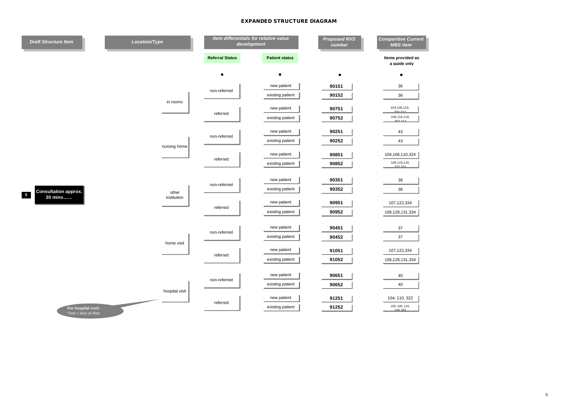| <b>Draft Structure Item</b>                   | Location/Type        |                        | Item differentials for relative value<br>development | <b>Proposed RVS</b><br>number | <b>Comparitive Current</b><br><b>MBS</b> item |
|-----------------------------------------------|----------------------|------------------------|------------------------------------------------------|-------------------------------|-----------------------------------------------|
|                                               |                      | <b>Referral Status</b> | <b>Patient status</b>                                |                               | Items provided as<br>a guide only             |
|                                               |                      |                        |                                                      | $\bullet$                     | $\bullet$                                     |
|                                               |                      | non-referred           | new patient                                          | 90151                         | 36                                            |
|                                               | in rooms             |                        | existing patient                                     | 90152                         | 36                                            |
|                                               |                      | referred               | new patient                                          | 90751                         | 104,106,110,<br>304.31                        |
|                                               |                      |                        | existing patient                                     | 90752                         | 105,116,119,<br>304.314                       |
|                                               |                      | non-referred           | new patient                                          | 90251                         | 43                                            |
|                                               | nursing home         |                        | existing patient                                     | 90252                         | 43                                            |
|                                               |                      | referred               | new patient                                          | 90851                         | 104,106,110,324                               |
|                                               |                      |                        | existing patient                                     | 90852                         | 105,116,119,<br>322324                        |
|                                               | other<br>institution | non-referred           | new patient                                          | 90351                         | 38                                            |
| <b>Consultation approx.</b>                   |                      |                        | existing patient                                     | 90352                         | 38                                            |
| $\overline{\phantom{0}}$<br>30 mins           |                      | referred               | new patient                                          | 90951                         | 107,122,334                                   |
|                                               |                      |                        | existing patient                                     | 90952                         | 108,128,131,334                               |
|                                               |                      | non-referred           | new patient                                          | 90451                         | 37                                            |
|                                               |                      |                        | existing patient                                     | 90452                         | 37                                            |
|                                               | home visit           | referred               | new patient                                          | 91051                         | 107,122,334                                   |
|                                               |                      |                        | existing patient                                     | 91052                         | 108,128,131,334                               |
|                                               |                      |                        | new patient                                          | 90651                         |                                               |
|                                               |                      | non-referred           | existing patient                                     | 90652                         | 40<br>40                                      |
|                                               | hospital visit       |                        |                                                      |                               |                                               |
|                                               |                      | referred               | new patient<br>existing patient                      | 91251<br>91252                | 104, 110, 322<br>105, 106, 116,               |
| For hospital visit:<br>$Time = time on floor$ |                      |                        |                                                      |                               | 119 322                                       |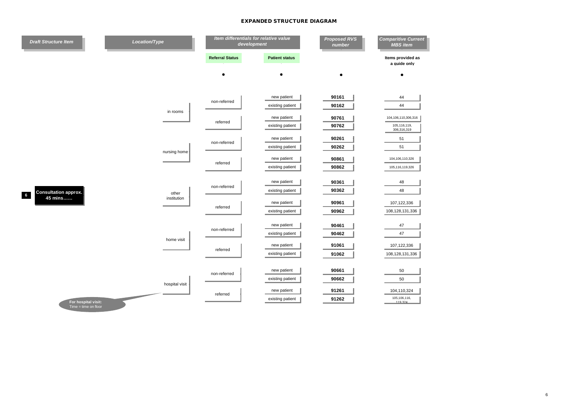| <b>Draft Structure Item</b>                   | Location/Type                | Item differentials for relative value<br>development |                                 | <b>Proposed RVS</b><br>number | <b>Comparitive Current</b><br><b>MBS</b> item      |
|-----------------------------------------------|------------------------------|------------------------------------------------------|---------------------------------|-------------------------------|----------------------------------------------------|
|                                               |                              | <b>Referral Status</b>                               | <b>Patient status</b>           |                               | Items provided as<br>a quide only                  |
|                                               |                              |                                                      |                                 |                               |                                                    |
|                                               |                              | non-referred                                         | new patient<br>existing patient | 90161<br>90162                | 44<br>44                                           |
| <b>Consultation approx.</b><br>$6\phantom{a}$ | in rooms                     | referred                                             | new patient<br>existing patient | 90761<br>90762                | 104,106,110,306,316<br>105,116,119,<br>306,316,319 |
|                                               | nursing home                 | non-referred                                         | new patient<br>existing patient | 90261<br>90262                | 51<br>51                                           |
|                                               |                              | referred                                             | new patient<br>existing patient | 90861<br>90862                | 104,106,110,326<br>105,116,119,326                 |
|                                               | other<br>institution         | non-referred                                         | new patient<br>existing patient | 90361<br>90362                | 48<br>48                                           |
| 45 mins                                       |                              | referred                                             | new patient<br>existing patient | 90961<br>90962                | 107,122,336<br>108,128,131,336                     |
|                                               | home visit<br>hospital visit | non-referred                                         | new patient<br>existing patient | 90461<br>90462                | 47<br>47                                           |
|                                               |                              | referred                                             | new patient<br>existing patient | 91061<br>91062                | 107,122,336<br>108,128,131,336                     |
|                                               |                              | non-referred                                         | new patient<br>existing patient | 90661<br>90662                | 50<br>50                                           |
| For hospital visit:<br>$Time = time on floor$ |                              | referred                                             | new patient<br>existing patient | 91261<br>91262                | 104,110,324<br>105,106,116,<br>119.324             |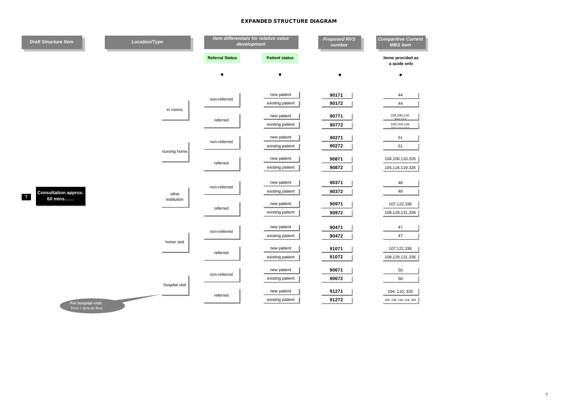| <b>Draft Structure Item</b>                   | Location/Type        | Item differentials for relative value<br>development |                       | <b>Proposed RVS</b><br>number | <b>Comparitive Current</b><br><b>MBS</b> item |
|-----------------------------------------------|----------------------|------------------------------------------------------|-----------------------|-------------------------------|-----------------------------------------------|
|                                               |                      | <b>Referral Status</b>                               | <b>Patient status</b> |                               | Items provided as<br>a quide only             |
|                                               |                      |                                                      |                       |                               |                                               |
|                                               |                      | non-referred                                         | new patient           | 90171                         | 44                                            |
|                                               | in rooms             |                                                      | existing patient      | 90172                         | 44                                            |
|                                               |                      | referred                                             | new patient           | 90771                         | 104,106,110,<br>00001                         |
|                                               |                      |                                                      | existing patient      | 90772                         | 105,116,119,                                  |
|                                               |                      |                                                      | new patient           | 90271                         | 51                                            |
|                                               | nursing home         | non-referred                                         | existing patient      | 90272                         | 51                                            |
|                                               |                      | referred                                             | new patient           | 90871                         | 104,106,110,326                               |
|                                               |                      |                                                      | existing patient      | 90872                         | 105,116,119,326                               |
|                                               |                      |                                                      | new patient           | 90371                         | 48                                            |
| <b>Consultation approx.</b>                   | other<br>institution | non-referred                                         | existing patient      | 90372                         | 48                                            |
| $\overline{7}$<br>60 mins                     |                      | referred                                             | new patient           | 90971                         | 107,122,336                                   |
|                                               |                      |                                                      | existing patient      | 90972                         | 108,128,131,336                               |
|                                               |                      |                                                      |                       |                               |                                               |
|                                               |                      | non-referred                                         | new patient           | 90471<br>90472                | 47                                            |
|                                               | home visit           |                                                      | existing patient      |                               | 47                                            |
|                                               |                      | referred                                             | new patient           | 91071                         | 107,122,336                                   |
|                                               |                      |                                                      | existing patient      | 91072                         | 108,128,131,336                               |
|                                               |                      | non-referred                                         | new patient           | 90671                         | 50                                            |
|                                               | hospital visit       |                                                      | existing patient      | 90672                         | 50                                            |
|                                               |                      | referred                                             | new patient           | 91271                         | 104, 110, 326                                 |
| For hospital visit:<br>$Time = time on floor$ |                      |                                                      | existing patient      | 91272                         | 105, 106, 116, 119, 326                       |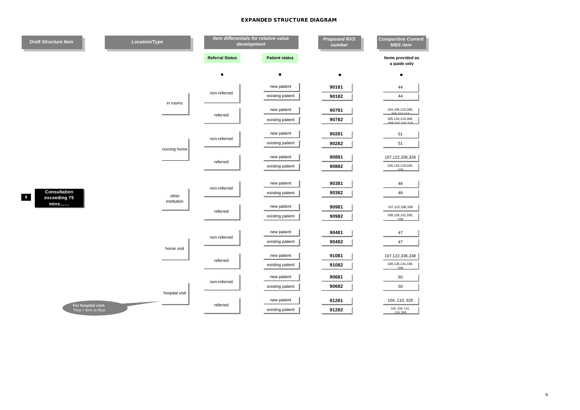| <b>Draft Structure Item</b>  | Location/Type  | Item differentials for relative value<br>development |                                 | <b>Proposed RVS</b><br>number | <b>Comparitive Current</b><br><b>MBS</b> item |
|------------------------------|----------------|------------------------------------------------------|---------------------------------|-------------------------------|-----------------------------------------------|
|                              |                | <b>Referral Status</b>                               | <b>Patient status</b>           |                               | Items provided as<br>a quide only             |
|                              |                |                                                      | ٠                               | $\bullet$                     |                                               |
|                              |                |                                                      | new patient                     | 90181                         | 44                                            |
|                              | in rooms       | non-referred                                         | existing patient                | 90182                         | 44                                            |
|                              |                | referred                                             | new patient                     | 90781                         | 104,106,110,306,<br>$0.0000000000$            |
|                              |                |                                                      | existing patient                | 90782                         | 105,116,119,306,<br>200 216 210 210           |
|                              |                |                                                      | new patient                     | 90281                         | 51                                            |
|                              | nursing home.  | non-referred                                         | existing patient                | 90282                         | 51                                            |
|                              |                |                                                      | new patient                     | 90881                         | 107,122,326,328                               |
|                              |                | referred                                             | existing patient                | 90882                         | 105,116,119,326,<br>328                       |
|                              |                |                                                      | new patient                     | 90381                         | 48                                            |
| Consultation                 | other          | non-referred                                         | existing patient                | 90382                         | 48                                            |
| 8<br>exceeding 75<br>$min$ s | institution    |                                                      | new patient                     | 90981                         | 107,122,336,338                               |
|                              |                | referred                                             | existing patient                | 90982                         | 108, 128, 131, 336,<br>220                    |
|                              |                |                                                      |                                 |                               |                                               |
|                              |                | non-referred                                         | new patient<br>existing patient | 90481<br>90482                | 47<br>47                                      |
|                              | home visit     |                                                      |                                 |                               |                                               |
|                              |                | referred                                             | new patient                     | 91081                         | 107,122,336,338                               |
|                              |                |                                                      | existing patient                | 91082                         | 108,128,131,336,<br>220                       |
|                              |                | non-referred                                         | new patient                     | 90681                         | 50                                            |
|                              | hospital visit |                                                      | existing patient                | 90682                         | 50                                            |
| For hospital visit:          |                | referred                                             | new patient                     | 91281                         | 104, 110, 326                                 |
| $Time = time on floor$       |                |                                                      | existing patient                | 91282                         | 105, 106, 116,<br>119 326                     |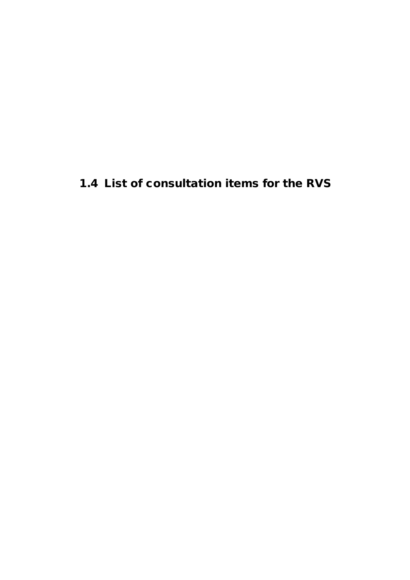# **1.4 List of consultation items for the RVS**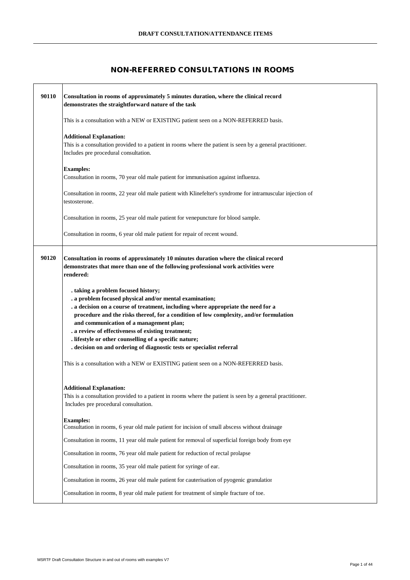#### **NON-REFERRED CONSULTATIONS IN ROOMS**

| Consultation in rooms of approximately 5 minutes duration, where the clinical record                                                                                                                                                                                                                                                                                                                                                                                                                              |
|-------------------------------------------------------------------------------------------------------------------------------------------------------------------------------------------------------------------------------------------------------------------------------------------------------------------------------------------------------------------------------------------------------------------------------------------------------------------------------------------------------------------|
| demonstrates the straightforward nature of the task                                                                                                                                                                                                                                                                                                                                                                                                                                                               |
| This is a consultation with a NEW or EXISTING patient seen on a NON-REFERRED basis.                                                                                                                                                                                                                                                                                                                                                                                                                               |
| <b>Additional Explanation:</b><br>This is a consultation provided to a patient in rooms where the patient is seen by a general practitioner.<br>Includes pre procedural consultation.                                                                                                                                                                                                                                                                                                                             |
| <b>Examples:</b><br>Consultation in rooms, 70 year old male patient for immunisation against influenza.                                                                                                                                                                                                                                                                                                                                                                                                           |
| Consultation in rooms, 22 year old male patient with Klinefelter's syndrome for intramuscular injection of<br>testosterone.                                                                                                                                                                                                                                                                                                                                                                                       |
| Consultation in rooms, 25 year old male patient for venepuncture for blood sample.                                                                                                                                                                                                                                                                                                                                                                                                                                |
| Consultation in rooms, 6 year old male patient for repair of recent wound.                                                                                                                                                                                                                                                                                                                                                                                                                                        |
| Consultation in rooms of approximately 10 minutes duration where the clinical record<br>demonstrates that more than one of the following professional work activities were<br>rendered:                                                                                                                                                                                                                                                                                                                           |
| . taking a problem focused history;<br>. a problem focused physical and/or mental examination;<br>. a decision on a course of treatment, including where appropriate the need for a<br>procedure and the risks thereof, for a condition of low complexity, and/or formulation<br>and communication of a management plan;<br>. a review of effectiveness of existing treatment;<br>. lifestyle or other counselling of a specific nature;<br>. decision on and ordering of diagnostic tests or specialist referral |
| This is a consultation with a NEW or EXISTING patient seen on a NON-REFERRED basis.                                                                                                                                                                                                                                                                                                                                                                                                                               |
| <b>Additional Explanation:</b><br>This is a consultation provided to a patient in rooms where the patient is seen by a general practitioner.<br>Includes pre procedural consultation.                                                                                                                                                                                                                                                                                                                             |
| <b>Examples:</b><br>Consultation in rooms, 6 year old male patient for incision of small abscess without drainage                                                                                                                                                                                                                                                                                                                                                                                                 |
| Consultation in rooms, 11 year old male patient for removal of superficial foreign body from eye                                                                                                                                                                                                                                                                                                                                                                                                                  |
| Consultation in rooms, 76 year old male patient for reduction of rectal prolapse                                                                                                                                                                                                                                                                                                                                                                                                                                  |
| Consultation in rooms, 35 year old male patient for syringe of ear.                                                                                                                                                                                                                                                                                                                                                                                                                                               |
| Consultation in rooms, 26 year old male patient for cauterisation of pyogenic granulation                                                                                                                                                                                                                                                                                                                                                                                                                         |
| Consultation in rooms, 8 year old male patient for treatment of simple fracture of toe.                                                                                                                                                                                                                                                                                                                                                                                                                           |
|                                                                                                                                                                                                                                                                                                                                                                                                                                                                                                                   |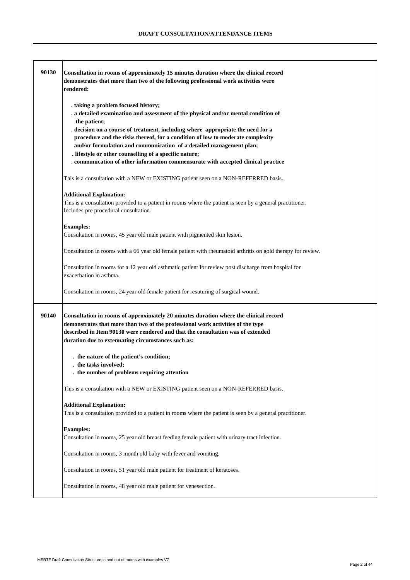| 90130 | Consultation in rooms of approximately 15 minutes duration where the clinical record<br>demonstrates that more than two of the following professional work activities were<br>rendered:                                                                                                                                                                                                 |
|-------|-----------------------------------------------------------------------------------------------------------------------------------------------------------------------------------------------------------------------------------------------------------------------------------------------------------------------------------------------------------------------------------------|
|       | . taking a problem focused history;<br>. a detailed examination and assessment of the physical and/or mental condition of<br>the patient;                                                                                                                                                                                                                                               |
|       | . decision on a course of treatment, including where appropriate the need for a<br>procedure and the risks thereof, for a condition of low to moderate complexity<br>and/or formulation and communication of a detailed management plan;<br>. lifestyle or other counselling of a specific nature;<br>. communication of other information commensurate with accepted clinical practice |
|       | This is a consultation with a NEW or EXISTING patient seen on a NON-REFERRED basis.                                                                                                                                                                                                                                                                                                     |
|       | <b>Additional Explanation:</b><br>This is a consultation provided to a patient in rooms where the patient is seen by a general practitioner.<br>Includes pre procedural consultation.                                                                                                                                                                                                   |
|       | <b>Examples:</b><br>Consultation in rooms, 45 year old male patient with pigmented skin lesion.                                                                                                                                                                                                                                                                                         |
|       | Consultation in rooms with a 66 year old female patient with rheumatoid arthritis on gold therapy for review.                                                                                                                                                                                                                                                                           |
|       | Consultation in rooms for a 12 year old asthmatic patient for review post discharge from hospital for<br>exacerbation in asthma.                                                                                                                                                                                                                                                        |
|       | Consultation in rooms, 24 year old female patient for resuturing of surgical wound.                                                                                                                                                                                                                                                                                                     |
| 90140 | Consultation in rooms of approximately 20 minutes duration where the clinical record<br>demonstrates that more than two of the professional work activities of the type<br>described in Item 90130 were rendered and that the consultation was of extended<br>duration due to extenuating circumstances such as:                                                                        |
|       | . the nature of the patient's condition;<br>. the tasks involved;<br>. the number of problems requiring attention                                                                                                                                                                                                                                                                       |
|       | This is a consultation with a NEW or EXISTING patient seen on a NON-REFERRED basis.                                                                                                                                                                                                                                                                                                     |
|       | <b>Additional Explanation:</b><br>This is a consultation provided to a patient in rooms where the patient is seen by a general practitioner.                                                                                                                                                                                                                                            |
|       | <b>Examples:</b><br>Consultation in rooms, 25 year old breast feeding female patient with urinary tract infection.                                                                                                                                                                                                                                                                      |
|       | Consultation in rooms, 3 month old baby with fever and vomiting.                                                                                                                                                                                                                                                                                                                        |
|       | Consultation in rooms, 51 year old male patient for treatment of keratoses.                                                                                                                                                                                                                                                                                                             |
|       | Consultation in rooms, 48 year old male patient for venesection.                                                                                                                                                                                                                                                                                                                        |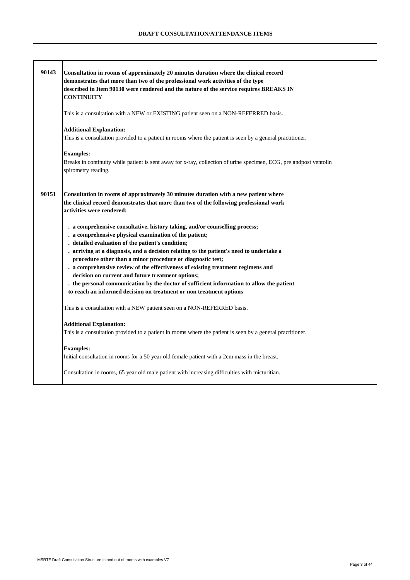| 90143 | Consultation in rooms of approximately 20 minutes duration where the clinical record<br>demonstrates that more than two of the professional work activities of the type<br>described in Item 90130 were rendered and the nature of the service requires BREAKS IN<br><b>CONTINUITY</b><br>This is a consultation with a NEW or EXISTING patient seen on a NON-REFERRED basis.<br><b>Additional Explanation:</b><br>This is a consultation provided to a patient in rooms where the patient is seen by a general practitioner.<br><b>Examples:</b><br>Breaks in continuity while patient is sent away for x-ray, collection of urine specimen, ECG, pre andpost ventolin<br>spirometry reading.                                                                                                                                                                                 |
|-------|--------------------------------------------------------------------------------------------------------------------------------------------------------------------------------------------------------------------------------------------------------------------------------------------------------------------------------------------------------------------------------------------------------------------------------------------------------------------------------------------------------------------------------------------------------------------------------------------------------------------------------------------------------------------------------------------------------------------------------------------------------------------------------------------------------------------------------------------------------------------------------|
| 90151 | Consultation in rooms of approximately 30 minutes duration with a new patient where<br>the clinical record demonstrates that more than two of the following professional work<br>activities were rendered:<br>. a comprehensive consultative, history taking, and/or counselling process;<br>. a comprehensive physical examination of the patient;<br>. detailed evaluation of the patient's condition;<br>. arriving at a diagnosis, and a decision relating to the patient's need to undertake a<br>procedure other than a minor procedure or diagnostic test;<br>. a comprehensive review of the effectiveness of existing treatment regimens and<br>decision on current and future treatment options;<br>. the personal communication by the doctor of sufficient information to allow the patient<br>to reach an informed decision on treatment or non treatment options |
|       | This is a consultation with a NEW patient seen on a NON-REFERRED basis.                                                                                                                                                                                                                                                                                                                                                                                                                                                                                                                                                                                                                                                                                                                                                                                                        |
|       | <b>Additional Explanation:</b><br>This is a consultation provided to a patient in rooms where the patient is seen by a general practitioner.                                                                                                                                                                                                                                                                                                                                                                                                                                                                                                                                                                                                                                                                                                                                   |
|       | <b>Examples:</b><br>Initial consultation in rooms for a 50 year old female patient with a 2cm mass in the breast.                                                                                                                                                                                                                                                                                                                                                                                                                                                                                                                                                                                                                                                                                                                                                              |
|       | Consultation in rooms, 65 year old male patient with increasing difficulties with micturitian.                                                                                                                                                                                                                                                                                                                                                                                                                                                                                                                                                                                                                                                                                                                                                                                 |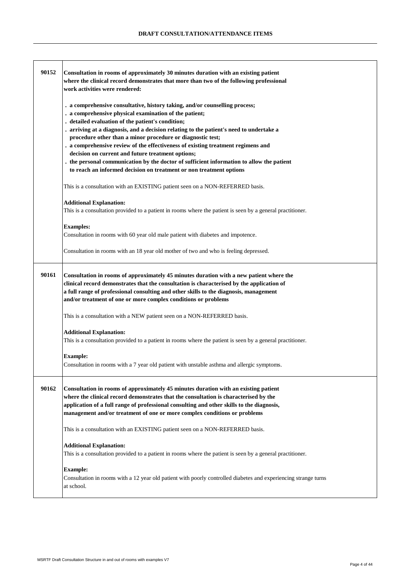| 90152 | Consultation in rooms of approximately 30 minutes duration with an existing patient                             |
|-------|-----------------------------------------------------------------------------------------------------------------|
|       | where the clinical record demonstrates that more than two of the following professional                         |
|       | work activities were rendered:                                                                                  |
|       |                                                                                                                 |
|       | . a comprehensive consultative, history taking, and/or counselling process;                                     |
|       | . a comprehensive physical examination of the patient;                                                          |
|       | . detailed evaluation of the patient's condition;                                                               |
|       | . arriving at a diagnosis, and a decision relating to the patient's need to undertake a                         |
|       | procedure other than a minor procedure or diagnostic test;                                                      |
|       | . a comprehensive review of the effectiveness of existing treatment regimens and                                |
|       | decision on current and future treatment options;                                                               |
|       | . the personal communication by the doctor of sufficient information to allow the patient                       |
|       | to reach an informed decision on treatment or non treatment options                                             |
|       |                                                                                                                 |
|       | This is a consultation with an EXISTING patient seen on a NON-REFERRED basis.                                   |
|       |                                                                                                                 |
|       | <b>Additional Explanation:</b>                                                                                  |
|       | This is a consultation provided to a patient in rooms where the patient is seen by a general practitioner.      |
|       |                                                                                                                 |
|       | <b>Examples:</b>                                                                                                |
|       | Consultation in rooms with 60 year old male patient with diabetes and impotence.                                |
|       |                                                                                                                 |
|       | Consultation in rooms with an 18 year old mother of two and who is feeling depressed.                           |
|       |                                                                                                                 |
|       |                                                                                                                 |
| 90161 | Consultation in rooms of approximately 45 minutes duration with a new patient where the                         |
|       | clinical record demonstrates that the consultation is characterised by the application of                       |
|       | a full range of professional consulting and other skills to the diagnosis, management                           |
|       | and/or treatment of one or more complex conditions or problems                                                  |
|       |                                                                                                                 |
|       | This is a consultation with a NEW patient seen on a NON-REFERRED basis.                                         |
|       |                                                                                                                 |
|       | <b>Additional Explanation:</b>                                                                                  |
|       | This is a consultation provided to a patient in rooms where the patient is seen by a general practitioner.      |
|       |                                                                                                                 |
|       | <b>Example:</b>                                                                                                 |
|       | Consultation in rooms with a 7 year old patient with unstable asthma and allergic symptoms.                     |
|       |                                                                                                                 |
| 90162 | Consultation in rooms of approximately 45 minutes duration with an existing patient                             |
|       | where the clinical record demonstrates that the consultation is characterised by the                            |
|       | application of a full range of professional consulting and other skills to the diagnosis,                       |
|       | management and/or treatment of one or more complex conditions or problems                                       |
|       |                                                                                                                 |
|       | This is a consultation with an EXISTING patient seen on a NON-REFERRED basis.                                   |
|       |                                                                                                                 |
|       | <b>Additional Explanation:</b>                                                                                  |
|       | This is a consultation provided to a patient in rooms where the patient is seen by a general practitioner.      |
|       |                                                                                                                 |
|       | <b>Example:</b>                                                                                                 |
|       | Consultation in rooms with a 12 year old patient with poorly controlled diabetes and experiencing strange turns |
|       | at school.                                                                                                      |
|       |                                                                                                                 |
|       |                                                                                                                 |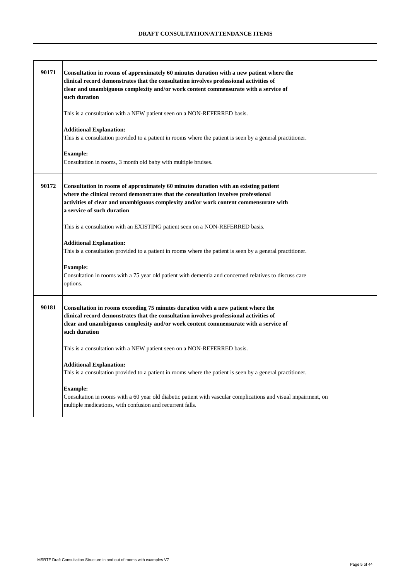| 90171 | Consultation in rooms of approximately 60 minutes duration with a new patient where the<br>clinical record demonstrates that the consultation involves professional activities of<br>clear and unambiguous complexity and/or work content commensurate with a service of<br>such duration       |
|-------|-------------------------------------------------------------------------------------------------------------------------------------------------------------------------------------------------------------------------------------------------------------------------------------------------|
|       | This is a consultation with a NEW patient seen on a NON-REFERRED basis.                                                                                                                                                                                                                         |
|       | <b>Additional Explanation:</b><br>This is a consultation provided to a patient in rooms where the patient is seen by a general practitioner.                                                                                                                                                    |
|       | <b>Example:</b><br>Consultation in rooms, 3 month old baby with multiple bruises.                                                                                                                                                                                                               |
| 90172 | Consultation in rooms of approximately 60 minutes duration with an existing patient<br>where the clinical record demonstrates that the consultation involves professional<br>activities of clear and unambiguous complexity and/or work content commensurate with<br>a service of such duration |
|       | This is a consultation with an EXISTING patient seen on a NON-REFERRED basis.                                                                                                                                                                                                                   |
|       | <b>Additional Explanation:</b><br>This is a consultation provided to a patient in rooms where the patient is seen by a general practitioner.                                                                                                                                                    |
|       | <b>Example:</b><br>Consultation in rooms with a 75 year old patient with dementia and concerned relatives to discuss care<br>options.                                                                                                                                                           |
| 90181 | Consultation in rooms exceeding 75 minutes duration with a new patient where the<br>clinical record demonstrates that the consultation involves professional activities of<br>clear and unambiguous complexity and/or work content commensurate with a service of<br>such duration              |
|       | This is a consultation with a NEW patient seen on a NON-REFERRED basis.                                                                                                                                                                                                                         |
|       | <b>Additional Explanation:</b><br>This is a consultation provided to a patient in rooms where the patient is seen by a general practitioner.                                                                                                                                                    |
|       | <b>Example:</b><br>Consultation in rooms with a 60 year old diabetic patient with vascular complications and visual impairment, on<br>multiple medications, with confusion and recurrent falls.                                                                                                 |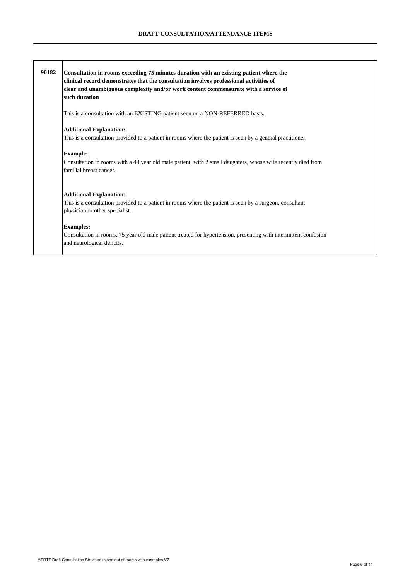| 90182 | Consultation in rooms exceeding 75 minutes duration with an existing patient where the<br>clinical record demonstrates that the consultation involves professional activities of<br>clear and unambiguous complexity and/or work content commensurate with a service of<br>such duration |
|-------|------------------------------------------------------------------------------------------------------------------------------------------------------------------------------------------------------------------------------------------------------------------------------------------|
|       | This is a consultation with an EXISTING patient seen on a NON-REFERRED basis.                                                                                                                                                                                                            |
|       | <b>Additional Explanation:</b><br>This is a consultation provided to a patient in rooms where the patient is seen by a general practitioner.                                                                                                                                             |
|       | <b>Example:</b><br>Consultation in rooms with a 40 year old male patient, with 2 small daughters, whose wife recently died from<br>familial breast cancer.                                                                                                                               |
|       | <b>Additional Explanation:</b><br>This is a consultation provided to a patient in rooms where the patient is seen by a surgeon, consultant<br>physician or other specialist.                                                                                                             |
|       | <b>Examples:</b><br>Consultation in rooms, 75 year old male patient treated for hypertension, presenting with intermittent confusion<br>and neurological deficits.                                                                                                                       |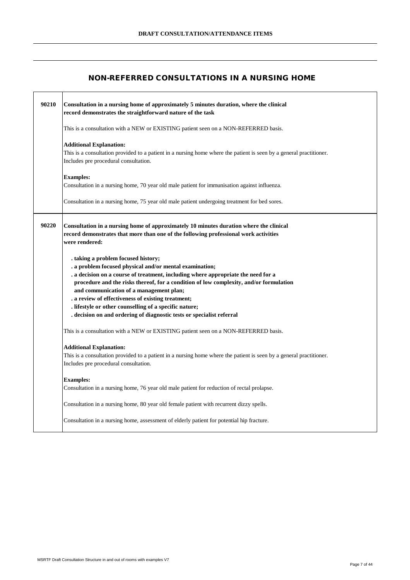#### **NON-REFERRED CONSULTATIONS IN A NURSING HOME**

| 90210 | Consultation in a nursing home of approximately 5 minutes duration, where the clinical<br>record demonstrates the straightforward nature of the task                                                                                                                                                                                                                                                                                                                                                              |
|-------|-------------------------------------------------------------------------------------------------------------------------------------------------------------------------------------------------------------------------------------------------------------------------------------------------------------------------------------------------------------------------------------------------------------------------------------------------------------------------------------------------------------------|
|       | This is a consultation with a NEW or EXISTING patient seen on a NON-REFERRED basis.                                                                                                                                                                                                                                                                                                                                                                                                                               |
|       | <b>Additional Explanation:</b><br>This is a consultation provided to a patient in a nursing home where the patient is seen by a general practitioner.<br>Includes pre procedural consultation.                                                                                                                                                                                                                                                                                                                    |
|       | <b>Examples:</b><br>Consultation in a nursing home, 70 year old male patient for immunisation against influenza.                                                                                                                                                                                                                                                                                                                                                                                                  |
|       | Consultation in a nursing home, 75 year old male patient undergoing treatment for bed sores.                                                                                                                                                                                                                                                                                                                                                                                                                      |
| 90220 | Consultation in a nursing home of approximately 10 minutes duration where the clinical<br>record demonstrates that more than one of the following professional work activities<br>were rendered:                                                                                                                                                                                                                                                                                                                  |
|       | . taking a problem focused history;<br>. a problem focused physical and/or mental examination;<br>. a decision on a course of treatment, including where appropriate the need for a<br>procedure and the risks thereof, for a condition of low complexity, and/or formulation<br>and communication of a management plan;<br>. a review of effectiveness of existing treatment;<br>. lifestyle or other counselling of a specific nature;<br>. decision on and ordering of diagnostic tests or specialist referral |
|       | This is a consultation with a NEW or EXISTING patient seen on a NON-REFERRED basis.                                                                                                                                                                                                                                                                                                                                                                                                                               |
|       | <b>Additional Explanation:</b><br>This is a consultation provided to a patient in a nursing home where the patient is seen by a general practitioner.<br>Includes pre procedural consultation.                                                                                                                                                                                                                                                                                                                    |
|       | <b>Examples:</b><br>Consultation in a nursing home, 76 year old male patient for reduction of rectal prolapse.                                                                                                                                                                                                                                                                                                                                                                                                    |
|       | Consultation in a nursing home, 80 year old female patient with recurrent dizzy spells.                                                                                                                                                                                                                                                                                                                                                                                                                           |
|       | Consultation in a nursing home, assessment of elderly patient for potential hip fracture.                                                                                                                                                                                                                                                                                                                                                                                                                         |

 $\top$ 

٦Ī,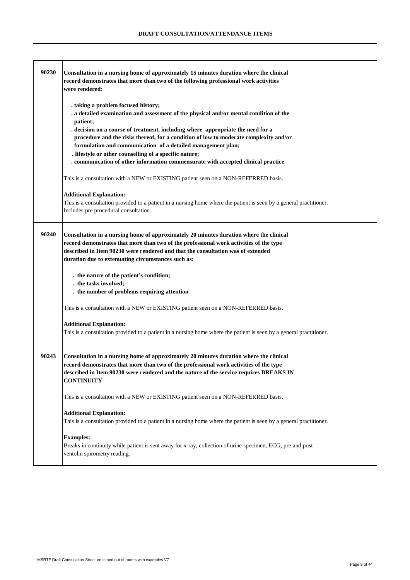| 90230 | Consultation in a nursing home of approximately 15 minutes duration where the clinical<br>record demonstrates that more than two of the following professional work activities<br>were rendered:                                                                                                                                                                                      |
|-------|---------------------------------------------------------------------------------------------------------------------------------------------------------------------------------------------------------------------------------------------------------------------------------------------------------------------------------------------------------------------------------------|
|       | . taking a problem focused history;<br>. a detailed examination and assessment of the physical and/or mental condition of the<br>patient;<br>. decision on a course of treatment, including where appropriate the need for a<br>procedure and the risks thereof, for a condition of low to moderate complexity and/or<br>formulation and communication of a detailed management plan; |
|       | . lifestyle or other counselling of a specific nature;<br>communication of other information commensurate with accepted clinical practice                                                                                                                                                                                                                                             |
|       | This is a consultation with a NEW or EXISTING patient seen on a NON-REFERRED basis.                                                                                                                                                                                                                                                                                                   |
|       | <b>Additional Explanation:</b><br>This is a consultation provided to a patient in a nursing home where the patient is seen by a general practitioner.<br>Includes pre procedural consultation.                                                                                                                                                                                        |
| 90240 | Consultation in a nursing home of approximately 20 minutes duration where the clinical<br>record demonstrates that more than two of the professional work activities of the type<br>described in Item 90230 were rendered and that the consultation was of extended<br>duration due to extenuating circumstances such as:                                                             |
|       | . the nature of the patient's condition;<br>. the tasks involved;<br>. the number of problems requiring attention                                                                                                                                                                                                                                                                     |
|       | This is a consultation with a NEW or EXISTING patient seen on a NON-REFERRED basis.                                                                                                                                                                                                                                                                                                   |
|       | <b>Additional Explanation:</b><br>This is a consultation provided to a patient in a nursing home where the patient is seen by a general practitioner.                                                                                                                                                                                                                                 |
| 90243 | Consultation in a nursing home of approximately 20 minutes duration where the clinical<br>record demonstrates that more than two of the professional work activities of the type<br>described in Item 90230 were rendered and the nature of the service requires BREAKS IN<br><b>CONTINUITY</b>                                                                                       |
|       | This is a consultation with a NEW or EXISTING patient seen on a NON-REFERRED basis.                                                                                                                                                                                                                                                                                                   |
|       | <b>Additional Explanation:</b><br>This is a consultation provided to a patient in a nursing home where the patient is seen by a general practitioner.                                                                                                                                                                                                                                 |
|       | <b>Examples:</b><br>Breaks in continuity while patient is sent away for x-ray, collection of urine specimen, ECG, pre and post<br>ventolin spirometry reading.                                                                                                                                                                                                                        |

.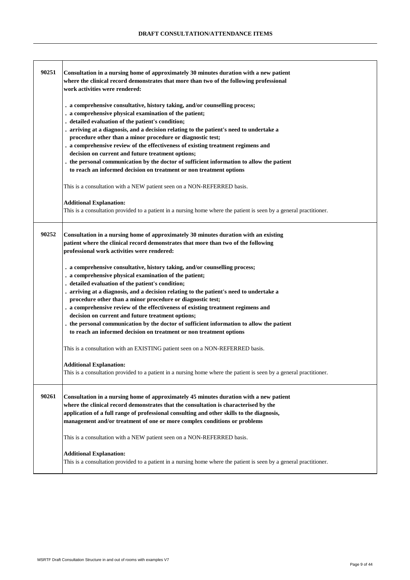| 90251 | Consultation in a nursing home of approximately 30 minutes duration with a new patient<br>where the clinical record demonstrates that more than two of the following professional<br>work activities were rendered:                                                                                                                                                                                                                                                                                                                                                                                                                                              |
|-------|------------------------------------------------------------------------------------------------------------------------------------------------------------------------------------------------------------------------------------------------------------------------------------------------------------------------------------------------------------------------------------------------------------------------------------------------------------------------------------------------------------------------------------------------------------------------------------------------------------------------------------------------------------------|
|       | . a comprehensive consultative, history taking, and/or counselling process;<br>. a comprehensive physical examination of the patient;<br>. detailed evaluation of the patient's condition;<br>. arriving at a diagnosis, and a decision relating to the patient's need to undertake a<br>procedure other than a minor procedure or diagnostic test;<br>. a comprehensive review of the effectiveness of existing treatment regimens and<br>decision on current and future treatment options;<br>. the personal communication by the doctor of sufficient information to allow the patient<br>to reach an informed decision on treatment or non treatment options |
|       | This is a consultation with a NEW patient seen on a NON-REFERRED basis.                                                                                                                                                                                                                                                                                                                                                                                                                                                                                                                                                                                          |
|       | <b>Additional Explanation:</b><br>This is a consultation provided to a patient in a nursing home where the patient is seen by a general practitioner.                                                                                                                                                                                                                                                                                                                                                                                                                                                                                                            |
| 90252 | Consultation in a nursing home of approximately 30 minutes duration with an existing<br>patient where the clinical record demonstrates that more than two of the following<br>professional work activities were rendered:                                                                                                                                                                                                                                                                                                                                                                                                                                        |
|       | . a comprehensive consultative, history taking, and/or counselling process;<br>. a comprehensive physical examination of the patient;<br>. detailed evaluation of the patient's condition;<br>. arriving at a diagnosis, and a decision relating to the patient's need to undertake a<br>procedure other than a minor procedure or diagnostic test;<br>. a comprehensive review of the effectiveness of existing treatment regimens and<br>decision on current and future treatment options;<br>. the personal communication by the doctor of sufficient information to allow the patient<br>to reach an informed decision on treatment or non treatment options |
|       | This is a consultation with an EXISTING patient seen on a NON-REFERRED basis.<br><b>Additional Explanation:</b><br>This is a consultation provided to a patient in a nursing home where the patient is seen by a general practitioner.                                                                                                                                                                                                                                                                                                                                                                                                                           |
| 90261 | Consultation in a nursing home of approximately 45 minutes duration with a new patient<br>where the clinical record demonstrates that the consultation is characterised by the<br>application of a full range of professional consulting and other skills to the diagnosis,<br>management and/or treatment of one or more complex conditions or problems                                                                                                                                                                                                                                                                                                         |
|       | This is a consultation with a NEW patient seen on a NON-REFERRED basis.                                                                                                                                                                                                                                                                                                                                                                                                                                                                                                                                                                                          |
|       | <b>Additional Explanation:</b><br>This is a consultation provided to a patient in a nursing home where the patient is seen by a general practitioner.                                                                                                                                                                                                                                                                                                                                                                                                                                                                                                            |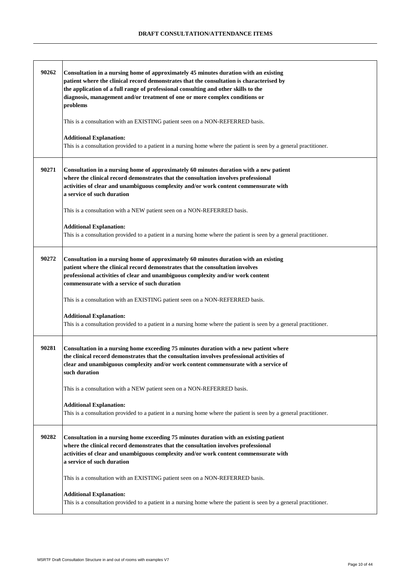| 90262 | Consultation in a nursing home of approximately 45 minutes duration with an existing<br>patient where the clinical record demonstrates that the consultation is characterised by<br>the application of a full range of professional consulting and other skills to the<br>diagnosis, management and/or treatment of one or more complex conditions or<br>problems<br>This is a consultation with an EXISTING patient seen on a NON-REFERRED basis. |
|-------|----------------------------------------------------------------------------------------------------------------------------------------------------------------------------------------------------------------------------------------------------------------------------------------------------------------------------------------------------------------------------------------------------------------------------------------------------|
|       | <b>Additional Explanation:</b><br>This is a consultation provided to a patient in a nursing home where the patient is seen by a general practitioner.                                                                                                                                                                                                                                                                                              |
| 90271 | Consultation in a nursing home of approximately 60 minutes duration with a new patient<br>where the clinical record demonstrates that the consultation involves professional<br>activities of clear and unambiguous complexity and/or work content commensurate with<br>a service of such duration                                                                                                                                                 |
|       | This is a consultation with a NEW patient seen on a NON-REFERRED basis.                                                                                                                                                                                                                                                                                                                                                                            |
|       | <b>Additional Explanation:</b><br>This is a consultation provided to a patient in a nursing home where the patient is seen by a general practitioner.                                                                                                                                                                                                                                                                                              |
| 90272 | Consultation in a nursing home of approximately 60 minutes duration with an existing<br>patient where the clinical record demonstrates that the consultation involves<br>professional activities of clear and unambiguous complexity and/or work content<br>commensurate with a service of such duration                                                                                                                                           |
|       | This is a consultation with an EXISTING patient seen on a NON-REFERRED basis.                                                                                                                                                                                                                                                                                                                                                                      |
|       | <b>Additional Explanation:</b><br>This is a consultation provided to a patient in a nursing home where the patient is seen by a general practitioner.                                                                                                                                                                                                                                                                                              |
| 90281 | Consultation in a nursing home exceeding 75 minutes duration with a new patient where<br>the clinical record demonstrates that the consultation involves professional activities of<br>clear and unambiguous complexity and/or work content commensurate with a service of<br>such duration                                                                                                                                                        |
|       | This is a consultation with a NEW patient seen on a NON-REFERRED basis.                                                                                                                                                                                                                                                                                                                                                                            |
|       | <b>Additional Explanation:</b><br>This is a consultation provided to a patient in a nursing home where the patient is seen by a general practitioner.                                                                                                                                                                                                                                                                                              |
| 90282 | Consultation in a nursing home exceeding 75 minutes duration with an existing patient<br>where the clinical record demonstrates that the consultation involves professional<br>activities of clear and unambiguous complexity and/or work content commensurate with<br>a service of such duration                                                                                                                                                  |
|       | This is a consultation with an EXISTING patient seen on a NON-REFERRED basis.                                                                                                                                                                                                                                                                                                                                                                      |
|       | <b>Additional Explanation:</b><br>This is a consultation provided to a patient in a nursing home where the patient is seen by a general practitioner.                                                                                                                                                                                                                                                                                              |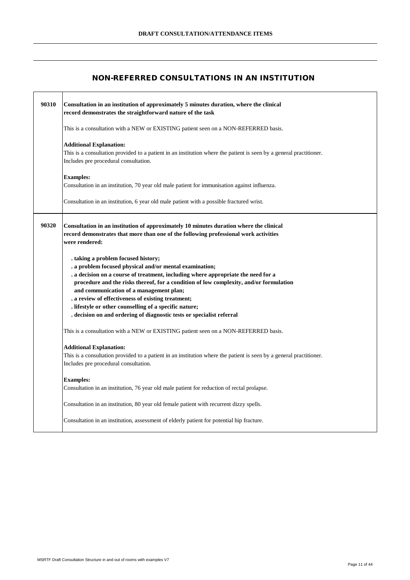#### **NON-REFERRED CONSULTATIONS IN AN INSTITUTION**

| 90310 | Consultation in an institution of approximately 5 minutes duration, where the clinical<br>record demonstrates the straightforward nature of the task                                                                                                                                                                                                                                                                                                                                                            |
|-------|-----------------------------------------------------------------------------------------------------------------------------------------------------------------------------------------------------------------------------------------------------------------------------------------------------------------------------------------------------------------------------------------------------------------------------------------------------------------------------------------------------------------|
|       | This is a consultation with a NEW or EXISTING patient seen on a NON-REFERRED basis.                                                                                                                                                                                                                                                                                                                                                                                                                             |
|       | <b>Additional Explanation:</b><br>This is a consultation provided to a patient in an institution where the patient is seen by a general practitioner.<br>Includes pre procedural consultation.                                                                                                                                                                                                                                                                                                                  |
|       | <b>Examples:</b><br>Consultation in an institution, 70 year old male patient for immunisation against influenza.                                                                                                                                                                                                                                                                                                                                                                                                |
|       | Consultation in an institution, 6 year old male patient with a possible fractured wrist.                                                                                                                                                                                                                                                                                                                                                                                                                        |
| 90320 | Consultation in an institution of approximately 10 minutes duration where the clinical<br>record demonstrates that more than one of the following professional work activities<br>were rendered:                                                                                                                                                                                                                                                                                                                |
|       | . taking a problem focused history;<br>. a problem focused physical and/or mental examination;<br>a decision on a course of treatment, including where appropriate the need for a<br>procedure and the risks thereof, for a condition of low complexity, and/or formulation<br>and communication of a management plan;<br>. a review of effectiveness of existing treatment;<br>. lifestyle or other counselling of a specific nature;<br>. decision on and ordering of diagnostic tests or specialist referral |
|       | This is a consultation with a NEW or EXISTING patient seen on a NON-REFERRED basis.                                                                                                                                                                                                                                                                                                                                                                                                                             |
|       | <b>Additional Explanation:</b><br>This is a consultation provided to a patient in an institution where the patient is seen by a general practitioner.<br>Includes pre procedural consultation.                                                                                                                                                                                                                                                                                                                  |
|       | <b>Examples:</b><br>Consultation in an institution, 76 year old male patient for reduction of rectal prolapse.                                                                                                                                                                                                                                                                                                                                                                                                  |
|       | Consultation in an institution, 80 year old female patient with recurrent dizzy spells.                                                                                                                                                                                                                                                                                                                                                                                                                         |
|       | Consultation in an institution, assessment of elderly patient for potential hip fracture.                                                                                                                                                                                                                                                                                                                                                                                                                       |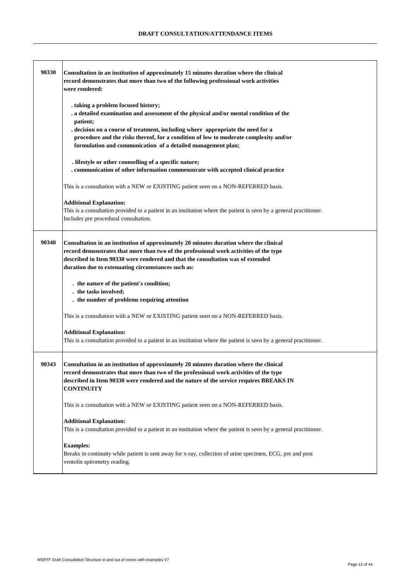| 90330 | Consultation in an institution of approximately 15 minutes duration where the clinical<br>record demonstrates that more than two of the following professional work activities<br>were rendered:                                                                                                                                                                                      |
|-------|---------------------------------------------------------------------------------------------------------------------------------------------------------------------------------------------------------------------------------------------------------------------------------------------------------------------------------------------------------------------------------------|
|       | . taking a problem focused history;<br>. a detailed examination and assessment of the physical and/or mental condition of the<br>patient;<br>. decision on a course of treatment, including where appropriate the need for a<br>procedure and the risks thereof, for a condition of low to moderate complexity and/or<br>formulation and communication of a detailed management plan; |
|       | . lifestyle or other counselling of a specific nature;<br>. communication of other information commensurate with accepted clinical practice                                                                                                                                                                                                                                           |
|       | This is a consultation with a NEW or EXISTING patient seen on a NON-REFERRED basis.                                                                                                                                                                                                                                                                                                   |
|       | <b>Additional Explanation:</b><br>This is a consultation provided to a patient in an institution where the patient is seen by a general practitioner.<br>Includes pre procedural consultation.                                                                                                                                                                                        |
| 90340 | Consultation in an institution of approximately 20 minutes duration where the clinical<br>record demonstrates that more than two of the professional work activities of the type<br>described in Item 90330 were rendered and that the consultation was of extended<br>duration due to extenuating circumstances such as:                                                             |
|       | . the nature of the patient's condition;<br>. the tasks involved;<br>. the number of problems requiring attention                                                                                                                                                                                                                                                                     |
|       | This is a consultation with a NEW or EXISTING patient seen on a NON-REFERRED basis.                                                                                                                                                                                                                                                                                                   |
|       | <b>Additional Explanation:</b><br>This is a consultation provided to a patient in an institution where the patient is seen by a general practitioner.                                                                                                                                                                                                                                 |
| 90343 | Consultation in an institution of approximately 20 minutes duration where the clinical<br>record demonstrates that more than two of the professional work activities of the type<br>described in Item 90330 were rendered and the nature of the service requires BREAKS IN<br><b>CONTINUITY</b>                                                                                       |
|       | This is a consultation with a NEW or EXISTING patient seen on a NON-REFERRED basis.                                                                                                                                                                                                                                                                                                   |
|       | <b>Additional Explanation:</b><br>This is a consultation provided to a patient in an institution where the patient is seen by a general practitioner.                                                                                                                                                                                                                                 |
|       | <b>Examples:</b><br>Breaks in continuity while patient is sent away for x-ray, collection of urine specimen, ECG, pre and post<br>ventolin spirometry reading.                                                                                                                                                                                                                        |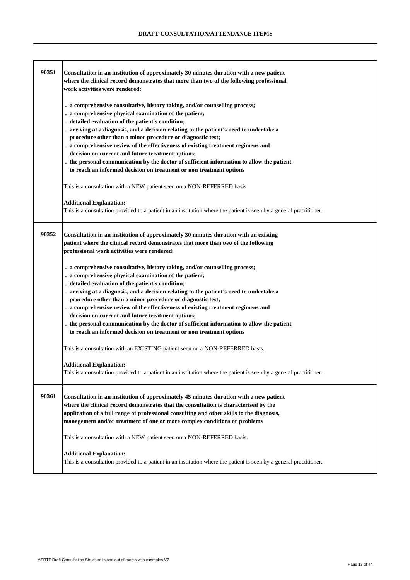| 90351 | Consultation in an institution of approximately 30 minutes duration with a new patient<br>where the clinical record demonstrates that more than two of the following professional<br>work activities were rendered:                                                                                                                                      |
|-------|----------------------------------------------------------------------------------------------------------------------------------------------------------------------------------------------------------------------------------------------------------------------------------------------------------------------------------------------------------|
|       | . a comprehensive consultative, history taking, and/or counselling process;<br>. a comprehensive physical examination of the patient;<br>. detailed evaluation of the patient's condition;<br>. arriving at a diagnosis, and a decision relating to the patient's need to undertake a                                                                    |
|       | procedure other than a minor procedure or diagnostic test;<br>. a comprehensive review of the effectiveness of existing treatment regimens and                                                                                                                                                                                                           |
|       | decision on current and future treatment options;                                                                                                                                                                                                                                                                                                        |
|       | . the personal communication by the doctor of sufficient information to allow the patient                                                                                                                                                                                                                                                                |
|       | to reach an informed decision on treatment or non treatment options                                                                                                                                                                                                                                                                                      |
|       | This is a consultation with a NEW patient seen on a NON-REFERRED basis.                                                                                                                                                                                                                                                                                  |
|       | <b>Additional Explanation:</b><br>This is a consultation provided to a patient in an institution where the patient is seen by a general practitioner.                                                                                                                                                                                                    |
| 90352 | Consultation in an institution of approximately 30 minutes duration with an existing<br>patient where the clinical record demonstrates that more than two of the following<br>professional work activities were rendered:                                                                                                                                |
|       | . a comprehensive consultative, history taking, and/or counselling process;<br>. a comprehensive physical examination of the patient;                                                                                                                                                                                                                    |
|       | . detailed evaluation of the patient's condition;<br>. arriving at a diagnosis, and a decision relating to the patient's need to undertake a<br>procedure other than a minor procedure or diagnostic test;                                                                                                                                               |
|       | . a comprehensive review of the effectiveness of existing treatment regimens and                                                                                                                                                                                                                                                                         |
|       | decision on current and future treatment options;<br>. the personal communication by the doctor of sufficient information to allow the patient                                                                                                                                                                                                           |
|       | to reach an informed decision on treatment or non treatment options                                                                                                                                                                                                                                                                                      |
|       | This is a consultation with an EXISTING patient seen on a NON-REFERRED basis.                                                                                                                                                                                                                                                                            |
|       | <b>Additional Explanation:</b><br>This is a consultation provided to a patient in an institution where the patient is seen by a general practitioner.                                                                                                                                                                                                    |
| 90361 | Consultation in an institution of approximately 45 minutes duration with a new patient<br>where the clinical record demonstrates that the consultation is characterised by the<br>application of a full range of professional consulting and other skills to the diagnosis,<br>management and/or treatment of one or more complex conditions or problems |
|       | This is a consultation with a NEW patient seen on a NON-REFERRED basis.                                                                                                                                                                                                                                                                                  |
|       | <b>Additional Explanation:</b><br>This is a consultation provided to a patient in an institution where the patient is seen by a general practitioner.                                                                                                                                                                                                    |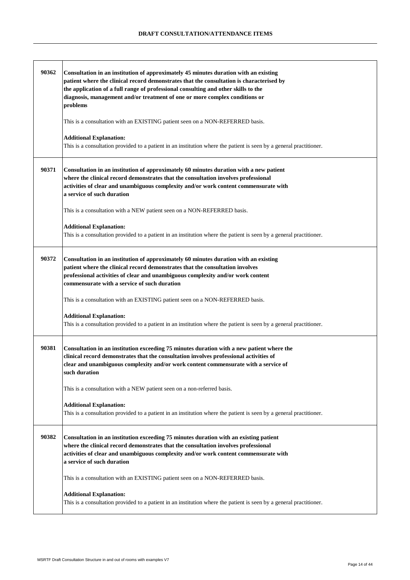| 90362 | Consultation in an institution of approximately 45 minutes duration with an existing<br>patient where the clinical record demonstrates that the consultation is characterised by<br>the application of a full range of professional consulting and other skills to the<br>diagnosis, management and/or treatment of one or more complex conditions or<br>problems |
|-------|-------------------------------------------------------------------------------------------------------------------------------------------------------------------------------------------------------------------------------------------------------------------------------------------------------------------------------------------------------------------|
|       | This is a consultation with an EXISTING patient seen on a NON-REFERRED basis.                                                                                                                                                                                                                                                                                     |
|       | <b>Additional Explanation:</b><br>This is a consultation provided to a patient in an institution where the patient is seen by a general practitioner.                                                                                                                                                                                                             |
| 90371 | Consultation in an institution of approximately 60 minutes duration with a new patient<br>where the clinical record demonstrates that the consultation involves professional<br>activities of clear and unambiguous complexity and/or work content commensurate with<br>a service of such duration                                                                |
|       | This is a consultation with a NEW patient seen on a NON-REFERRED basis.                                                                                                                                                                                                                                                                                           |
|       | <b>Additional Explanation:</b><br>This is a consultation provided to a patient in an institution where the patient is seen by a general practitioner.                                                                                                                                                                                                             |
| 90372 | Consultation in an institution of approximately 60 minutes duration with an existing<br>patient where the clinical record demonstrates that the consultation involves<br>professional activities of clear and unambiguous complexity and/or work content<br>commensurate with a service of such duration                                                          |
|       | This is a consultation with an EXISTING patient seen on a NON-REFERRED basis.                                                                                                                                                                                                                                                                                     |
|       | <b>Additional Explanation:</b><br>This is a consultation provided to a patient in an institution where the patient is seen by a general practitioner.                                                                                                                                                                                                             |
| 90381 | Consultation in an institution exceeding 75 minutes duration with a new patient where the<br>clinical record demonstrates that the consultation involves professional activities of<br>clear and unambiguous complexity and/or work content commensurate with a service of<br>such duration                                                                       |
|       | This is a consultation with a NEW patient seen on a non-referred basis.                                                                                                                                                                                                                                                                                           |
|       | <b>Additional Explanation:</b><br>This is a consultation provided to a patient in an institution where the patient is seen by a general practitioner.                                                                                                                                                                                                             |
| 90382 | Consultation in an institution exceeding 75 minutes duration with an existing patient<br>where the clinical record demonstrates that the consultation involves professional<br>activities of clear and unambiguous complexity and/or work content commensurate with<br>a service of such duration                                                                 |
|       | This is a consultation with an EXISTING patient seen on a NON-REFERRED basis.                                                                                                                                                                                                                                                                                     |
|       | <b>Additional Explanation:</b><br>This is a consultation provided to a patient in an institution where the patient is seen by a general practitioner.                                                                                                                                                                                                             |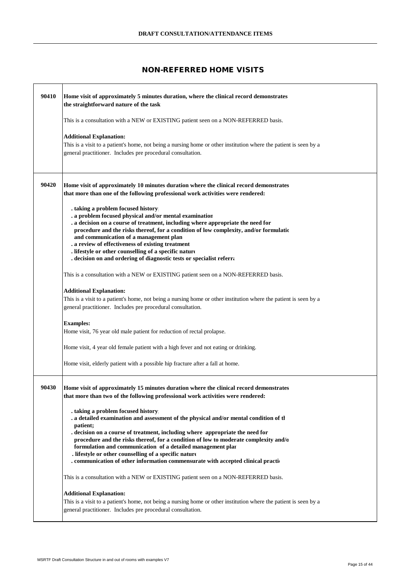## **NON-REFERRED HOME VISITS**

| 90410 | Home visit of approximately 5 minutes duration, where the clinical record demonstrates<br>the straightforward nature of the task                                                                                                                                                                                                                                                                                                                                                                                              |
|-------|-------------------------------------------------------------------------------------------------------------------------------------------------------------------------------------------------------------------------------------------------------------------------------------------------------------------------------------------------------------------------------------------------------------------------------------------------------------------------------------------------------------------------------|
|       | This is a consultation with a NEW or EXISTING patient seen on a NON-REFERRED basis.                                                                                                                                                                                                                                                                                                                                                                                                                                           |
|       | <b>Additional Explanation:</b><br>This is a visit to a patient's home, not being a nursing home or other institution where the patient is seen by a<br>general practitioner. Includes pre procedural consultation.                                                                                                                                                                                                                                                                                                            |
| 90420 | Home visit of approximately 10 minutes duration where the clinical record demonstrates<br>that more than one of the following professional work activities were rendered:                                                                                                                                                                                                                                                                                                                                                     |
|       | . taking a problem focused history<br>. a problem focused physical and/or mental examination<br>. a decision on a course of treatment, including where appropriate the need for<br>procedure and the risks thereof, for a condition of low complexity, and/or formulatio<br>and communication of a management plan<br>. a review of effectiveness of existing treatment<br>. lifestyle or other counselling of a specific nature<br>. decision on and ordering of diagnostic tests or specialist referra                      |
|       | This is a consultation with a NEW or EXISTING patient seen on a NON-REFERRED basis.                                                                                                                                                                                                                                                                                                                                                                                                                                           |
|       | <b>Additional Explanation:</b><br>This is a visit to a patient's home, not being a nursing home or other institution where the patient is seen by a<br>general practitioner. Includes pre procedural consultation.                                                                                                                                                                                                                                                                                                            |
|       | <b>Examples:</b><br>Home visit, 76 year old male patient for reduction of rectal prolapse.                                                                                                                                                                                                                                                                                                                                                                                                                                    |
|       | Home visit, 4 year old female patient with a high fever and not eating or drinking.                                                                                                                                                                                                                                                                                                                                                                                                                                           |
|       | Home visit, elderly patient with a possible hip fracture after a fall at home.                                                                                                                                                                                                                                                                                                                                                                                                                                                |
| 90430 | Home visit of approximately 15 minutes duration where the clinical record demonstrates<br>that more than two of the following professional work activities were rendered:                                                                                                                                                                                                                                                                                                                                                     |
|       | . taking a problem focused history<br>. a detailed examination and assessment of the physical and/or mental condition of th<br>patient;<br>. decision on a course of treatment, including where appropriate the need for<br>procedure and the risks thereof, for a condition of low to moderate complexity and/o<br>formulation and communication of a detailed management plar<br>. lifestyle or other counselling of a specific nature<br>. communication of other information commensurate with accepted clinical praction |
|       | This is a consultation with a NEW or EXISTING patient seen on a NON-REFERRED basis.                                                                                                                                                                                                                                                                                                                                                                                                                                           |
|       | <b>Additional Explanation:</b><br>This is a visit to a patient's home, not being a nursing home or other institution where the patient is seen by a<br>general practitioner. Includes pre procedural consultation.                                                                                                                                                                                                                                                                                                            |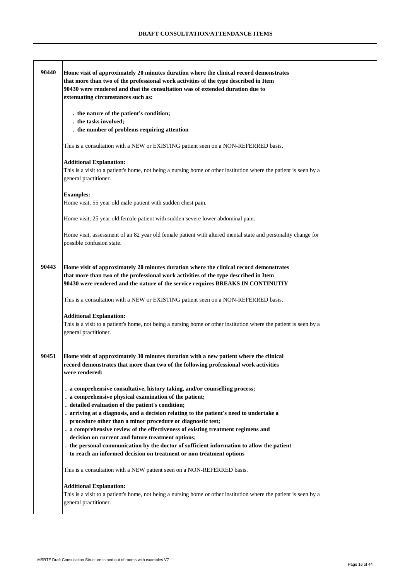| 90440 | Home visit of approximately 20 minutes duration where the clinical record demonstrates<br>that more than two of the professional work activities of the type described in Item<br>90430 were rendered and that the consultation was of extended duration due to<br>extenuating circumstances such as:                                                                                                                                                                                                                                                                                                                                                        |
|-------|--------------------------------------------------------------------------------------------------------------------------------------------------------------------------------------------------------------------------------------------------------------------------------------------------------------------------------------------------------------------------------------------------------------------------------------------------------------------------------------------------------------------------------------------------------------------------------------------------------------------------------------------------------------|
|       | . the nature of the patient's condition;<br>. the tasks involved;<br>. the number of problems requiring attention                                                                                                                                                                                                                                                                                                                                                                                                                                                                                                                                            |
|       | This is a consultation with a NEW or EXISTING patient seen on a NON-REFERRED basis.                                                                                                                                                                                                                                                                                                                                                                                                                                                                                                                                                                          |
|       | <b>Additional Explanation:</b><br>This is a visit to a patient's home, not being a nursing home or other institution where the patient is seen by a<br>general practitioner.                                                                                                                                                                                                                                                                                                                                                                                                                                                                                 |
|       | <b>Examples:</b><br>Home visit, 55 year old male patient with sudden chest pain.                                                                                                                                                                                                                                                                                                                                                                                                                                                                                                                                                                             |
|       | Home visit, 25 year old female patient with sudden severe lower abdominal pain.                                                                                                                                                                                                                                                                                                                                                                                                                                                                                                                                                                              |
|       | Home visit, assessment of an 82 year old female patient with altered mental state and personality change for<br>possible confusion state.                                                                                                                                                                                                                                                                                                                                                                                                                                                                                                                    |
| 90443 | Home visit of approximately 20 minutes duration where the clinical record demonstrates<br>that more than two of the professional work activities of the type described in Item<br>90430 were rendered and the nature of the service requires BREAKS IN CONTINUTIY                                                                                                                                                                                                                                                                                                                                                                                            |
|       | This is a consultation with a NEW or EXISTING patient seen on a NON-REFERRED basis.                                                                                                                                                                                                                                                                                                                                                                                                                                                                                                                                                                          |
|       | <b>Additional Explanation:</b><br>This is a visit to a patient's home, not being a nursing home or other institution where the patient is seen by a<br>general practitioner.                                                                                                                                                                                                                                                                                                                                                                                                                                                                                 |
| 90451 | Home visit of approximately 30 minutes duration with a new patient where the clinical<br>record demonstrates that more than two of the following professional work activities<br>were rendered:                                                                                                                                                                                                                                                                                                                                                                                                                                                              |
|       | . a comprehensive consultative, history taking, and/or counselling process;<br>a comprehensive physical examination of the patient;<br>detailed evaluation of the patient's condition;<br>. arriving at a diagnosis, and a decision relating to the patient's need to undertake a<br>procedure other than a minor procedure or diagnostic test;<br>. a comprehensive review of the effectiveness of existing treatment regimens and<br>decision on current and future treatment options;<br>. the personal communication by the doctor of sufficient information to allow the patient<br>to reach an informed decision on treatment or non treatment options |
|       | This is a consultation with a NEW patient seen on a NON-REFERRED basis.                                                                                                                                                                                                                                                                                                                                                                                                                                                                                                                                                                                      |
|       | <b>Additional Explanation:</b><br>This is a visit to a patient's home, not being a nursing home or other institution where the patient is seen by a<br>general practitioner.                                                                                                                                                                                                                                                                                                                                                                                                                                                                                 |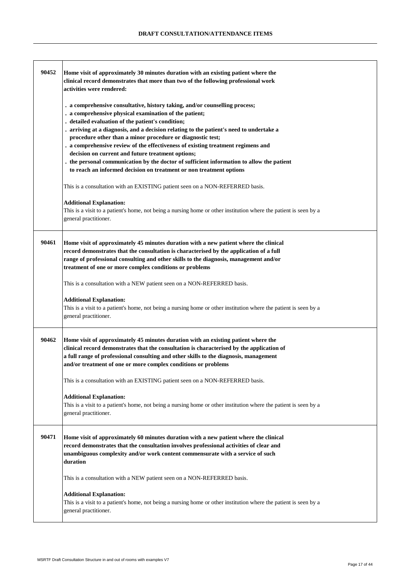| 90452 | Home visit of approximately 30 minutes duration with an existing patient where the<br>clinical record demonstrates that more than two of the following professional work<br>activities were rendered:                                                                                                                                                                                                                                                                                                                                                                                                                                                                                                                                                                                                                                                                                                  |
|-------|--------------------------------------------------------------------------------------------------------------------------------------------------------------------------------------------------------------------------------------------------------------------------------------------------------------------------------------------------------------------------------------------------------------------------------------------------------------------------------------------------------------------------------------------------------------------------------------------------------------------------------------------------------------------------------------------------------------------------------------------------------------------------------------------------------------------------------------------------------------------------------------------------------|
|       | . a comprehensive consultative, history taking, and/or counselling process;<br>. a comprehensive physical examination of the patient;<br>. detailed evaluation of the patient's condition;<br>. arriving at a diagnosis, and a decision relating to the patient's need to undertake a<br>procedure other than a minor procedure or diagnostic test;<br>. a comprehensive review of the effectiveness of existing treatment regimens and<br>decision on current and future treatment options;<br>the personal communication by the doctor of sufficient information to allow the patient<br>to reach an informed decision on treatment or non treatment options<br>This is a consultation with an EXISTING patient seen on a NON-REFERRED basis.<br><b>Additional Explanation:</b><br>This is a visit to a patient's home, not being a nursing home or other institution where the patient is seen by a |
|       | general practitioner.                                                                                                                                                                                                                                                                                                                                                                                                                                                                                                                                                                                                                                                                                                                                                                                                                                                                                  |
| 90461 | Home visit of approximately 45 minutes duration with a new patient where the clinical<br>record demonstrates that the consultation is characterised by the application of a full<br>range of professional consulting and other skills to the diagnosis, management and/or<br>treatment of one or more complex conditions or problems                                                                                                                                                                                                                                                                                                                                                                                                                                                                                                                                                                   |
|       | This is a consultation with a NEW patient seen on a NON-REFERRED basis.                                                                                                                                                                                                                                                                                                                                                                                                                                                                                                                                                                                                                                                                                                                                                                                                                                |
|       | <b>Additional Explanation:</b><br>This is a visit to a patient's home, not being a nursing home or other institution where the patient is seen by a<br>general practitioner.                                                                                                                                                                                                                                                                                                                                                                                                                                                                                                                                                                                                                                                                                                                           |
| 90462 | Home visit of approximately 45 minutes duration with an existing patient where the<br>clinical record demonstrates that the consultation is characterised by the application of<br>a full range of professional consulting and other skills to the diagnosis, management<br>and/or treatment of one or more complex conditions or problems                                                                                                                                                                                                                                                                                                                                                                                                                                                                                                                                                             |
|       | This is a consultation with an EXISTING patient seen on a NON-REFERRED basis.                                                                                                                                                                                                                                                                                                                                                                                                                                                                                                                                                                                                                                                                                                                                                                                                                          |
|       | <b>Additional Explanation:</b><br>This is a visit to a patient's home, not being a nursing home or other institution where the patient is seen by a<br>general practitioner.                                                                                                                                                                                                                                                                                                                                                                                                                                                                                                                                                                                                                                                                                                                           |
| 90471 | Home visit of approximately 60 minutes duration with a new patient where the clinical<br>record demonstrates that the consultation involves professional activities of clear and<br>unambiguous complexity and/or work content commensurate with a service of such<br>duration                                                                                                                                                                                                                                                                                                                                                                                                                                                                                                                                                                                                                         |
|       | This is a consultation with a NEW patient seen on a NON-REFERRED basis.                                                                                                                                                                                                                                                                                                                                                                                                                                                                                                                                                                                                                                                                                                                                                                                                                                |
|       | <b>Additional Explanation:</b><br>This is a visit to a patient's home, not being a nursing home or other institution where the patient is seen by a<br>general practitioner.                                                                                                                                                                                                                                                                                                                                                                                                                                                                                                                                                                                                                                                                                                                           |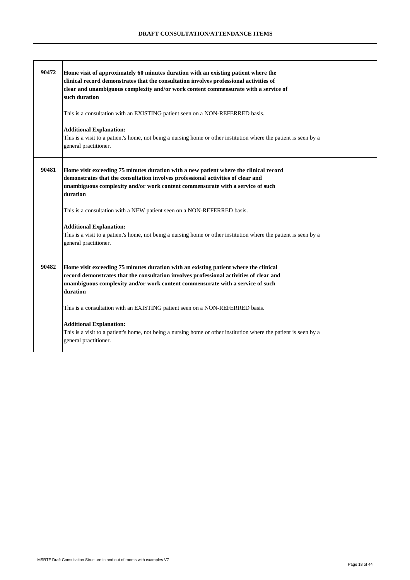| 90472 | Home visit of approximately 60 minutes duration with an existing patient where the<br>clinical record demonstrates that the consultation involves professional activities of<br>clear and unambiguous complexity and/or work content commensurate with a service of<br>such duration<br>This is a consultation with an EXISTING patient seen on a NON-REFERRED basis.<br><b>Additional Explanation:</b> |
|-------|---------------------------------------------------------------------------------------------------------------------------------------------------------------------------------------------------------------------------------------------------------------------------------------------------------------------------------------------------------------------------------------------------------|
|       | This is a visit to a patient's home, not being a nursing home or other institution where the patient is seen by a<br>general practitioner.                                                                                                                                                                                                                                                              |
| 90481 | Home visit exceeding 75 minutes duration with a new patient where the clinical record<br>demonstrates that the consultation involves professional activities of clear and<br>unambiguous complexity and/or work content commensurate with a service of such<br>duration                                                                                                                                 |
|       | This is a consultation with a NEW patient seen on a NON-REFERRED basis.                                                                                                                                                                                                                                                                                                                                 |
|       | <b>Additional Explanation:</b><br>This is a visit to a patient's home, not being a nursing home or other institution where the patient is seen by a<br>general practitioner.                                                                                                                                                                                                                            |
| 90482 | Home visit exceeding 75 minutes duration with an existing patient where the clinical<br>record demonstrates that the consultation involves professional activities of clear and<br>unambiguous complexity and/or work content commensurate with a service of such<br>duration                                                                                                                           |
|       | This is a consultation with an EXISTING patient seen on a NON-REFERRED basis.                                                                                                                                                                                                                                                                                                                           |
|       | <b>Additional Explanation:</b><br>This is a visit to a patient's home, not being a nursing home or other institution where the patient is seen by a<br>general practitioner.                                                                                                                                                                                                                            |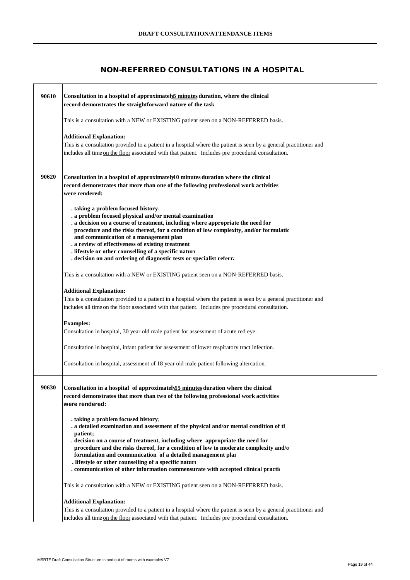# **NON-REFERRED CONSULTATIONS IN A HOSPITAL**

| 90610 | Consultation in a hospital of approximately minutes duration, where the clinical<br>record demonstrates the straightforward nature of the task                                                                                                                                                                                                                                                                                                                                                                                 |
|-------|--------------------------------------------------------------------------------------------------------------------------------------------------------------------------------------------------------------------------------------------------------------------------------------------------------------------------------------------------------------------------------------------------------------------------------------------------------------------------------------------------------------------------------|
|       | This is a consultation with a NEW or EXISTING patient seen on a NON-REFERRED basis.                                                                                                                                                                                                                                                                                                                                                                                                                                            |
|       | <b>Additional Explanation:</b><br>This is a consultation provided to a patient in a hospital where the patient is seen by a general practitioner and<br>includes all time on the floor associated with that patient. Includes pre procedural consultation.                                                                                                                                                                                                                                                                     |
| 90620 | Consultation in a hospital of approximately $10$ minutes duration where the clinical<br>record demonstrates that more than one of the following professional work activities<br>were rendered:                                                                                                                                                                                                                                                                                                                                 |
|       | . taking a problem focused history<br>. a problem focused physical and/or mental examination<br>. a decision on a course of treatment, including where appropriate the need for<br>procedure and the risks thereof, for a condition of low complexity, and/or formulatio<br>and communication of a management plan<br>. a review of effectiveness of existing treatment<br>. lifestyle or other counselling of a specific nature<br>. decision on and ordering of diagnostic tests or specialist referra                       |
|       | This is a consultation with a NEW or EXISTING patient seen on a NON-REFERRED basis.                                                                                                                                                                                                                                                                                                                                                                                                                                            |
|       | <b>Additional Explanation:</b><br>This is a consultation provided to a patient in a hospital where the patient is seen by a general practitioner and<br>includes all time on the floor associated with that patient. Includes pre procedural consultation.                                                                                                                                                                                                                                                                     |
|       | <b>Examples:</b><br>Consultation in hospital, 30 year old male patient for assessment of acute red eye.                                                                                                                                                                                                                                                                                                                                                                                                                        |
|       | Consultation in hospital, infant patient for assessment of lower respiratory tract infection.                                                                                                                                                                                                                                                                                                                                                                                                                                  |
|       | Consultation in hospital, assessment of 18 year old male patient following altercation.                                                                                                                                                                                                                                                                                                                                                                                                                                        |
| 90630 | Consultation in a hospital of approximately 15 minutes duration where the clinical<br>record demonstrates that more than two of the following professional work activities<br>were rendered:                                                                                                                                                                                                                                                                                                                                   |
|       | . taking a problem focused history<br>. a detailed examination and assessment of the physical and/or mental condition of the<br>patient;<br>. decision on a course of treatment, including where appropriate the need for<br>procedure and the risks thereof, for a condition of low to moderate complexity and/o<br>formulation and communication of a detailed management plar<br>. lifestyle or other counselling of a specific nature<br>. communication of other information commensurate with accepted clinical praction |
|       | This is a consultation with a NEW or EXISTING patient seen on a NON-REFERRED basis.                                                                                                                                                                                                                                                                                                                                                                                                                                            |
|       | <b>Additional Explanation:</b><br>This is a consultation provided to a patient in a hospital where the patient is seen by a general practitioner and<br>includes all time on the floor associated with that patient. Includes pre procedural consultation.                                                                                                                                                                                                                                                                     |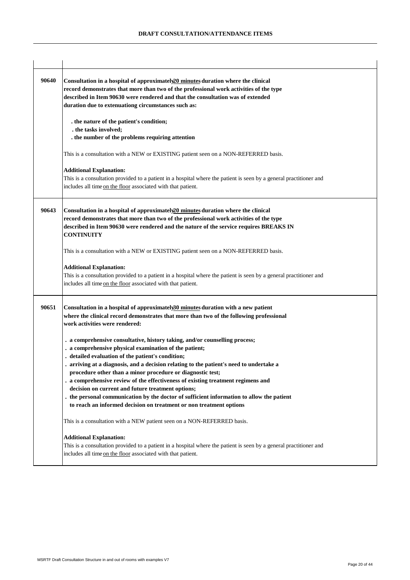| 90640 | Consultation in a hospital of approximately <sup>20</sup> minutes duration where the clinical<br>record demonstrates that more than two of the professional work activities of the type<br>described in Item 90630 were rendered and that the consultation was of extended<br>duration due to extenuationg circumstances such as:<br>. the nature of the patient's condition;<br>. the tasks involved;<br>. the number of the problems requiring attention                                                                                                                                                                                                       |
|-------|------------------------------------------------------------------------------------------------------------------------------------------------------------------------------------------------------------------------------------------------------------------------------------------------------------------------------------------------------------------------------------------------------------------------------------------------------------------------------------------------------------------------------------------------------------------------------------------------------------------------------------------------------------------|
|       | This is a consultation with a NEW or EXISTING patient seen on a NON-REFERRED basis.<br><b>Additional Explanation:</b><br>This is a consultation provided to a patient in a hospital where the patient is seen by a general practitioner and<br>includes all time on the floor associated with that patient.                                                                                                                                                                                                                                                                                                                                                      |
| 90643 | Consultation in a hospital of approximately <sup>20</sup> minutes duration where the clinical<br>record demonstrates that more than two of the professional work activities of the type<br>described in Item 90630 were rendered and the nature of the service requires BREAKS IN<br><b>CONTINUITY</b><br>This is a consultation with a NEW or EXISTING patient seen on a NON-REFERRED basis.                                                                                                                                                                                                                                                                    |
|       | <b>Additional Explanation:</b><br>This is a consultation provided to a patient in a hospital where the patient is seen by a general practitioner and<br>includes all time on the floor associated with that patient.                                                                                                                                                                                                                                                                                                                                                                                                                                             |
| 90651 | Consultation in a hospital of approximately30 minutes duration with a new patient<br>where the clinical record demonstrates that more than two of the following professional<br>work activities were rendered:                                                                                                                                                                                                                                                                                                                                                                                                                                                   |
|       | . a comprehensive consultative, history taking, and/or counselling process;<br>. a comprehensive physical examination of the patient;<br>. detailed evaluation of the patient's condition;<br>. arriving at a diagnosis, and a decision relating to the patient's need to undertake a<br>procedure other than a minor procedure or diagnostic test;<br>. a comprehensive review of the effectiveness of existing treatment regimens and<br>decision on current and future treatment options;<br>. the personal communication by the doctor of sufficient information to allow the patient<br>to reach an informed decision on treatment or non treatment options |
|       | This is a consultation with a NEW patient seen on a NON-REFERRED basis.                                                                                                                                                                                                                                                                                                                                                                                                                                                                                                                                                                                          |
|       | <b>Additional Explanation:</b><br>This is a consultation provided to a patient in a hospital where the patient is seen by a general practitioner and<br>includes all time on the floor associated with that patient.                                                                                                                                                                                                                                                                                                                                                                                                                                             |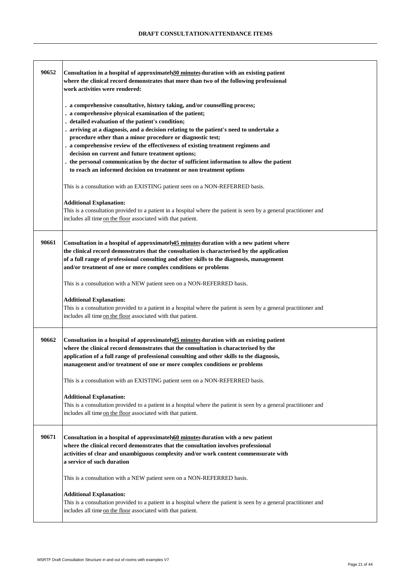| This is a consultation with an EXISTING patient seen on a NON-REFERRED basis.<br><b>Additional Explanation:</b><br>This is a consultation provided to a patient in a hospital where the patient is seen by a general practitioner and<br>includes all time on the floor associated with that patient.<br>90661<br>Consultation in a hospital of approximately 45 minutes duration with a new patient where<br>the clinical record demonstrates that the consultation is characterised by the application<br>of a full range of professional consulting and other skills to the diagnosis, management<br>and/or treatment of one or more complex conditions or problems<br>This is a consultation with a NEW patient seen on a NON-REFERRED basis.<br><b>Additional Explanation:</b><br>This is a consultation provided to a patient in a hospital where the patient is seen by a general practitioner and<br>includes all time on the floor associated with that patient.<br>90662<br>Consultation in a hospital of approximately 45 minutes duration with an existing patient<br>where the clinical record demonstrates that the consultation is characterised by the<br>application of a full range of professional consulting and other skills to the diagnosis,<br>management and/or treatment of one or more complex conditions or problems<br>This is a consultation with an EXISTING patient seen on a NON-REFERRED basis.<br><b>Additional Explanation:</b><br>This is a consultation provided to a patient in a hospital where the patient is seen by a general practitioner and<br>includes all time on the floor associated with that patient.<br>90671<br>Consultation in a hospital of approximately of minutes duration with a new patient<br>where the clinical record demonstrates that the consultation involves professional<br>activities of clear and unambiguous complexity and/or work content commensurate with<br>a service of such duration<br>This is a consultation with a NEW patient seen on a NON-REFERRED basis.<br><b>Additional Explanation:</b><br>This is a consultation provided to a patient in a hospital where the patient is seen by a general practitioner and | 90652 | Consultation in a hospital of approximately 30 minutes duration with an existing patient<br>where the clinical record demonstrates that more than two of the following professional<br>work activities were rendered:<br>. a comprehensive consultative, history taking, and/or counselling process;<br>. a comprehensive physical examination of the patient;<br>detailed evaluation of the patient's condition;<br>. arriving at a diagnosis, and a decision relating to the patient's need to undertake a<br>procedure other than a minor procedure or diagnostic test;<br>. a comprehensive review of the effectiveness of existing treatment regimens and<br>decision on current and future treatment options;<br>. the personal communication by the doctor of sufficient information to allow the patient<br>to reach an informed decision on treatment or non treatment options |
|---------------------------------------------------------------------------------------------------------------------------------------------------------------------------------------------------------------------------------------------------------------------------------------------------------------------------------------------------------------------------------------------------------------------------------------------------------------------------------------------------------------------------------------------------------------------------------------------------------------------------------------------------------------------------------------------------------------------------------------------------------------------------------------------------------------------------------------------------------------------------------------------------------------------------------------------------------------------------------------------------------------------------------------------------------------------------------------------------------------------------------------------------------------------------------------------------------------------------------------------------------------------------------------------------------------------------------------------------------------------------------------------------------------------------------------------------------------------------------------------------------------------------------------------------------------------------------------------------------------------------------------------------------------------------------------------------------------------------------------------------------------------------------------------------------------------------------------------------------------------------------------------------------------------------------------------------------------------------------------------------------------------------------------------------------------------------------------------------------------------------------------------------------------------------------------------------------|-------|-----------------------------------------------------------------------------------------------------------------------------------------------------------------------------------------------------------------------------------------------------------------------------------------------------------------------------------------------------------------------------------------------------------------------------------------------------------------------------------------------------------------------------------------------------------------------------------------------------------------------------------------------------------------------------------------------------------------------------------------------------------------------------------------------------------------------------------------------------------------------------------------|
|                                                                                                                                                                                                                                                                                                                                                                                                                                                                                                                                                                                                                                                                                                                                                                                                                                                                                                                                                                                                                                                                                                                                                                                                                                                                                                                                                                                                                                                                                                                                                                                                                                                                                                                                                                                                                                                                                                                                                                                                                                                                                                                                                                                                         |       |                                                                                                                                                                                                                                                                                                                                                                                                                                                                                                                                                                                                                                                                                                                                                                                                                                                                                         |
|                                                                                                                                                                                                                                                                                                                                                                                                                                                                                                                                                                                                                                                                                                                                                                                                                                                                                                                                                                                                                                                                                                                                                                                                                                                                                                                                                                                                                                                                                                                                                                                                                                                                                                                                                                                                                                                                                                                                                                                                                                                                                                                                                                                                         |       |                                                                                                                                                                                                                                                                                                                                                                                                                                                                                                                                                                                                                                                                                                                                                                                                                                                                                         |
|                                                                                                                                                                                                                                                                                                                                                                                                                                                                                                                                                                                                                                                                                                                                                                                                                                                                                                                                                                                                                                                                                                                                                                                                                                                                                                                                                                                                                                                                                                                                                                                                                                                                                                                                                                                                                                                                                                                                                                                                                                                                                                                                                                                                         |       |                                                                                                                                                                                                                                                                                                                                                                                                                                                                                                                                                                                                                                                                                                                                                                                                                                                                                         |
|                                                                                                                                                                                                                                                                                                                                                                                                                                                                                                                                                                                                                                                                                                                                                                                                                                                                                                                                                                                                                                                                                                                                                                                                                                                                                                                                                                                                                                                                                                                                                                                                                                                                                                                                                                                                                                                                                                                                                                                                                                                                                                                                                                                                         |       |                                                                                                                                                                                                                                                                                                                                                                                                                                                                                                                                                                                                                                                                                                                                                                                                                                                                                         |
|                                                                                                                                                                                                                                                                                                                                                                                                                                                                                                                                                                                                                                                                                                                                                                                                                                                                                                                                                                                                                                                                                                                                                                                                                                                                                                                                                                                                                                                                                                                                                                                                                                                                                                                                                                                                                                                                                                                                                                                                                                                                                                                                                                                                         |       |                                                                                                                                                                                                                                                                                                                                                                                                                                                                                                                                                                                                                                                                                                                                                                                                                                                                                         |
|                                                                                                                                                                                                                                                                                                                                                                                                                                                                                                                                                                                                                                                                                                                                                                                                                                                                                                                                                                                                                                                                                                                                                                                                                                                                                                                                                                                                                                                                                                                                                                                                                                                                                                                                                                                                                                                                                                                                                                                                                                                                                                                                                                                                         |       |                                                                                                                                                                                                                                                                                                                                                                                                                                                                                                                                                                                                                                                                                                                                                                                                                                                                                         |
|                                                                                                                                                                                                                                                                                                                                                                                                                                                                                                                                                                                                                                                                                                                                                                                                                                                                                                                                                                                                                                                                                                                                                                                                                                                                                                                                                                                                                                                                                                                                                                                                                                                                                                                                                                                                                                                                                                                                                                                                                                                                                                                                                                                                         |       |                                                                                                                                                                                                                                                                                                                                                                                                                                                                                                                                                                                                                                                                                                                                                                                                                                                                                         |
| includes all time on the floor associated with that patient.                                                                                                                                                                                                                                                                                                                                                                                                                                                                                                                                                                                                                                                                                                                                                                                                                                                                                                                                                                                                                                                                                                                                                                                                                                                                                                                                                                                                                                                                                                                                                                                                                                                                                                                                                                                                                                                                                                                                                                                                                                                                                                                                            |       |                                                                                                                                                                                                                                                                                                                                                                                                                                                                                                                                                                                                                                                                                                                                                                                                                                                                                         |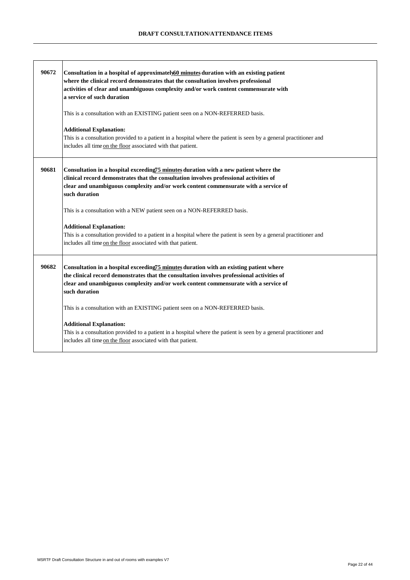| 90672 | Consultation in a hospital of approximately 60 minutes duration with an existing patient<br>where the clinical record demonstrates that the consultation involves professional<br>activities of clear and unambiguous complexity and/or work content commensurate with<br>a service of such duration<br>This is a consultation with an EXISTING patient seen on a NON-REFERRED basis. |
|-------|---------------------------------------------------------------------------------------------------------------------------------------------------------------------------------------------------------------------------------------------------------------------------------------------------------------------------------------------------------------------------------------|
|       | <b>Additional Explanation:</b><br>This is a consultation provided to a patient in a hospital where the patient is seen by a general practitioner and<br>includes all time on the floor associated with that patient.                                                                                                                                                                  |
| 90681 | Consultation in a hospital exceeding 75 minutes duration with a new patient where the<br>clinical record demonstrates that the consultation involves professional activities of<br>clear and unambiguous complexity and/or work content commensurate with a service of<br>such duration                                                                                               |
|       | This is a consultation with a NEW patient seen on a NON-REFERRED basis.<br><b>Additional Explanation:</b>                                                                                                                                                                                                                                                                             |
|       | This is a consultation provided to a patient in a hospital where the patient is seen by a general practitioner and<br>includes all time on the floor associated with that patient.                                                                                                                                                                                                    |
| 90682 | Consultation in a hospital exceeding75 minutes duration with an existing patient where<br>the clinical record demonstrates that the consultation involves professional activities of<br>clear and unambiguous complexity and/or work content commensurate with a service of<br>such duration                                                                                          |
|       | This is a consultation with an EXISTING patient seen on a NON-REFERRED basis.                                                                                                                                                                                                                                                                                                         |
|       | <b>Additional Explanation:</b><br>This is a consultation provided to a patient in a hospital where the patient is seen by a general practitioner and<br>includes all time on the floor associated with that patient.                                                                                                                                                                  |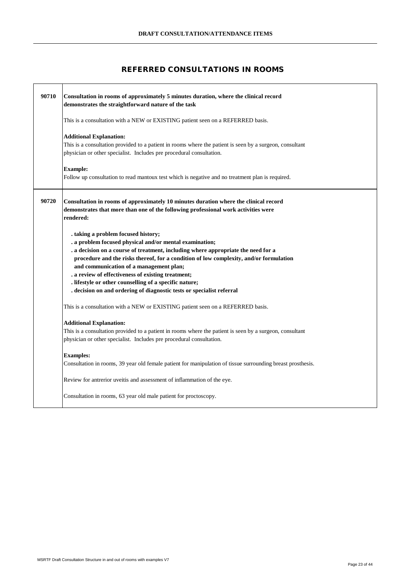## **REFERRED CONSULTATIONS IN ROOMS**

| 90710 | Consultation in rooms of approximately 5 minutes duration, where the clinical record<br>demonstrates the straightforward nature of the task                                                                                                                                                                                                                                                                                                                                                                     |
|-------|-----------------------------------------------------------------------------------------------------------------------------------------------------------------------------------------------------------------------------------------------------------------------------------------------------------------------------------------------------------------------------------------------------------------------------------------------------------------------------------------------------------------|
|       | This is a consultation with a NEW or EXISTING patient seen on a REFERRED basis.                                                                                                                                                                                                                                                                                                                                                                                                                                 |
|       | <b>Additional Explanation:</b><br>This is a consultation provided to a patient in rooms where the patient is seen by a surgeon, consultant<br>physician or other specialist. Includes pre procedural consultation.                                                                                                                                                                                                                                                                                              |
|       | <b>Example:</b><br>Follow up consultation to read mantoux test which is negative and no treatment plan is required.                                                                                                                                                                                                                                                                                                                                                                                             |
| 90720 | Consultation in rooms of approximately 10 minutes duration where the clinical record<br>demonstrates that more than one of the following professional work activities were<br>rendered:                                                                                                                                                                                                                                                                                                                         |
|       | . taking a problem focused history;<br>. a problem focused physical and/or mental examination;<br>a decision on a course of treatment, including where appropriate the need for a<br>procedure and the risks thereof, for a condition of low complexity, and/or formulation<br>and communication of a management plan;<br>. a review of effectiveness of existing treatment;<br>. lifestyle or other counselling of a specific nature;<br>. decision on and ordering of diagnostic tests or specialist referral |
|       | This is a consultation with a NEW or EXISTING patient seen on a REFERRED basis.                                                                                                                                                                                                                                                                                                                                                                                                                                 |
|       | <b>Additional Explanation:</b><br>This is a consultation provided to a patient in rooms where the patient is seen by a surgeon, consultant<br>physician or other specialist. Includes pre procedural consultation.                                                                                                                                                                                                                                                                                              |
|       | <b>Examples:</b><br>Consultation in rooms, 39 year old female patient for manipulation of tissue surrounding breast prosthesis.                                                                                                                                                                                                                                                                                                                                                                                 |
|       | Review for antrerior uveitis and assessment of inflammation of the eye.                                                                                                                                                                                                                                                                                                                                                                                                                                         |
|       | Consultation in rooms, 63 year old male patient for proctoscopy.                                                                                                                                                                                                                                                                                                                                                                                                                                                |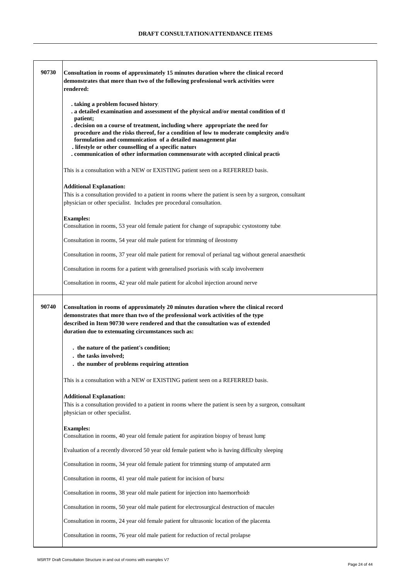| 90730 | Consultation in rooms of approximately 15 minutes duration where the clinical record<br>demonstrates that more than two of the following professional work activities were<br>rendered:                                                                                                                          |
|-------|------------------------------------------------------------------------------------------------------------------------------------------------------------------------------------------------------------------------------------------------------------------------------------------------------------------|
|       |                                                                                                                                                                                                                                                                                                                  |
|       | . taking a problem focused history<br>. a detailed examination and assessment of the physical and/or mental condition of th                                                                                                                                                                                      |
|       | patient;<br>. decision on a course of treatment, including where appropriate the need for<br>procedure and the risks thereof, for a condition of low to moderate complexity and/o<br>formulation and communication of a detailed management plar                                                                 |
|       | . lifestyle or other counselling of a specific nature<br>. communication of other information commensurate with accepted clinical praction                                                                                                                                                                       |
|       | This is a consultation with a NEW or EXISTING patient seen on a REFERRED basis.                                                                                                                                                                                                                                  |
|       | <b>Additional Explanation:</b>                                                                                                                                                                                                                                                                                   |
|       | This is a consultation provided to a patient in rooms where the patient is seen by a surgeon, consultant<br>physician or other specialist. Includes pre procedural consultation.                                                                                                                                 |
|       | <b>Examples:</b><br>Consultation in rooms, 53 year old female patient for change of suprapubic cystostomy tube.                                                                                                                                                                                                  |
|       | Consultation in rooms, 54 year old male patient for trimming of ileostomy                                                                                                                                                                                                                                        |
|       | Consultation in rooms, 37 year old male patient for removal of perianal tag without general anaesthetic                                                                                                                                                                                                          |
|       | Consultation in rooms for a patient with generalised psoriasis with scalp involvement                                                                                                                                                                                                                            |
|       | Consultation in rooms, 42 year old male patient for alcohol injection around nerve                                                                                                                                                                                                                               |
| 90740 | Consultation in rooms of approximately 20 minutes duration where the clinical record<br>demonstrates that more than two of the professional work activities of the type<br>described in Item 90730 were rendered and that the consultation was of extended<br>duration due to extenuating circumstances such as: |
|       |                                                                                                                                                                                                                                                                                                                  |
|       | . the nature of the patient's condition;<br>. the tasks involved;                                                                                                                                                                                                                                                |
|       | . the number of problems requiring attention                                                                                                                                                                                                                                                                     |
|       | This is a consultation with a NEW or EXISTING patient seen on a REFERRED basis.                                                                                                                                                                                                                                  |
|       | <b>Additional Explanation:</b><br>This is a consultation provided to a patient in rooms where the patient is seen by a surgeon, consultant<br>physician or other specialist.                                                                                                                                     |
|       | <b>Examples:</b><br>Consultation in rooms, 40 year old female patient for aspiration biopsy of breast lump                                                                                                                                                                                                       |
|       | Evaluation of a recently divorced 50 year old female patient who is having difficulty sleeping                                                                                                                                                                                                                   |
|       | Consultation in rooms, 34 year old female patient for trimming stump of amputated arm                                                                                                                                                                                                                            |
|       | Consultation in rooms, 41 year old male patient for incision of bursa                                                                                                                                                                                                                                            |
|       | Consultation in rooms, 38 year old male patient for injection into haemorrhoids                                                                                                                                                                                                                                  |
|       | Consultation in rooms, 50 year old male patient for electrosurgical destruction of macules                                                                                                                                                                                                                       |
|       | Consultation in rooms, 24 year old female patient for ultrasonic location of the placenta                                                                                                                                                                                                                        |
|       | Consultation in rooms, 76 year old male patient for reduction of rectal prolapse                                                                                                                                                                                                                                 |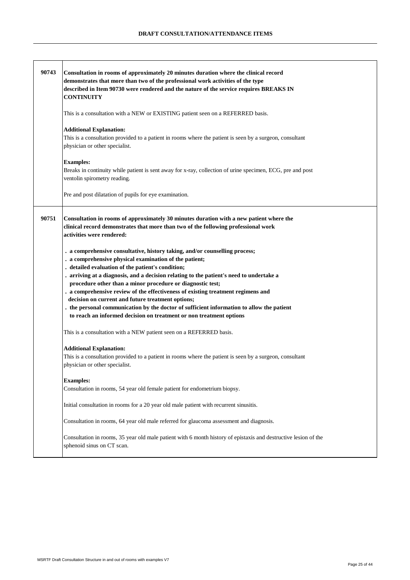| 90743 | Consultation in rooms of approximately 20 minutes duration where the clinical record<br>demonstrates that more than two of the professional work activities of the type<br>described in Item 90730 were rendered and the nature of the service requires BREAKS IN<br><b>CONTINUITY</b>                                                                                                                                                                                                                                                                                                                                                                           |
|-------|------------------------------------------------------------------------------------------------------------------------------------------------------------------------------------------------------------------------------------------------------------------------------------------------------------------------------------------------------------------------------------------------------------------------------------------------------------------------------------------------------------------------------------------------------------------------------------------------------------------------------------------------------------------|
|       | This is a consultation with a NEW or EXISTING patient seen on a REFERRED basis.                                                                                                                                                                                                                                                                                                                                                                                                                                                                                                                                                                                  |
|       | <b>Additional Explanation:</b><br>This is a consultation provided to a patient in rooms where the patient is seen by a surgeon, consultant<br>physician or other specialist.                                                                                                                                                                                                                                                                                                                                                                                                                                                                                     |
|       | <b>Examples:</b><br>Breaks in continuity while patient is sent away for x-ray, collection of urine specimen, ECG, pre and post<br>ventolin spirometry reading.                                                                                                                                                                                                                                                                                                                                                                                                                                                                                                   |
|       | Pre and post dilatation of pupils for eye examination.                                                                                                                                                                                                                                                                                                                                                                                                                                                                                                                                                                                                           |
| 90751 | Consultation in rooms of approximately 30 minutes duration with a new patient where the<br>clinical record demonstrates that more than two of the following professional work<br>activities were rendered:                                                                                                                                                                                                                                                                                                                                                                                                                                                       |
|       | . a comprehensive consultative, history taking, and/or counselling process;<br>. a comprehensive physical examination of the patient;<br>. detailed evaluation of the patient's condition;<br>. arriving at a diagnosis, and a decision relating to the patient's need to undertake a<br>procedure other than a minor procedure or diagnostic test;<br>. a comprehensive review of the effectiveness of existing treatment regimens and<br>decision on current and future treatment options;<br>. the personal communication by the doctor of sufficient information to allow the patient<br>to reach an informed decision on treatment or non treatment options |
|       | This is a consultation with a NEW patient seen on a REFERRED basis.                                                                                                                                                                                                                                                                                                                                                                                                                                                                                                                                                                                              |
|       | <b>Additional Explanation:</b><br>This is a consultation provided to a patient in rooms where the patient is seen by a surgeon, consultant<br>physician or other specialist.                                                                                                                                                                                                                                                                                                                                                                                                                                                                                     |
|       | <b>Examples:</b><br>Consultation in rooms, 54 year old female patient for endometrium biopsy.                                                                                                                                                                                                                                                                                                                                                                                                                                                                                                                                                                    |
|       | Initial consultation in rooms for a 20 year old male patient with recurrent sinusitis.                                                                                                                                                                                                                                                                                                                                                                                                                                                                                                                                                                           |
|       | Consultation in rooms, 64 year old male referred for glaucoma assessment and diagnosis.                                                                                                                                                                                                                                                                                                                                                                                                                                                                                                                                                                          |
|       | Consultation in rooms, 35 year old male patient with 6 month history of epistaxis and destructive lesion of the<br>sphenoid sinus on CT scan.                                                                                                                                                                                                                                                                                                                                                                                                                                                                                                                    |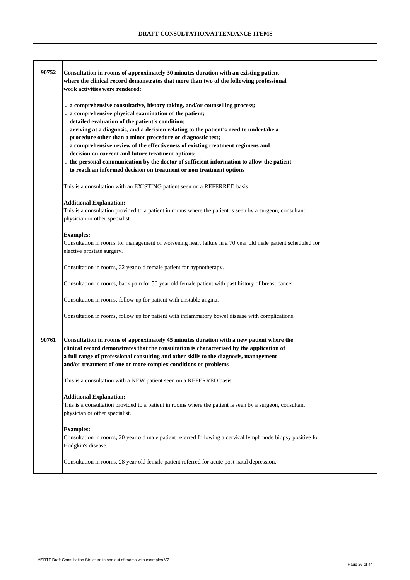| 90752 | Consultation in rooms of approximately 30 minutes duration with an existing patient<br>where the clinical record demonstrates that more than two of the following professional<br>work activities were rendered:                                                                                                                                                                                                                                                                                                                                                                                                                                                 |
|-------|------------------------------------------------------------------------------------------------------------------------------------------------------------------------------------------------------------------------------------------------------------------------------------------------------------------------------------------------------------------------------------------------------------------------------------------------------------------------------------------------------------------------------------------------------------------------------------------------------------------------------------------------------------------|
|       | . a comprehensive consultative, history taking, and/or counselling process;<br>. a comprehensive physical examination of the patient;<br>. detailed evaluation of the patient's condition;<br>. arriving at a diagnosis, and a decision relating to the patient's need to undertake a<br>procedure other than a minor procedure or diagnostic test;<br>. a comprehensive review of the effectiveness of existing treatment regimens and<br>decision on current and future treatment options;<br>. the personal communication by the doctor of sufficient information to allow the patient<br>to reach an informed decision on treatment or non treatment options |
|       | This is a consultation with an EXISTING patient seen on a REFERRED basis.                                                                                                                                                                                                                                                                                                                                                                                                                                                                                                                                                                                        |
|       | <b>Additional Explanation:</b><br>This is a consultation provided to a patient in rooms where the patient is seen by a surgeon, consultant<br>physician or other specialist.                                                                                                                                                                                                                                                                                                                                                                                                                                                                                     |
|       | <b>Examples:</b><br>Consultation in rooms for management of worsening heart failure in a 70 year old male patient scheduled for<br>elective prostate surgery.                                                                                                                                                                                                                                                                                                                                                                                                                                                                                                    |
|       | Consultation in rooms, 32 year old female patient for hypnotherapy.                                                                                                                                                                                                                                                                                                                                                                                                                                                                                                                                                                                              |
|       | Consultation in rooms, back pain for 50 year old female patient with past history of breast cancer.                                                                                                                                                                                                                                                                                                                                                                                                                                                                                                                                                              |
|       | Consultation in rooms, follow up for patient with unstable angina.                                                                                                                                                                                                                                                                                                                                                                                                                                                                                                                                                                                               |
|       | Consultation in rooms, follow up for patient with inflammatory bowel disease with complications.                                                                                                                                                                                                                                                                                                                                                                                                                                                                                                                                                                 |
| 90761 | Consultation in rooms of approximately 45 minutes duration with a new patient where the<br>clinical record demonstrates that the consultation is characterised by the application of<br>a full range of professional consulting and other skills to the diagnosis, management<br>and/or treatment of one or more complex conditions or problems                                                                                                                                                                                                                                                                                                                  |
|       | This is a consultation with a NEW patient seen on a REFERRED basis.                                                                                                                                                                                                                                                                                                                                                                                                                                                                                                                                                                                              |
|       | <b>Additional Explanation:</b><br>This is a consultation provided to a patient in rooms where the patient is seen by a surgeon, consultant<br>physician or other specialist.                                                                                                                                                                                                                                                                                                                                                                                                                                                                                     |
|       | <b>Examples:</b><br>Consultation in rooms, 20 year old male patient referred following a cervical lymph node biopsy positive for<br>Hodgkin's disease.                                                                                                                                                                                                                                                                                                                                                                                                                                                                                                           |
|       | Consultation in rooms, 28 year old female patient referred for acute post-natal depression.                                                                                                                                                                                                                                                                                                                                                                                                                                                                                                                                                                      |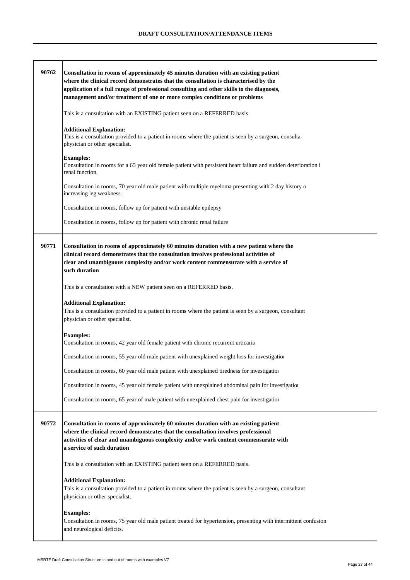| 90762 | Consultation in rooms of approximately 45 minutes duration with an existing patient<br>where the clinical record demonstrates that the consultation is characterised by the<br>application of a full range of professional consulting and other skills to the diagnosis,<br>management and/or treatment of one or more complex conditions or problems<br>This is a consultation with an EXISTING patient seen on a REFERRED basis.<br><b>Additional Explanation:</b><br>This is a consultation provided to a patient in rooms where the patient is seen by a surgeon, consultar<br>physician or other specialist.<br><b>Examples:</b><br>Consultation in rooms for a 65 year old female patient with persistent heart failure and sudden deterioration i<br>renal function. |
|-------|-----------------------------------------------------------------------------------------------------------------------------------------------------------------------------------------------------------------------------------------------------------------------------------------------------------------------------------------------------------------------------------------------------------------------------------------------------------------------------------------------------------------------------------------------------------------------------------------------------------------------------------------------------------------------------------------------------------------------------------------------------------------------------|
|       | Consultation in rooms, 70 year old male patient with multiple myeloma presenting with 2 day history of<br>increasing leg weakness.                                                                                                                                                                                                                                                                                                                                                                                                                                                                                                                                                                                                                                          |
|       | Consultation in rooms, follow up for patient with unstable epilepsy<br>Consultation in rooms, follow up for patient with chronic renal failure                                                                                                                                                                                                                                                                                                                                                                                                                                                                                                                                                                                                                              |
|       |                                                                                                                                                                                                                                                                                                                                                                                                                                                                                                                                                                                                                                                                                                                                                                             |
| 90771 | Consultation in rooms of approximately 60 minutes duration with a new patient where the<br>clinical record demonstrates that the consultation involves professional activities of<br>clear and unambiguous complexity and/or work content commensurate with a service of<br>such duration                                                                                                                                                                                                                                                                                                                                                                                                                                                                                   |
|       | This is a consultation with a NEW patient seen on a REFERRED basis.                                                                                                                                                                                                                                                                                                                                                                                                                                                                                                                                                                                                                                                                                                         |
|       | <b>Additional Explanation:</b><br>This is a consultation provided to a patient in rooms where the patient is seen by a surgeon, consultant<br>physician or other specialist.                                                                                                                                                                                                                                                                                                                                                                                                                                                                                                                                                                                                |
|       | <b>Examples:</b><br>Consultation in rooms, 42 year old female patient with chronic recurrent urticaria                                                                                                                                                                                                                                                                                                                                                                                                                                                                                                                                                                                                                                                                      |
|       | Consultation in rooms, 55 year old male patient with unexplained weight loss for investigation                                                                                                                                                                                                                                                                                                                                                                                                                                                                                                                                                                                                                                                                              |
|       | Consultation in rooms, 60 year old male patient with unexplained tiredness for investigation                                                                                                                                                                                                                                                                                                                                                                                                                                                                                                                                                                                                                                                                                |
|       | Consultation in rooms, 45 year old female patient with unexplained abdominal pain for investigation                                                                                                                                                                                                                                                                                                                                                                                                                                                                                                                                                                                                                                                                         |
|       | Consultation in rooms, 65 year of male patient with unexplained chest pain for investigation                                                                                                                                                                                                                                                                                                                                                                                                                                                                                                                                                                                                                                                                                |
| 90772 | Consultation in rooms of approximately 60 minutes duration with an existing patient<br>where the clinical record demonstrates that the consultation involves professional<br>activities of clear and unambiguous complexity and/or work content commensurate with<br>a service of such duration                                                                                                                                                                                                                                                                                                                                                                                                                                                                             |
|       | This is a consultation with an EXISTING patient seen on a REFERRED basis.                                                                                                                                                                                                                                                                                                                                                                                                                                                                                                                                                                                                                                                                                                   |
|       | <b>Additional Explanation:</b><br>This is a consultation provided to a patient in rooms where the patient is seen by a surgeon, consultant<br>physician or other specialist.                                                                                                                                                                                                                                                                                                                                                                                                                                                                                                                                                                                                |
|       | <b>Examples:</b><br>Consultation in rooms, 75 year old male patient treated for hypertension, presenting with intermittent confusion<br>and neurological deficits.                                                                                                                                                                                                                                                                                                                                                                                                                                                                                                                                                                                                          |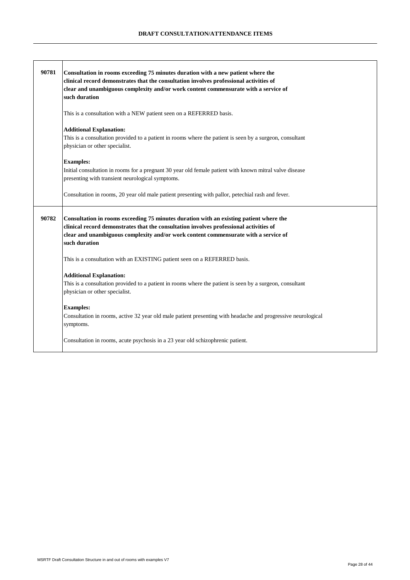| 90781 | Consultation in rooms exceeding 75 minutes duration with a new patient where the<br>clinical record demonstrates that the consultation involves professional activities of<br>clear and unambiguous complexity and/or work content commensurate with a service of<br>such duration       |
|-------|------------------------------------------------------------------------------------------------------------------------------------------------------------------------------------------------------------------------------------------------------------------------------------------|
|       | This is a consultation with a NEW patient seen on a REFERRED basis.                                                                                                                                                                                                                      |
|       | <b>Additional Explanation:</b><br>This is a consultation provided to a patient in rooms where the patient is seen by a surgeon, consultant<br>physician or other specialist.                                                                                                             |
|       | <b>Examples:</b><br>Initial consultation in rooms for a pregnant 30 year old female patient with known mitral valve disease<br>presenting with transient neurological symptoms.                                                                                                          |
|       | Consultation in rooms, 20 year old male patient presenting with pallor, petechial rash and fever.                                                                                                                                                                                        |
| 90782 | Consultation in rooms exceeding 75 minutes duration with an existing patient where the<br>clinical record demonstrates that the consultation involves professional activities of<br>clear and unambiguous complexity and/or work content commensurate with a service of<br>such duration |
|       | This is a consultation with an EXISTING patient seen on a REFERRED basis.                                                                                                                                                                                                                |
|       | <b>Additional Explanation:</b><br>This is a consultation provided to a patient in rooms where the patient is seen by a surgeon, consultant<br>physician or other specialist.                                                                                                             |
|       | <b>Examples:</b><br>Consultation in rooms, active 32 year old male patient presenting with headache and progressive neurological<br>symptoms.                                                                                                                                            |
|       | Consultation in rooms, acute psychosis in a 23 year old schizophrenic patient.                                                                                                                                                                                                           |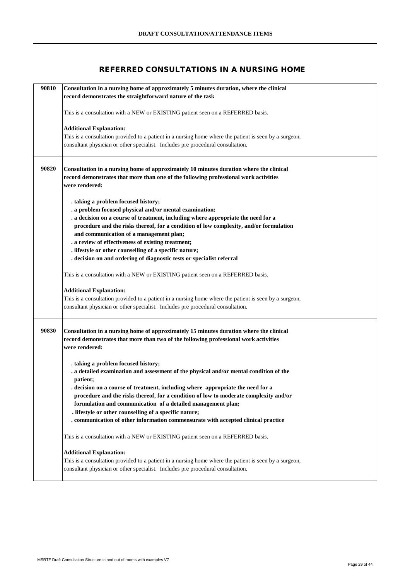# **REFERRED CONSULTATIONS IN A NURSING HOME**

| 90810 | Consultation in a nursing home of approximately 5 minutes duration, where the clinical                                                                                                    |
|-------|-------------------------------------------------------------------------------------------------------------------------------------------------------------------------------------------|
|       | record demonstrates the straightforward nature of the task                                                                                                                                |
|       |                                                                                                                                                                                           |
|       | This is a consultation with a NEW or EXISTING patient seen on a REFERRED basis.                                                                                                           |
|       | <b>Additional Explanation:</b>                                                                                                                                                            |
|       | This is a consultation provided to a patient in a nursing home where the patient is seen by a surgeon,                                                                                    |
|       | consultant physician or other specialist. Includes pre procedural consultation.                                                                                                           |
|       |                                                                                                                                                                                           |
|       |                                                                                                                                                                                           |
| 90820 | Consultation in a nursing home of approximately 10 minutes duration where the clinical                                                                                                    |
|       | record demonstrates that more than one of the following professional work activities                                                                                                      |
|       | were rendered:                                                                                                                                                                            |
|       | . taking a problem focused history;                                                                                                                                                       |
|       | . a problem focused physical and/or mental examination;                                                                                                                                   |
|       | . a decision on a course of treatment, including where appropriate the need for a                                                                                                         |
|       | procedure and the risks thereof, for a condition of low complexity, and/or formulation                                                                                                    |
|       | and communication of a management plan;                                                                                                                                                   |
|       | . a review of effectiveness of existing treatment;                                                                                                                                        |
|       | . lifestyle or other counselling of a specific nature;                                                                                                                                    |
|       | . decision on and ordering of diagnostic tests or specialist referral                                                                                                                     |
|       | This is a consultation with a NEW or EXISTING patient seen on a REFERRED basis.                                                                                                           |
|       |                                                                                                                                                                                           |
|       | <b>Additional Explanation:</b>                                                                                                                                                            |
|       | This is a consultation provided to a patient in a nursing home where the patient is seen by a surgeon,                                                                                    |
|       | consultant physician or other specialist. Includes pre procedural consultation.                                                                                                           |
|       |                                                                                                                                                                                           |
| 90830 | Consultation in a nursing home of approximately 15 minutes duration where the clinical                                                                                                    |
|       | record demonstrates that more than two of the following professional work activities                                                                                                      |
|       | were rendered:                                                                                                                                                                            |
|       |                                                                                                                                                                                           |
|       | . taking a problem focused history;                                                                                                                                                       |
|       | . a detailed examination and assessment of the physical and/or mental condition of the                                                                                                    |
|       | patient;                                                                                                                                                                                  |
|       | . decision on a course of treatment, including where appropriate the need for a<br>procedure and the risks thereof, for a condition of low to moderate complexity and/or                  |
|       | formulation and communication of a detailed management plan;                                                                                                                              |
|       | . lifestyle or other counselling of a specific nature;                                                                                                                                    |
|       | . communication of other information commensurate with accepted clinical practice                                                                                                         |
|       |                                                                                                                                                                                           |
|       | This is a consultation with a NEW or EXISTING patient seen on a REFERRED basis.                                                                                                           |
|       |                                                                                                                                                                                           |
|       | <b>Additional Explanation:</b>                                                                                                                                                            |
|       | This is a consultation provided to a patient in a nursing home where the patient is seen by a surgeon,<br>consultant physician or other specialist. Includes pre procedural consultation. |
|       |                                                                                                                                                                                           |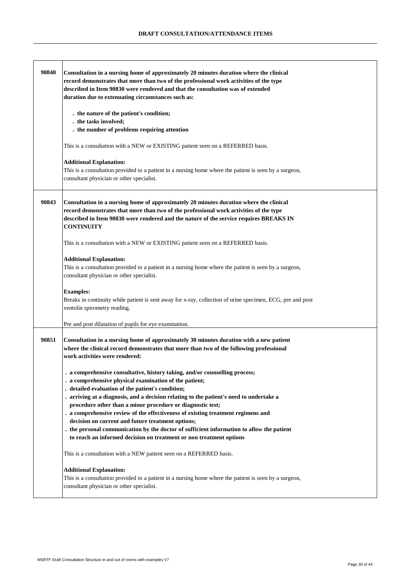| 90840 | Consultation in a nursing home of approximately 20 minutes duration where the clinical<br>record demonstrates that more than two of the professional work activities of the type<br>described in Item 90830 were rendered and that the consultation was of extended<br>duration due to extenuating circumstances such as: |
|-------|---------------------------------------------------------------------------------------------------------------------------------------------------------------------------------------------------------------------------------------------------------------------------------------------------------------------------|
|       | . the nature of the patient's condition;                                                                                                                                                                                                                                                                                  |
|       | . the tasks involved;<br>. the number of problems requiring attention                                                                                                                                                                                                                                                     |
|       |                                                                                                                                                                                                                                                                                                                           |
|       | This is a consultation with a NEW or EXISTING patient seen on a REFERRED basis.                                                                                                                                                                                                                                           |
|       | <b>Additional Explanation:</b><br>This is a consultation provided to a patient in a nursing home where the patient is seen by a surgeon,<br>consultant physician or other specialist.                                                                                                                                     |
| 90843 | Consultation in a nursing home of approximately 20 minutes duration where the clinical<br>record demonstrates that more than two of the professional work activities of the type<br>described in Item 90830 were rendered and the nature of the service requires BREAKS IN<br><b>CONTINUITY</b>                           |
|       | This is a consultation with a NEW or EXISTING patient seen on a REFERRED basis.                                                                                                                                                                                                                                           |
|       | <b>Additional Explanation:</b>                                                                                                                                                                                                                                                                                            |
|       | This is a consultation provided to a patient in a nursing home where the patient is seen by a surgeon,<br>consultant physician or other specialist.                                                                                                                                                                       |
|       | <b>Examples:</b><br>Breaks in continuity while patient is sent away for x-ray, collection of urine specimen, ECG, pre and post<br>ventolin spirometry reading.                                                                                                                                                            |
|       | Pre and post dilatation of pupils for eye examination.                                                                                                                                                                                                                                                                    |
| 90851 | Consultation in a nursing home of approximately 30 minutes duration with a new patient<br>where the clinical record demonstrates that more than two of the following professional<br>work activities were rendered:                                                                                                       |
|       | . a comprehensive consultative, history taking, and/or counselling process;                                                                                                                                                                                                                                               |
|       | . a comprehensive physical examination of the patient;                                                                                                                                                                                                                                                                    |
|       | detailed evaluation of the patient's condition;<br>arriving at a diagnosis, and a decision relating to the patient's need to undertake a                                                                                                                                                                                  |
|       | procedure other than a minor procedure or diagnostic test;                                                                                                                                                                                                                                                                |
|       | . a comprehensive review of the effectiveness of existing treatment regimens and<br>decision on current and future treatment options;                                                                                                                                                                                     |
|       | the personal communication by the doctor of sufficient information to allow the patient<br>to reach an informed decision on treatment or non treatment options                                                                                                                                                            |
|       | This is a consultation with a NEW patient seen on a REFERRED basis.                                                                                                                                                                                                                                                       |
|       | <b>Additional Explanation:</b>                                                                                                                                                                                                                                                                                            |
|       | This is a consultation provided to a patient in a nursing home where the patient is seen by a surgeon,<br>consultant physician or other specialist.                                                                                                                                                                       |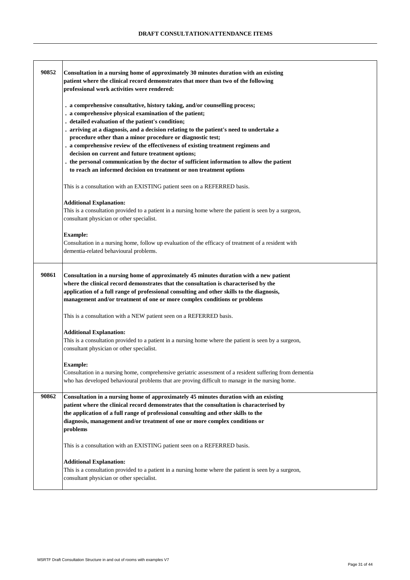| 90852 | Consultation in a nursing home of approximately 30 minutes duration with an existing<br>patient where the clinical record demonstrates that more than two of the following<br>professional work activities were rendered:                                                                                                                                                                                                                                                                                                                                                                                                                                        |
|-------|------------------------------------------------------------------------------------------------------------------------------------------------------------------------------------------------------------------------------------------------------------------------------------------------------------------------------------------------------------------------------------------------------------------------------------------------------------------------------------------------------------------------------------------------------------------------------------------------------------------------------------------------------------------|
|       | . a comprehensive consultative, history taking, and/or counselling process;<br>. a comprehensive physical examination of the patient;<br>. detailed evaluation of the patient's condition;<br>. arriving at a diagnosis, and a decision relating to the patient's need to undertake a<br>procedure other than a minor procedure or diagnostic test;<br>. a comprehensive review of the effectiveness of existing treatment regimens and<br>decision on current and future treatment options;<br>. the personal communication by the doctor of sufficient information to allow the patient<br>to reach an informed decision on treatment or non treatment options |
|       | This is a consultation with an EXISTING patient seen on a REFERRED basis.                                                                                                                                                                                                                                                                                                                                                                                                                                                                                                                                                                                        |
|       | <b>Additional Explanation:</b><br>This is a consultation provided to a patient in a nursing home where the patient is seen by a surgeon,<br>consultant physician or other specialist.                                                                                                                                                                                                                                                                                                                                                                                                                                                                            |
|       | <b>Example:</b><br>Consultation in a nursing home, follow up evaluation of the efficacy of treatment of a resident with<br>dementia-related behavioural problems.                                                                                                                                                                                                                                                                                                                                                                                                                                                                                                |
| 90861 | Consultation in a nursing home of approximately 45 minutes duration with a new patient<br>where the clinical record demonstrates that the consultation is characterised by the<br>application of a full range of professional consulting and other skills to the diagnosis,<br>management and/or treatment of one or more complex conditions or problems                                                                                                                                                                                                                                                                                                         |
|       | This is a consultation with a NEW patient seen on a REFERRED basis.                                                                                                                                                                                                                                                                                                                                                                                                                                                                                                                                                                                              |
|       | <b>Additional Explanation:</b><br>This is a consultation provided to a patient in a nursing home where the patient is seen by a surgeon,<br>consultant physician or other specialist.                                                                                                                                                                                                                                                                                                                                                                                                                                                                            |
|       | <b>Example:</b><br>Consultation in a nursing home, comprehensive geriatric assessment of a resident suffering from dementia<br>who has developed behavioural problems that are proving difficult to manage in the nursing home.                                                                                                                                                                                                                                                                                                                                                                                                                                  |
| 90862 | Consultation in a nursing home of approximately 45 minutes duration with an existing<br>patient where the clinical record demonstrates that the consultation is characterised by<br>the application of a full range of professional consulting and other skills to the<br>diagnosis, management and/or treatment of one or more complex conditions or<br>problems                                                                                                                                                                                                                                                                                                |
|       | This is a consultation with an EXISTING patient seen on a REFERRED basis.                                                                                                                                                                                                                                                                                                                                                                                                                                                                                                                                                                                        |
|       | <b>Additional Explanation:</b><br>This is a consultation provided to a patient in a nursing home where the patient is seen by a surgeon,<br>consultant physician or other specialist.                                                                                                                                                                                                                                                                                                                                                                                                                                                                            |

.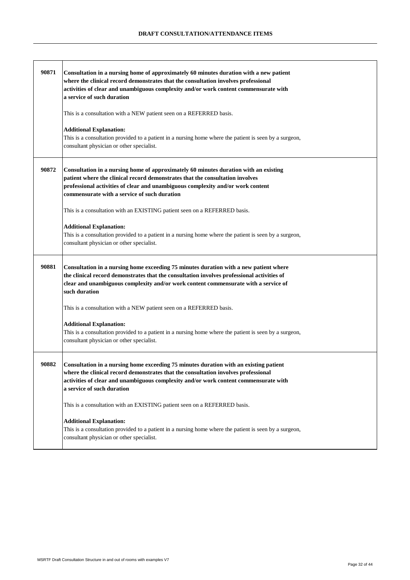| 90871 | Consultation in a nursing home of approximately 60 minutes duration with a new patient<br>where the clinical record demonstrates that the consultation involves professional<br>activities of clear and unambiguous complexity and/or work content commensurate with<br>a service of such duration<br>This is a consultation with a NEW patient seen on a REFERRED basis.<br><b>Additional Explanation:</b><br>This is a consultation provided to a patient in a nursing home where the patient is seen by a surgeon,<br>consultant physician or other specialist.             |
|-------|--------------------------------------------------------------------------------------------------------------------------------------------------------------------------------------------------------------------------------------------------------------------------------------------------------------------------------------------------------------------------------------------------------------------------------------------------------------------------------------------------------------------------------------------------------------------------------|
| 90872 | Consultation in a nursing home of approximately 60 minutes duration with an existing<br>patient where the clinical record demonstrates that the consultation involves<br>professional activities of clear and unambiguous complexity and/or work content<br>commensurate with a service of such duration<br>This is a consultation with an EXISTING patient seen on a REFERRED basis.<br><b>Additional Explanation:</b><br>This is a consultation provided to a patient in a nursing home where the patient is seen by a surgeon,<br>consultant physician or other specialist. |
| 90881 | Consultation in a nursing home exceeding 75 minutes duration with a new patient where<br>the clinical record demonstrates that the consultation involves professional activities of<br>clear and unambiguous complexity and/or work content commensurate with a service of<br>such duration<br>This is a consultation with a NEW patient seen on a REFERRED basis.                                                                                                                                                                                                             |
|       | <b>Additional Explanation:</b><br>This is a consultation provided to a patient in a nursing home where the patient is seen by a surgeon,<br>consultant physician or other specialist.                                                                                                                                                                                                                                                                                                                                                                                          |
| 90882 | Consultation in a nursing home exceeding 75 minutes duration with an existing patient<br>where the clinical record demonstrates that the consultation involves professional<br>activities of clear and unambiguous complexity and/or work content commensurate with<br>a service of such duration                                                                                                                                                                                                                                                                              |
|       | This is a consultation with an EXISTING patient seen on a REFERRED basis.<br><b>Additional Explanation:</b><br>This is a consultation provided to a patient in a nursing home where the patient is seen by a surgeon,<br>consultant physician or other specialist.                                                                                                                                                                                                                                                                                                             |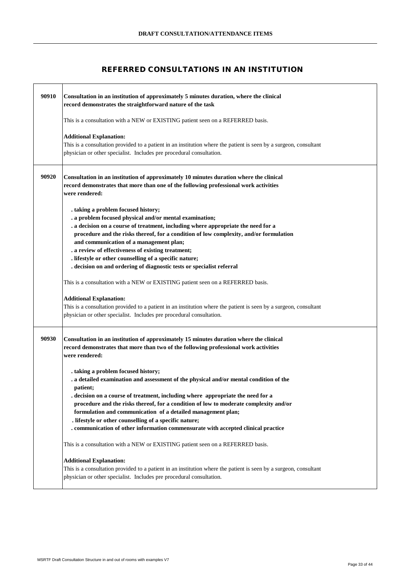# **REFERRED CONSULTATIONS IN AN INSTITUTION**

| 90910 | Consultation in an institution of approximately 5 minutes duration, where the clinical<br>record demonstrates the straightforward nature of the task                                                                        |
|-------|-----------------------------------------------------------------------------------------------------------------------------------------------------------------------------------------------------------------------------|
|       | This is a consultation with a NEW or EXISTING patient seen on a REFERRED basis.                                                                                                                                             |
|       | <b>Additional Explanation:</b><br>This is a consultation provided to a patient in an institution where the patient is seen by a surgeon, consultant<br>physician or other specialist. Includes pre procedural consultation. |
| 90920 | Consultation in an institution of approximately 10 minutes duration where the clinical<br>record demonstrates that more than one of the following professional work activities<br>were rendered:                            |
|       | . taking a problem focused history;                                                                                                                                                                                         |
|       | . a problem focused physical and/or mental examination;                                                                                                                                                                     |
|       | . a decision on a course of treatment, including where appropriate the need for a                                                                                                                                           |
|       | procedure and the risks thereof, for a condition of low complexity, and/or formulation<br>and communication of a management plan;                                                                                           |
|       | . a review of effectiveness of existing treatment;                                                                                                                                                                          |
|       | . lifestyle or other counselling of a specific nature;                                                                                                                                                                      |
|       | . decision on and ordering of diagnostic tests or specialist referral                                                                                                                                                       |
|       | This is a consultation with a NEW or EXISTING patient seen on a REFERRED basis.                                                                                                                                             |
|       | <b>Additional Explanation:</b>                                                                                                                                                                                              |
|       | This is a consultation provided to a patient in an institution where the patient is seen by a surgeon, consultant<br>physician or other specialist. Includes pre procedural consultation.                                   |
| 90930 | Consultation in an institution of approximately 15 minutes duration where the clinical<br>record demonstrates that more than two of the following professional work activities<br>were rendered:                            |
|       | . taking a problem focused history;                                                                                                                                                                                         |
|       | . a detailed examination and assessment of the physical and/or mental condition of the                                                                                                                                      |
|       | patient;<br>decision on a course of treatment, including where appropriate the need for a                                                                                                                                   |
|       | procedure and the risks thereof, for a condition of low to moderate complexity and/or                                                                                                                                       |
|       | formulation and communication of a detailed management plan;                                                                                                                                                                |
|       | . lifestyle or other counselling of a specific nature;                                                                                                                                                                      |
|       | . communication of other information commensurate with accepted clinical practice                                                                                                                                           |
|       | This is a consultation with a NEW or EXISTING patient seen on a REFERRED basis.                                                                                                                                             |
|       | <b>Additional Explanation:</b>                                                                                                                                                                                              |
|       | This is a consultation provided to a patient in an institution where the patient is seen by a surgeon, consultant                                                                                                           |
|       | physician or other specialist. Includes pre procedural consultation.                                                                                                                                                        |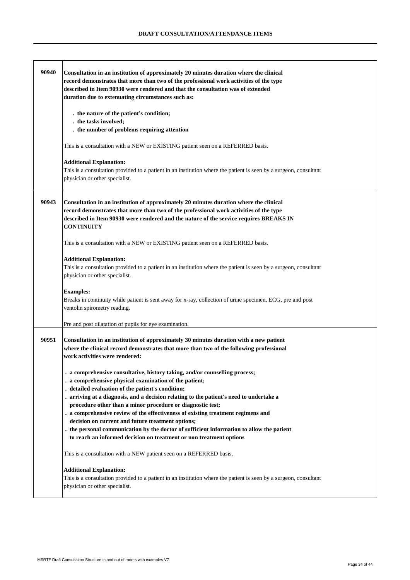| 90940 | Consultation in an institution of approximately 20 minutes duration where the clinical<br>record demonstrates that more than two of the professional work activities of the type<br>described in Item 90930 were rendered and that the consultation was of extended<br>duration due to extenuating circumstances such as: |
|-------|---------------------------------------------------------------------------------------------------------------------------------------------------------------------------------------------------------------------------------------------------------------------------------------------------------------------------|
|       | . the nature of the patient's condition;<br>. the tasks involved;<br>. the number of problems requiring attention                                                                                                                                                                                                         |
|       | This is a consultation with a NEW or EXISTING patient seen on a REFERRED basis.                                                                                                                                                                                                                                           |
|       | <b>Additional Explanation:</b><br>This is a consultation provided to a patient in an institution where the patient is seen by a surgeon, consultant<br>physician or other specialist.                                                                                                                                     |
| 90943 | Consultation in an institution of approximately 20 minutes duration where the clinical<br>record demonstrates that more than two of the professional work activities of the type<br>described in Item 90930 were rendered and the nature of the service requires BREAKS IN<br><b>CONTINUITY</b>                           |
|       | This is a consultation with a NEW or EXISTING patient seen on a REFERRED basis.                                                                                                                                                                                                                                           |
|       | <b>Additional Explanation:</b><br>This is a consultation provided to a patient in an institution where the patient is seen by a surgeon, consultant<br>physician or other specialist.                                                                                                                                     |
|       | <b>Examples:</b><br>Breaks in continuity while patient is sent away for x-ray, collection of urine specimen, ECG, pre and post<br>ventolin spirometry reading.                                                                                                                                                            |
|       | Pre and post dilatation of pupils for eye examination.                                                                                                                                                                                                                                                                    |
| 90951 | Consultation in an institution of approximately 30 minutes duration with a new patient<br>where the clinical record demonstrates that more than two of the following professional<br>work activities were rendered:                                                                                                       |
|       | . a comprehensive consultative, history taking, and/or counselling process;<br>. a comprehensive physical examination of the patient;<br>. detailed evaluation of the patient's condition;<br>. arriving at a diagnosis, and a decision relating to the patient's need to undertake a                                     |
|       | procedure other than a minor procedure or diagnostic test;<br>. a comprehensive review of the effectiveness of existing treatment regimens and<br>decision on current and future treatment options;                                                                                                                       |
|       | . the personal communication by the doctor of sufficient information to allow the patient<br>to reach an informed decision on treatment or non treatment options                                                                                                                                                          |
|       | This is a consultation with a NEW patient seen on a REFERRED basis.                                                                                                                                                                                                                                                       |
|       | <b>Additional Explanation:</b><br>This is a consultation provided to a patient in an institution where the patient is seen by a surgeon, consultant<br>physician or other specialist.                                                                                                                                     |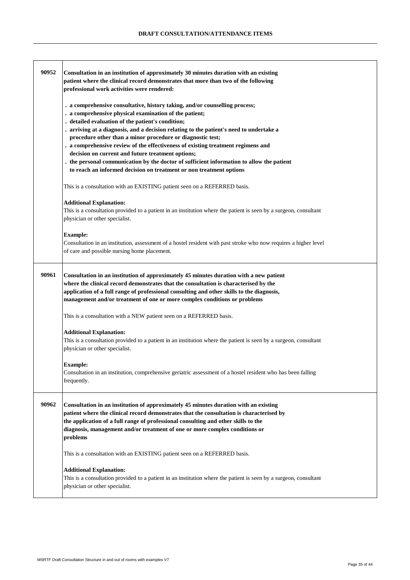| 90952 | Consultation in an institution of approximately 30 minutes duration with an existing<br>patient where the clinical record demonstrates that more than two of the following<br>professional work activities were rendered:                                                                                                                                                                                                                                                                                                                                                                                                                                      |
|-------|----------------------------------------------------------------------------------------------------------------------------------------------------------------------------------------------------------------------------------------------------------------------------------------------------------------------------------------------------------------------------------------------------------------------------------------------------------------------------------------------------------------------------------------------------------------------------------------------------------------------------------------------------------------|
|       | . a comprehensive consultative, history taking, and/or counselling process;<br>. a comprehensive physical examination of the patient;<br>. detailed evaluation of the patient's condition;<br>. arriving at a diagnosis, and a decision relating to the patient's need to undertake a<br>procedure other than a minor procedure or diagnostic test;<br>. a comprehensive review of the effectiveness of existing treatment regimens and<br>decision on current and future treatment options;<br>the personal communication by the doctor of sufficient information to allow the patient<br>to reach an informed decision on treatment or non treatment options |
|       | This is a consultation with an EXISTING patient seen on a REFERRED basis.                                                                                                                                                                                                                                                                                                                                                                                                                                                                                                                                                                                      |
|       | <b>Additional Explanation:</b><br>This is a consultation provided to a patient in an institution where the patient is seen by a surgeon, consultant<br>physician or other specialist.                                                                                                                                                                                                                                                                                                                                                                                                                                                                          |
|       | <b>Example:</b><br>Consultation in an institution, assessment of a hostel resident with past stroke who now requires a higher level<br>of care and possible nursing home placement.                                                                                                                                                                                                                                                                                                                                                                                                                                                                            |
| 90961 | Consultation in an institution of approximately 45 minutes duration with a new patient<br>where the clinical record demonstrates that the consultation is characterised by the<br>application of a full range of professional consulting and other skills to the diagnosis,<br>management and/or treatment of one or more complex conditions or problems                                                                                                                                                                                                                                                                                                       |
|       | This is a consultation with a NEW patient seen on a REFERRED basis.                                                                                                                                                                                                                                                                                                                                                                                                                                                                                                                                                                                            |
|       | <b>Additional Explanation:</b><br>This is a consultation provided to a patient in an institution where the patient is seen by a surgeon, consultant<br>physician or other specialist.                                                                                                                                                                                                                                                                                                                                                                                                                                                                          |
|       | <b>Example:</b><br>Consultation in an institution, comprehensive geriatric assessment of a hostel resident who has been falling<br>frequently.                                                                                                                                                                                                                                                                                                                                                                                                                                                                                                                 |
| 90962 | Consultation in an institution of approximately 45 minutes duration with an existing<br>patient where the clinical record demonstrates that the consultation is characterised by<br>the application of a full range of professional consulting and other skills to the<br>diagnosis, management and/or treatment of one or more complex conditions or<br>problems                                                                                                                                                                                                                                                                                              |
|       | This is a consultation with an EXISTING patient seen on a REFERRED basis.                                                                                                                                                                                                                                                                                                                                                                                                                                                                                                                                                                                      |
|       | <b>Additional Explanation:</b><br>This is a consultation provided to a patient in an institution where the patient is seen by a surgeon, consultant<br>physician or other specialist.                                                                                                                                                                                                                                                                                                                                                                                                                                                                          |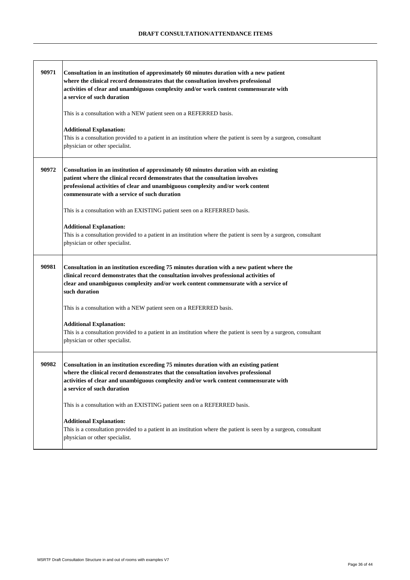| 90971 | Consultation in an institution of approximately 60 minutes duration with a new patient<br>where the clinical record demonstrates that the consultation involves professional<br>activities of clear and unambiguous complexity and/or work content commensurate with<br>a service of such duration<br>This is a consultation with a NEW patient seen on a REFERRED basis.<br><b>Additional Explanation:</b><br>This is a consultation provided to a patient in an institution where the patient is seen by a surgeon, consultant<br>physician or other specialist. |
|-------|--------------------------------------------------------------------------------------------------------------------------------------------------------------------------------------------------------------------------------------------------------------------------------------------------------------------------------------------------------------------------------------------------------------------------------------------------------------------------------------------------------------------------------------------------------------------|
| 90972 | Consultation in an institution of approximately 60 minutes duration with an existing<br>patient where the clinical record demonstrates that the consultation involves<br>professional activities of clear and unambiguous complexity and/or work content<br>commensurate with a service of such duration<br>This is a consultation with an EXISTING patient seen on a REFERRED basis.                                                                                                                                                                              |
|       | <b>Additional Explanation:</b><br>This is a consultation provided to a patient in an institution where the patient is seen by a surgeon, consultant<br>physician or other specialist.                                                                                                                                                                                                                                                                                                                                                                              |
| 90981 | Consultation in an institution exceeding 75 minutes duration with a new patient where the<br>clinical record demonstrates that the consultation involves professional activities of<br>clear and unambiguous complexity and/or work content commensurate with a service of<br>such duration                                                                                                                                                                                                                                                                        |
|       | This is a consultation with a NEW patient seen on a REFERRED basis.                                                                                                                                                                                                                                                                                                                                                                                                                                                                                                |
|       | <b>Additional Explanation:</b><br>This is a consultation provided to a patient in an institution where the patient is seen by a surgeon, consultant<br>physician or other specialist.                                                                                                                                                                                                                                                                                                                                                                              |
| 90982 | Consultation in an institution exceeding 75 minutes duration with an existing patient<br>where the clinical record demonstrates that the consultation involves professional<br>activities of clear and unambiguous complexity and/or work content commensurate with<br>a service of such duration                                                                                                                                                                                                                                                                  |
|       | This is a consultation with an EXISTING patient seen on a REFERRED basis.                                                                                                                                                                                                                                                                                                                                                                                                                                                                                          |
|       | <b>Additional Explanation:</b><br>This is a consultation provided to a patient in an institution where the patient is seen by a surgeon, consultant<br>physician or other specialist.                                                                                                                                                                                                                                                                                                                                                                              |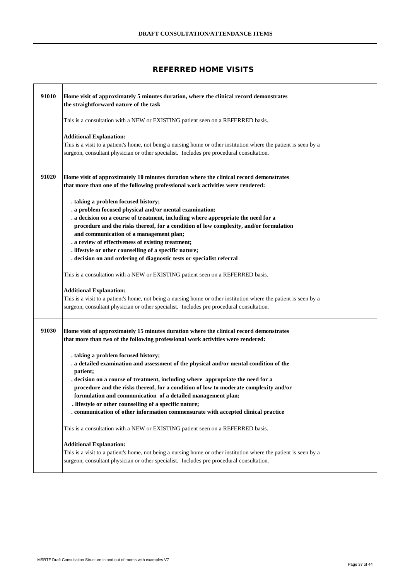# **REFERRED HOME VISITS**

| 91010 | Home visit of approximately 5 minutes duration, where the clinical record demonstrates<br>the straightforward nature of the task                                                                                                                                                                                                                                                                                                                                                                                                   |
|-------|------------------------------------------------------------------------------------------------------------------------------------------------------------------------------------------------------------------------------------------------------------------------------------------------------------------------------------------------------------------------------------------------------------------------------------------------------------------------------------------------------------------------------------|
|       | This is a consultation with a NEW or EXISTING patient seen on a REFERRED basis.                                                                                                                                                                                                                                                                                                                                                                                                                                                    |
|       | <b>Additional Explanation:</b><br>This is a visit to a patient's home, not being a nursing home or other institution where the patient is seen by a<br>surgeon, consultant physician or other specialist. Includes pre procedural consultation.                                                                                                                                                                                                                                                                                    |
| 91020 | Home visit of approximately 10 minutes duration where the clinical record demonstrates<br>that more than one of the following professional work activities were rendered:                                                                                                                                                                                                                                                                                                                                                          |
|       | . taking a problem focused history;<br>. a problem focused physical and/or mental examination;<br>. a decision on a course of treatment, including where appropriate the need for a<br>procedure and the risks thereof, for a condition of low complexity, and/or formulation<br>and communication of a management plan;<br>. a review of effectiveness of existing treatment;<br>. lifestyle or other counselling of a specific nature;<br>. decision on and ordering of diagnostic tests or specialist referral                  |
|       | This is a consultation with a NEW or EXISTING patient seen on a REFERRED basis.                                                                                                                                                                                                                                                                                                                                                                                                                                                    |
|       | <b>Additional Explanation:</b><br>This is a visit to a patient's home, not being a nursing home or other institution where the patient is seen by a<br>surgeon, consultant physician or other specialist. Includes pre procedural consultation.                                                                                                                                                                                                                                                                                    |
| 91030 | Home visit of approximately 15 minutes duration where the clinical record demonstrates<br>that more than two of the following professional work activities were rendered:                                                                                                                                                                                                                                                                                                                                                          |
|       | . taking a problem focused history;<br>. a detailed examination and assessment of the physical and/or mental condition of the<br>patient;<br>. decision on a course of treatment, including where appropriate the need for a<br>procedure and the risks thereof, for a condition of low to moderate complexity and/or<br>formulation and communication of a detailed management plan;<br>. lifestyle or other counselling of a specific nature;<br>communication of other information commensurate with accepted clinical practice |
|       | This is a consultation with a NEW or EXISTING patient seen on a REFERRED basis.                                                                                                                                                                                                                                                                                                                                                                                                                                                    |
|       | <b>Additional Explanation:</b><br>This is a visit to a patient's home, not being a nursing home or other institution where the patient is seen by a<br>surgeon, consultant physician or other specialist. Includes pre procedural consultation.                                                                                                                                                                                                                                                                                    |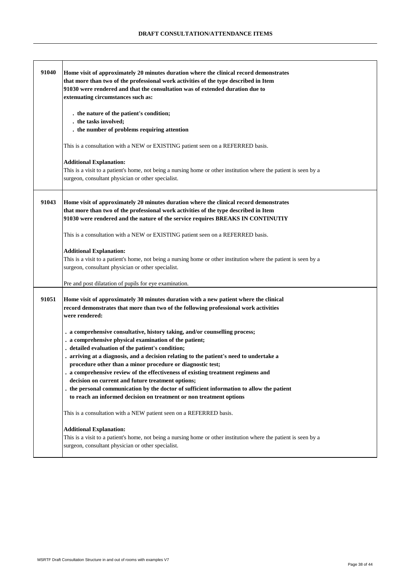| 91040 | Home visit of approximately 20 minutes duration where the clinical record demonstrates<br>that more than two of the professional work activities of the type described in Item<br>91030 were rendered and that the consultation was of extended duration due to<br>extenuating circumstances such as:<br>. the nature of the patient's condition;<br>. the tasks involved;<br>. the number of problems requiring attention<br>This is a consultation with a NEW or EXISTING patient seen on a REFERRED basis.<br><b>Additional Explanation:</b><br>This is a visit to a patient's home, not being a nursing home or other institution where the patient is seen by a<br>surgeon, consultant physician or other specialist.                                                                                                                                                                                                                                                                                                                                                                                                                              |
|-------|---------------------------------------------------------------------------------------------------------------------------------------------------------------------------------------------------------------------------------------------------------------------------------------------------------------------------------------------------------------------------------------------------------------------------------------------------------------------------------------------------------------------------------------------------------------------------------------------------------------------------------------------------------------------------------------------------------------------------------------------------------------------------------------------------------------------------------------------------------------------------------------------------------------------------------------------------------------------------------------------------------------------------------------------------------------------------------------------------------------------------------------------------------|
| 91043 | Home visit of approximately 20 minutes duration where the clinical record demonstrates<br>that more than two of the professional work activities of the type described in Item<br>91030 were rendered and the nature of the service requires BREAKS IN CONTINUTIY<br>This is a consultation with a NEW or EXISTING patient seen on a REFERRED basis.<br><b>Additional Explanation:</b><br>This is a visit to a patient's home, not being a nursing home or other institution where the patient is seen by a<br>surgeon, consultant physician or other specialist.<br>Pre and post dilatation of pupils for eye examination.                                                                                                                                                                                                                                                                                                                                                                                                                                                                                                                             |
| 91051 | Home visit of approximately 30 minutes duration with a new patient where the clinical<br>record demonstrates that more than two of the following professional work activities<br>were rendered:<br>. a comprehensive consultative, history taking, and/or counselling process;<br>. a comprehensive physical examination of the patient;<br>. detailed evaluation of the patient's condition;<br>. arriving at a diagnosis, and a decision relating to the patient's need to undertake a<br>procedure other than a minor procedure or diagnostic test;<br>. a comprehensive review of the effectiveness of existing treatment regimens and<br>decision on current and future treatment options;<br>. the personal communication by the doctor of sufficient information to allow the patient<br>to reach an informed decision on treatment or non treatment options<br>This is a consultation with a NEW patient seen on a REFERRED basis.<br><b>Additional Explanation:</b><br>This is a visit to a patient's home, not being a nursing home or other institution where the patient is seen by a<br>surgeon, consultant physician or other specialist. |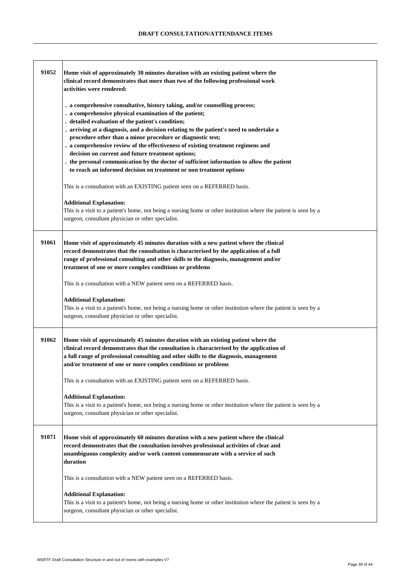| 91052 | Home visit of approximately 30 minutes duration with an existing patient where the                                                                                               |
|-------|----------------------------------------------------------------------------------------------------------------------------------------------------------------------------------|
|       | clinical record demonstrates that more than two of the following professional work<br>activities were rendered:                                                                  |
|       |                                                                                                                                                                                  |
|       | . a comprehensive consultative, history taking, and/or counselling process;                                                                                                      |
|       | . a comprehensive physical examination of the patient;                                                                                                                           |
|       | . detailed evaluation of the patient's condition;<br>. arriving at a diagnosis, and a decision relating to the patient's need to undertake a                                     |
|       | procedure other than a minor procedure or diagnostic test;                                                                                                                       |
|       | . a comprehensive review of the effectiveness of existing treatment regimens and                                                                                                 |
|       | decision on current and future treatment options;                                                                                                                                |
|       | . the personal communication by the doctor of sufficient information to allow the patient                                                                                        |
|       | to reach an informed decision on treatment or non treatment options                                                                                                              |
|       | This is a consultation with an EXISTING patient seen on a REFERRED basis.                                                                                                        |
|       | <b>Additional Explanation:</b>                                                                                                                                                   |
|       | This is a visit to a patient's home, not being a nursing home or other institution where the patient is seen by a                                                                |
|       | surgeon, consultant physician or other specialist.                                                                                                                               |
|       |                                                                                                                                                                                  |
| 91061 | Home visit of approximately 45 minutes duration with a new patient where the clinical                                                                                            |
|       | record demonstrates that the consultation is characterised by the application of a full                                                                                          |
|       | range of professional consulting and other skills to the diagnosis, management and/or<br>treatment of one or more complex conditions or problems                                 |
|       |                                                                                                                                                                                  |
|       | This is a consultation with a NEW patient seen on a REFERRED basis.                                                                                                              |
|       | <b>Additional Explanation:</b>                                                                                                                                                   |
|       | This is a visit to a patient's home, not being a nursing home or other institution where the patient is seen by a                                                                |
|       | surgeon, consultant physician or other specialist.                                                                                                                               |
|       |                                                                                                                                                                                  |
| 91062 | Home visit of approximately 45 minutes duration with an existing patient where the<br>clinical record demonstrates that the consultation is characterised by the application of  |
|       | a full range of professional consulting and other skills to the diagnosis, management                                                                                            |
|       | and/or treatment of one or more complex conditions or problems                                                                                                                   |
|       | This is a consultation with an EXISTING patient seen on a REFERRED basis.                                                                                                        |
|       |                                                                                                                                                                                  |
|       | <b>Additional Explanation:</b>                                                                                                                                                   |
|       | This is a visit to a patient's home, not being a nursing home or other institution where the patient is seen by a                                                                |
|       | surgeon, consultant physician or other specialist.                                                                                                                               |
|       |                                                                                                                                                                                  |
| 91071 | Home visit of approximately 60 minutes duration with a new patient where the clinical<br>record demonstrates that the consultation involves professional activities of clear and |
|       | unambiguous complexity and/or work content commensurate with a service of such                                                                                                   |
|       | duration                                                                                                                                                                         |
|       | This is a consultation with a NEW patient seen on a REFERRED basis.                                                                                                              |
|       |                                                                                                                                                                                  |
|       | <b>Additional Explanation:</b><br>This is a visit to a patient's home, not being a nursing home or other institution where the patient is seen by a                              |
|       | surgeon, consultant physician or other specialist.                                                                                                                               |
|       |                                                                                                                                                                                  |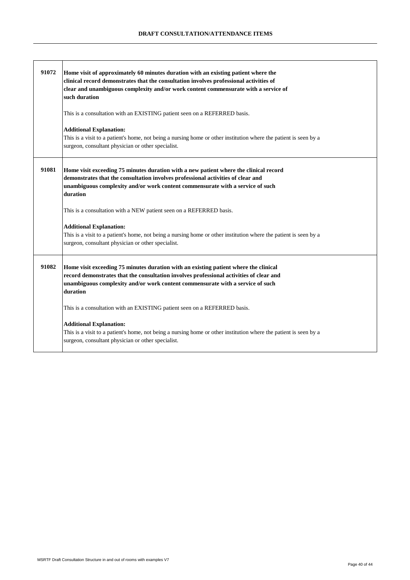| 91072 | Home visit of approximately 60 minutes duration with an existing patient where the<br>clinical record demonstrates that the consultation involves professional activities of<br>clear and unambiguous complexity and/or work content commensurate with a service of<br>such duration<br>This is a consultation with an EXISTING patient seen on a REFERRED basis.<br><b>Additional Explanation:</b><br>This is a visit to a patient's home, not being a nursing home or other institution where the patient is seen by a<br>surgeon, consultant physician or other specialist. |
|-------|--------------------------------------------------------------------------------------------------------------------------------------------------------------------------------------------------------------------------------------------------------------------------------------------------------------------------------------------------------------------------------------------------------------------------------------------------------------------------------------------------------------------------------------------------------------------------------|
| 91081 | Home visit exceeding 75 minutes duration with a new patient where the clinical record<br>demonstrates that the consultation involves professional activities of clear and<br>unambiguous complexity and/or work content commensurate with a service of such<br>duration<br>This is a consultation with a NEW patient seen on a REFERRED basis.                                                                                                                                                                                                                                 |
|       | <b>Additional Explanation:</b><br>This is a visit to a patient's home, not being a nursing home or other institution where the patient is seen by a<br>surgeon, consultant physician or other specialist.                                                                                                                                                                                                                                                                                                                                                                      |
| 91082 | Home visit exceeding 75 minutes duration with an existing patient where the clinical<br>record demonstrates that the consultation involves professional activities of clear and<br>unambiguous complexity and/or work content commensurate with a service of such<br>duration                                                                                                                                                                                                                                                                                                  |
|       | This is a consultation with an EXISTING patient seen on a REFERRED basis.                                                                                                                                                                                                                                                                                                                                                                                                                                                                                                      |
|       | <b>Additional Explanation:</b><br>This is a visit to a patient's home, not being a nursing home or other institution where the patient is seen by a<br>surgeon, consultant physician or other specialist.                                                                                                                                                                                                                                                                                                                                                                      |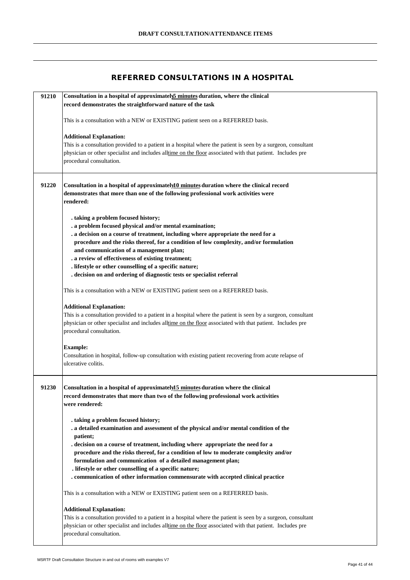### **REFERRED CONSULTATIONS IN A HOSPITAL**

| 91210 | Consultation in a hospital of approximatels minutes duration, where the clinical                                                                                            |
|-------|-----------------------------------------------------------------------------------------------------------------------------------------------------------------------------|
|       | record demonstrates the straightforward nature of the task                                                                                                                  |
|       | This is a consultation with a NEW or EXISTING patient seen on a REFERRED basis.                                                                                             |
|       |                                                                                                                                                                             |
|       | <b>Additional Explanation:</b>                                                                                                                                              |
|       | This is a consultation provided to a patient in a hospital where the patient is seen by a surgeon, consultant                                                               |
|       | physician or other specialist and includes alltime on the floor associated with that patient. Includes pre                                                                  |
|       | procedural consultation.                                                                                                                                                    |
|       |                                                                                                                                                                             |
| 91220 | Consultation in a hospital of approximately <sup>10</sup> minutes duration where the clinical record                                                                        |
|       | demonstrates that more than one of the following professional work activities were                                                                                          |
|       | rendered:                                                                                                                                                                   |
|       |                                                                                                                                                                             |
|       | . taking a problem focused history;                                                                                                                                         |
|       | . a problem focused physical and/or mental examination;                                                                                                                     |
|       | . a decision on a course of treatment, including where appropriate the need for a<br>procedure and the risks thereof, for a condition of low complexity, and/or formulation |
|       | and communication of a management plan;                                                                                                                                     |
|       | . a review of effectiveness of existing treatment;                                                                                                                          |
|       | . lifestyle or other counselling of a specific nature;                                                                                                                      |
|       | . decision on and ordering of diagnostic tests or specialist referral                                                                                                       |
|       |                                                                                                                                                                             |
|       | This is a consultation with a NEW or EXISTING patient seen on a REFERRED basis.                                                                                             |
|       |                                                                                                                                                                             |
|       | <b>Additional Explanation:</b><br>This is a consultation provided to a patient in a hospital where the patient is seen by a surgeon, consultant                             |
|       | physician or other specialist and includes alltime on the floor associated with that patient. Includes pre                                                                  |
|       | procedural consultation.                                                                                                                                                    |
|       |                                                                                                                                                                             |
|       | <b>Example:</b>                                                                                                                                                             |
|       | Consultation in hospital, follow-up consultation with existing patient recovering from acute relapse of                                                                     |
|       | ulcerative colitis.                                                                                                                                                         |
|       |                                                                                                                                                                             |
|       |                                                                                                                                                                             |
| 91230 | Consultation in a hospital of approximately <sup>15</sup> minutes duration where the clinical                                                                               |
|       | record demonstrates that more than two of the following professional work activities<br>were rendered:                                                                      |
|       |                                                                                                                                                                             |
|       | . taking a problem focused history;                                                                                                                                         |
|       | . a detailed examination and assessment of the physical and/or mental condition of the                                                                                      |
|       | patient;                                                                                                                                                                    |
|       | . decision on a course of treatment, including where appropriate the need for a                                                                                             |
|       | procedure and the risks thereof, for a condition of low to moderate complexity and/or                                                                                       |
|       | formulation and communication of a detailed management plan;                                                                                                                |
|       | . lifestyle or other counselling of a specific nature;                                                                                                                      |
|       | . communication of other information commensurate with accepted clinical practice                                                                                           |
|       | This is a consultation with a NEW or EXISTING patient seen on a REFERRED basis.                                                                                             |
|       |                                                                                                                                                                             |
|       | <b>Additional Explanation:</b>                                                                                                                                              |
|       | This is a consultation provided to a patient in a hospital where the patient is seen by a surgeon, consultant                                                               |
|       | physician or other specialist and includes alltime on the floor associated with that patient. Includes pre                                                                  |
|       | procedural consultation.                                                                                                                                                    |
|       |                                                                                                                                                                             |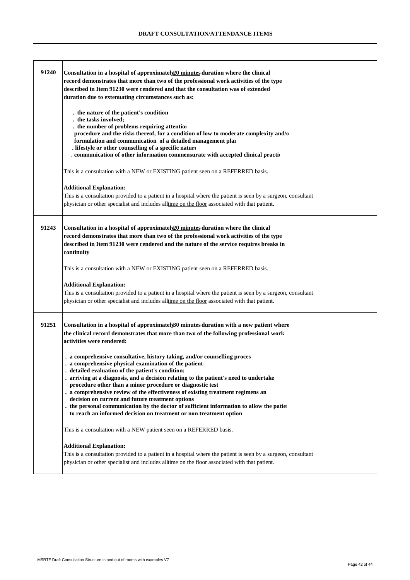| 91240 | Consultation in a hospital of approximately $20$ minutes duration where the clinical<br>record demonstrates that more than two of the professional work activities of the type<br>described in Item 91230 were rendered and that the consultation was of extended<br>duration due to extenuating circumstances such as:<br>. the nature of the patient's condition<br>. the tasks involved;<br>. the number of problems requiring attention                                                                                                                                                                                                      |
|-------|--------------------------------------------------------------------------------------------------------------------------------------------------------------------------------------------------------------------------------------------------------------------------------------------------------------------------------------------------------------------------------------------------------------------------------------------------------------------------------------------------------------------------------------------------------------------------------------------------------------------------------------------------|
|       | procedure and the risks thereof, for a condition of low to moderate complexity and/o<br>formulation and communication of a detailed management plar<br>. lifestyle or other counselling of a specific nature<br>. communication of other information commensurate with accepted clinical praction                                                                                                                                                                                                                                                                                                                                                |
|       | This is a consultation with a NEW or EXISTING patient seen on a REFERRED basis.                                                                                                                                                                                                                                                                                                                                                                                                                                                                                                                                                                  |
|       | <b>Additional Explanation:</b><br>This is a consultation provided to a patient in a hospital where the patient is seen by a surgeon, consultant<br>physician or other specialist and includes all time on the floor associated with that patient.                                                                                                                                                                                                                                                                                                                                                                                                |
| 91243 | Consultation in a hospital of approximately 20 minutes duration where the clinical<br>record demonstrates that more than two of the professional work activities of the type<br>described in Item 91230 were rendered and the nature of the service requires breaks in<br>continuity                                                                                                                                                                                                                                                                                                                                                             |
|       | This is a consultation with a NEW or EXISTING patient seen on a REFERRED basis.                                                                                                                                                                                                                                                                                                                                                                                                                                                                                                                                                                  |
|       | <b>Additional Explanation:</b><br>This is a consultation provided to a patient in a hospital where the patient is seen by a surgeon, consultant<br>physician or other specialist and includes alltime on the floor associated with that patient.                                                                                                                                                                                                                                                                                                                                                                                                 |
| 91251 | Consultation in a hospital of approximately 30 minutes duration with a new patient where<br>the clinical record demonstrates that more than two of the following professional work<br>activities were rendered:                                                                                                                                                                                                                                                                                                                                                                                                                                  |
|       | . a comprehensive consultative, history taking, and/or counselling proces<br>. a comprehensive physical examination of the patient<br>detailed evaluation of the patient's condition<br>. arriving at a diagnosis, and a decision relating to the patient's need to undertake<br>procedure other than a minor procedure or diagnostic test<br>. a comprehensive review of the effectiveness of existing treatment regimens an<br>decision on current and future treatment options<br>the personal communication by the doctor of sufficient information to allow the patie<br>to reach an informed decision on treatment or non treatment option |
|       | This is a consultation with a NEW patient seen on a REFERRED basis.                                                                                                                                                                                                                                                                                                                                                                                                                                                                                                                                                                              |
|       | <b>Additional Explanation:</b><br>This is a consultation provided to a patient in a hospital where the patient is seen by a surgeon, consultant<br>physician or other specialist and includes alltime on the floor associated with that patient.                                                                                                                                                                                                                                                                                                                                                                                                 |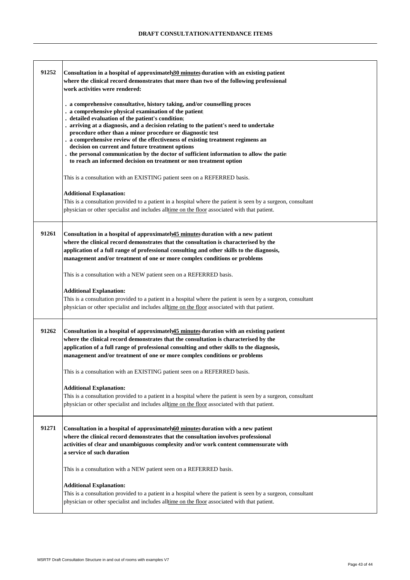| 91252 | Consultation in a hospital of approximatel $\mathcal{B}0$ minutes duration with an existing patient<br>where the clinical record demonstrates that more than two of the following professional<br>work activities were rendered:                                                                                                                                                                                                                                                                                                                                                                                                                     |
|-------|------------------------------------------------------------------------------------------------------------------------------------------------------------------------------------------------------------------------------------------------------------------------------------------------------------------------------------------------------------------------------------------------------------------------------------------------------------------------------------------------------------------------------------------------------------------------------------------------------------------------------------------------------|
|       | . a comprehensive consultative, history taking, and/or counselling proces<br>. a comprehensive physical examination of the patient<br>. detailed evaluation of the patient's condition<br>. arriving at a diagnosis, and a decision relating to the patient's need to undertake<br>procedure other than a minor procedure or diagnostic test<br>. a comprehensive review of the effectiveness of existing treatment regimens an<br>decision on current and future treatment options<br>. the personal communication by the doctor of sufficient information to allow the patie<br>to reach an informed decision on treatment or non treatment option |
|       | This is a consultation with an EXISTING patient seen on a REFERRED basis.                                                                                                                                                                                                                                                                                                                                                                                                                                                                                                                                                                            |
|       | <b>Additional Explanation:</b><br>This is a consultation provided to a patient in a hospital where the patient is seen by a surgeon, consultant<br>physician or other specialist and includes alltime on the floor associated with that patient.                                                                                                                                                                                                                                                                                                                                                                                                     |
| 91261 | Consultation in a hospital of approximately 15 minutes duration with a new patient<br>where the clinical record demonstrates that the consultation is characterised by the<br>application of a full range of professional consulting and other skills to the diagnosis,<br>management and/or treatment of one or more complex conditions or problems                                                                                                                                                                                                                                                                                                 |
|       | This is a consultation with a NEW patient seen on a REFERRED basis.                                                                                                                                                                                                                                                                                                                                                                                                                                                                                                                                                                                  |
|       | <b>Additional Explanation:</b><br>This is a consultation provided to a patient in a hospital where the patient is seen by a surgeon, consultant<br>physician or other specialist and includes all time on the floor associated with that patient.                                                                                                                                                                                                                                                                                                                                                                                                    |
| 91262 | Consultation in a hospital of approximately 45 minutes duration with an existing patient<br>where the clinical record demonstrates that the consultation is characterised by the<br>application of a full range of professional consulting and other skills to the diagnosis,<br>management and/or treatment of one or more complex conditions or problems                                                                                                                                                                                                                                                                                           |
|       | This is a consultation with an EXISTING patient seen on a REFERRED basis.                                                                                                                                                                                                                                                                                                                                                                                                                                                                                                                                                                            |
|       | <b>Additional Explanation:</b><br>This is a consultation provided to a patient in a hospital where the patient is seen by a surgeon, consultant<br>physician or other specialist and includes alltime on the floor associated with that patient.                                                                                                                                                                                                                                                                                                                                                                                                     |
| 91271 | Consultation in a hospital of approximately60 minutes duration with a new patient<br>where the clinical record demonstrates that the consultation involves professional<br>activities of clear and unambiguous complexity and/or work content commensurate with<br>a service of such duration                                                                                                                                                                                                                                                                                                                                                        |
|       | This is a consultation with a NEW patient seen on a REFERRED basis.                                                                                                                                                                                                                                                                                                                                                                                                                                                                                                                                                                                  |
|       | <b>Additional Explanation:</b><br>This is a consultation provided to a patient in a hospital where the patient is seen by a surgeon, consultant<br>physician or other specialist and includes alltime on the floor associated with that patient.                                                                                                                                                                                                                                                                                                                                                                                                     |

.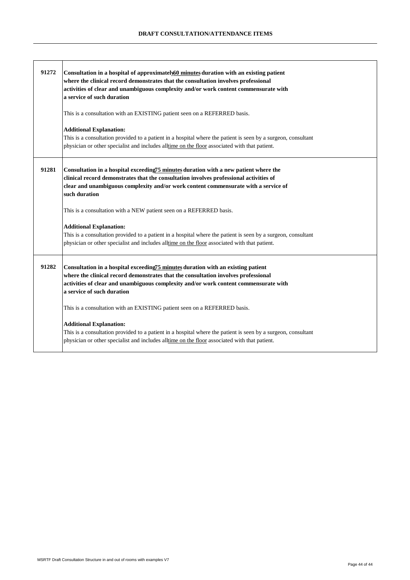| 91272 | Consultation in a hospital of approximately 60 minutes duration with an existing patient<br>where the clinical record demonstrates that the consultation involves professional<br>activities of clear and unambiguous complexity and/or work content commensurate with<br>a service of such duration<br>This is a consultation with an EXISTING patient seen on a REFERRED basis. |
|-------|-----------------------------------------------------------------------------------------------------------------------------------------------------------------------------------------------------------------------------------------------------------------------------------------------------------------------------------------------------------------------------------|
|       | <b>Additional Explanation:</b><br>This is a consultation provided to a patient in a hospital where the patient is seen by a surgeon, consultant<br>physician or other specialist and includes alltime on the floor associated with that patient.                                                                                                                                  |
| 91281 | Consultation in a hospital exceeding75 minutes duration with a new patient where the<br>clinical record demonstrates that the consultation involves professional activities of<br>clear and unambiguous complexity and/or work content commensurate with a service of<br>such duration                                                                                            |
|       | This is a consultation with a NEW patient seen on a REFERRED basis.                                                                                                                                                                                                                                                                                                               |
|       | <b>Additional Explanation:</b><br>This is a consultation provided to a patient in a hospital where the patient is seen by a surgeon, consultant<br>physician or other specialist and includes alltime on the floor associated with that patient.                                                                                                                                  |
| 91282 | Consultation in a hospital exceeding <sup>75</sup> minutes duration with an existing patient<br>where the clinical record demonstrates that the consultation involves professional<br>activities of clear and unambiguous complexity and/or work content commensurate with<br>a service of such duration                                                                          |
|       | This is a consultation with an EXISTING patient seen on a REFERRED basis.                                                                                                                                                                                                                                                                                                         |
|       | <b>Additional Explanation:</b><br>This is a consultation provided to a patient in a hospital where the patient is seen by a surgeon, consultant<br>physician or other specialist and includes all time on the floor associated with that patient.                                                                                                                                 |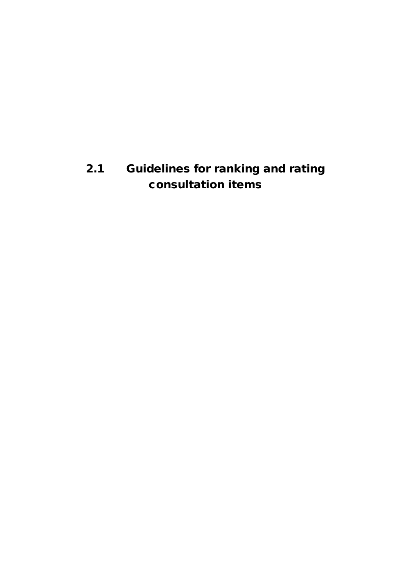# **2.1 Guidelines for ranking and rating consultation items**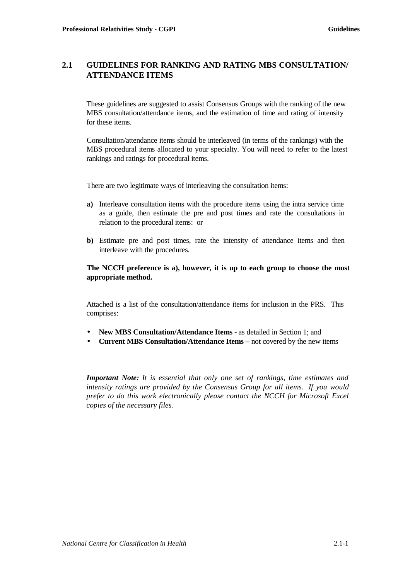# **2.1 GUIDELINES FOR RANKING AND RATING MBS CONSULTATION/ ATTENDANCE ITEMS**

These guidelines are suggested to assist Consensus Groups with the ranking of the new MBS consultation/attendance items, and the estimation of time and rating of intensity for these items.

Consultation/attendance items should be interleaved (in terms of the rankings) with the MBS procedural items allocated to your specialty. You will need to refer to the latest rankings and ratings for procedural items.

There are two legitimate ways of interleaving the consultation items:

- **a)** Interleave consultation items with the procedure items using the intra service time as a guide, then estimate the pre and post times and rate the consultations in relation to the procedural items: or
- **b)** Estimate pre and post times, rate the intensity of attendance items and then interleave with the procedures.

### **The NCCH preference is a), however, it is up to each group to choose the most appropriate method.**

Attached is a list of the consultation/attendance items for inclusion in the PRS. This comprises:

- **New MBS Consultation/Attendance Items** as detailed in Section 1; and
- **Current MBS Consultation/Attendance Items** not covered by the new items

*Important Note: It is essential that only one set of rankings, time estimates and intensity ratings are provided by the Consensus Group for all items. If you would prefer to do this work electronically please contact the NCCH for Microsoft Excel copies of the necessary files.*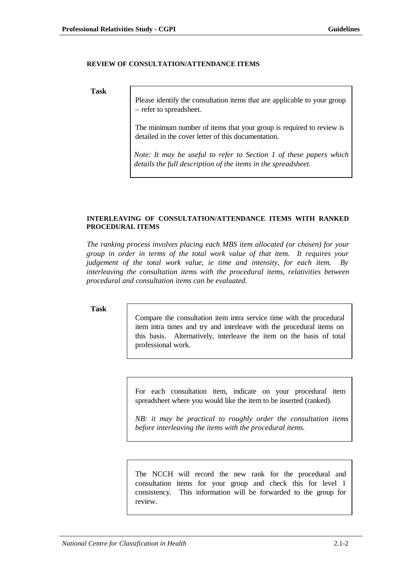### **REVIEW OF CONSULTATION/ATTENDANCE ITEMS**

**Task**

Please identify the consultation items that are applicable to your group – refer to spreadsheet.

The minimum number of items that your group is required to review is detailed in the cover letter of this documentation.

*Note: It may be useful to refer to Section 1 of these papers which details the full description of the items in the spreadsheet.*

### **INTERLEAVING OF CONSULTATION/ATTENDANCE ITEMS WITH RANKED PROCEDURAL ITEMS**

*The ranking process involves placing each MBS item allocated (or chosen) for your group in order in terms of the total work value of that item. It requires your judgement of the total work value, ie time and intensity, for each item. By interleaving the consultation items with the procedural items, relativities between procedural and consultation items can be evaluated.*

#### **Task**

Compare the consultation item intra service time with the procedural item intra times and try and interleave with the procedural items on this basis. Alternatively, interleave the item on the basis of total professional work.

For each consultation item, indicate on your procedural item spreadsheet where you would like the item to be inserted (ranked).

*NB: it may be practical to roughly order the consultation items before interleaving the items with the procedural items.*

The NCCH will record the new rank for the procedural and consultation items for your group and check this for level 1 consistency. This information will be forwarded to the group for review.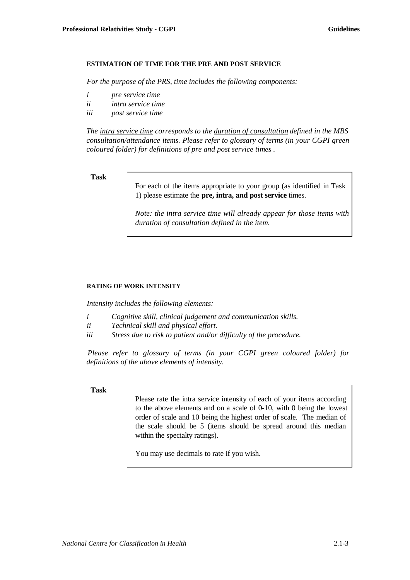## **ESTIMATION OF TIME FOR THE PRE AND POST SERVICE**

*For the purpose of the PRS, time includes the following components:*

- *i pre service time*
- *ii intra service time*
- *iii post service time*

*The intra service time corresponds to the duration of consultation defined in the MBS consultation/attendance items. Please refer to glossary of terms (in your CGPI green coloured folder) for definitions of pre and post service times .*

## **Task**

For each of the items appropriate to your group (as identified in Task 1) please estimate the **pre, intra, and post service** times.

*Note: the intra service time will already appear for those items with duration of consultation defined in the item.*

## **RATING OF WORK INTENSITY**

*Intensity includes the following elements:*

- *i Cognitive skill, clinical judgement and communication skills.*
- *ii Technical skill and physical effort.*
- *iii Stress due to risk to patient and/or difficulty of the procedure.*

*Please refer to glossary of terms (in your CGPI green coloured folder) for definitions of the above elements of intensity.*

## **Task**

Please rate the intra service intensity of each of your items according to the above elements and on a scale of 0-10, with 0 being the lowest order of scale and 10 being the highest order of scale. The median of the scale should be 5 (items should be spread around this median within the specialty ratings).

You may use decimals to rate if you wish.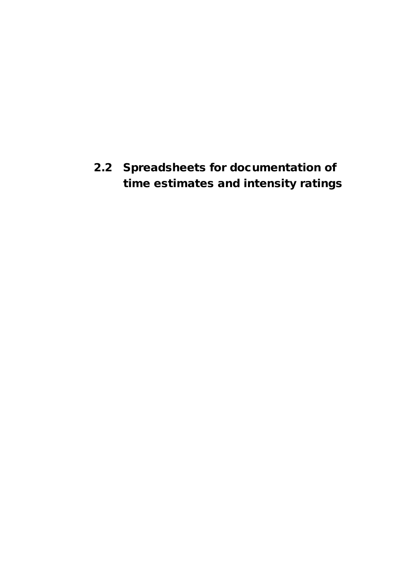**2.2 Spreadsheets for documentation of time estimates and intensity ratings**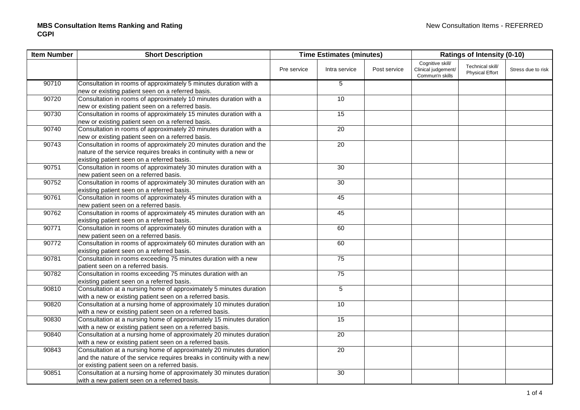| <b>Item Number</b> | <b>Short Description</b>                                               |             | <b>Time Estimates (minutes)</b> |              | <b>Ratings of Intensity (0-10)</b>                         |                                            |                    |
|--------------------|------------------------------------------------------------------------|-------------|---------------------------------|--------------|------------------------------------------------------------|--------------------------------------------|--------------------|
|                    |                                                                        | Pre service | Intra service                   | Post service | Cognitive skill/<br>Clinical judgement/<br>Commun'n skills | Technical skill/<br><b>Physical Effort</b> | Stress due to risk |
| 90710              | Consultation in rooms of approximately 5 minutes duration with a       |             | 5                               |              |                                                            |                                            |                    |
|                    | new or existing patient seen on a referred basis.                      |             |                                 |              |                                                            |                                            |                    |
| 90720              | Consultation in rooms of approximately 10 minutes duration with a      |             | 10                              |              |                                                            |                                            |                    |
|                    | new or existing patient seen on a referred basis.                      |             |                                 |              |                                                            |                                            |                    |
| 90730              | Consultation in rooms of approximately 15 minutes duration with a      |             | 15                              |              |                                                            |                                            |                    |
|                    | new or existing patient seen on a referred basis.                      |             |                                 |              |                                                            |                                            |                    |
| 90740              | Consultation in rooms of approximately 20 minutes duration with a      |             | 20                              |              |                                                            |                                            |                    |
|                    | new or existing patient seen on a referred basis.                      |             |                                 |              |                                                            |                                            |                    |
| 90743              | Consultation in rooms of approximately 20 minutes duration and the     |             | 20                              |              |                                                            |                                            |                    |
|                    | nature of the service requires breaks in continuity with a new or      |             |                                 |              |                                                            |                                            |                    |
|                    | existing patient seen on a referred basis.                             |             |                                 |              |                                                            |                                            |                    |
| 90751              | Consultation in rooms of approximately 30 minutes duration with a      |             | 30                              |              |                                                            |                                            |                    |
|                    | new patient seen on a referred basis.                                  |             |                                 |              |                                                            |                                            |                    |
| 90752              | Consultation in rooms of approximately 30 minutes duration with an     |             | 30                              |              |                                                            |                                            |                    |
|                    | existing patient seen on a referred basis.                             |             |                                 |              |                                                            |                                            |                    |
| 90761              | Consultation in rooms of approximately 45 minutes duration with a      |             | 45                              |              |                                                            |                                            |                    |
|                    | new patient seen on a referred basis.                                  |             |                                 |              |                                                            |                                            |                    |
| 90762              | Consultation in rooms of approximately 45 minutes duration with an     |             | 45                              |              |                                                            |                                            |                    |
|                    | existing patient seen on a referred basis.                             |             |                                 |              |                                                            |                                            |                    |
| 90771              | Consultation in rooms of approximately 60 minutes duration with a      |             | 60                              |              |                                                            |                                            |                    |
|                    | new patient seen on a referred basis.                                  |             |                                 |              |                                                            |                                            |                    |
| 90772              | Consultation in rooms of approximately 60 minutes duration with an     |             | 60                              |              |                                                            |                                            |                    |
|                    | existing patient seen on a referred basis.                             |             |                                 |              |                                                            |                                            |                    |
| 90781              | Consultation in rooms exceeding 75 minutes duration with a new         |             | 75                              |              |                                                            |                                            |                    |
|                    | patient seen on a referred basis.                                      |             |                                 |              |                                                            |                                            |                    |
| 90782              | Consultation in rooms exceeding 75 minutes duration with an            |             | 75                              |              |                                                            |                                            |                    |
|                    | existing patient seen on a referred basis.                             |             |                                 |              |                                                            |                                            |                    |
| 90810              | Consultation at a nursing home of approximately 5 minutes duration     |             | $\sqrt{5}$                      |              |                                                            |                                            |                    |
|                    | with a new or existing patient seen on a referred basis.               |             |                                 |              |                                                            |                                            |                    |
| 90820              | Consultation at a nursing home of approximately 10 minutes duration    |             | 10                              |              |                                                            |                                            |                    |
|                    | with a new or existing patient seen on a referred basis.               |             |                                 |              |                                                            |                                            |                    |
| 90830              | Consultation at a nursing home of approximately 15 minutes duration    |             | 15                              |              |                                                            |                                            |                    |
|                    | with a new or existing patient seen on a referred basis.               |             |                                 |              |                                                            |                                            |                    |
| 90840              | Consultation at a nursing home of approximately 20 minutes duration    |             | 20                              |              |                                                            |                                            |                    |
|                    | with a new or existing patient seen on a referred basis.               |             |                                 |              |                                                            |                                            |                    |
| 90843              | Consultation at a nursing home of approximately 20 minutes duration    |             | 20                              |              |                                                            |                                            |                    |
|                    | and the nature of the service requires breaks in continuity with a new |             |                                 |              |                                                            |                                            |                    |
|                    | or existing patient seen on a referred basis.                          |             |                                 |              |                                                            |                                            |                    |
| 90851              | Consultation at a nursing home of approximately 30 minutes duration    |             | 30                              |              |                                                            |                                            |                    |
|                    | with a new patient seen on a referred basis.                           |             |                                 |              |                                                            |                                            |                    |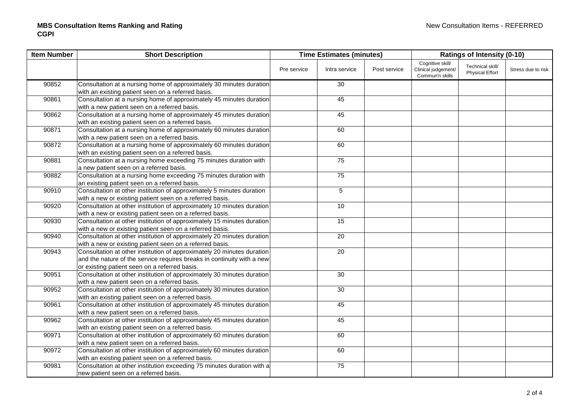| <b>Item Number</b> | <b>Short Description</b>                                                                                                                                                                          |             | <b>Ratings of Intensity (0-10)</b> |              |                                                            | <b>Time Estimates (minutes)</b>            |                    |  |
|--------------------|---------------------------------------------------------------------------------------------------------------------------------------------------------------------------------------------------|-------------|------------------------------------|--------------|------------------------------------------------------------|--------------------------------------------|--------------------|--|
|                    |                                                                                                                                                                                                   | Pre service | Intra service                      | Post service | Cognitive skill/<br>Clinical judgement/<br>Commun'n skills | Technical skill/<br><b>Physical Effort</b> | Stress due to risk |  |
| 90852              | Consultation at a nursing home of approximately 30 minutes duration<br>with an existing patient seen on a referred basis.                                                                         |             | 30                                 |              |                                                            |                                            |                    |  |
| 90861              | Consultation at a nursing home of approximately 45 minutes duration<br>with a new patient seen on a referred basis.                                                                               |             | 45                                 |              |                                                            |                                            |                    |  |
| 90862              | Consultation at a nursing home of approximately 45 minutes duration<br>with an existing patient seen on a referred basis.                                                                         |             | 45                                 |              |                                                            |                                            |                    |  |
| 90871              | Consultation at a nursing home of approximately 60 minutes duration<br>with a new patient seen on a referred basis.                                                                               |             | 60                                 |              |                                                            |                                            |                    |  |
| 90872              | Consultation at a nursing home of approximately 60 minutes duration<br>with an existing patient seen on a referred basis.                                                                         |             | 60                                 |              |                                                            |                                            |                    |  |
| 90881              | Consultation at a nursing home exceeding 75 minutes duration with<br>a new patient seen on a referred basis.                                                                                      |             | 75                                 |              |                                                            |                                            |                    |  |
| 90882              | Consultation at a nursing home exceeding 75 minutes duration with<br>an existing patient seen on a referred basis.                                                                                |             | 75                                 |              |                                                            |                                            |                    |  |
| 90910              | Consultation at other institution of approximately 5 minutes duration<br>with a new or existing patient seen on a referred basis.                                                                 |             | $\mathbf 5$                        |              |                                                            |                                            |                    |  |
| 90920              | Consultation at other institution of approximately 10 minutes duration<br>with a new or existing patient seen on a referred basis.                                                                |             | 10                                 |              |                                                            |                                            |                    |  |
| 90930              | Consultation at other institution of approximately 15 minutes duration<br>with a new or existing patient seen on a referred basis.                                                                |             | 15                                 |              |                                                            |                                            |                    |  |
| 90940              | Consultation at other institution of approximately 20 minutes duration<br>with a new or existing patient seen on a referred basis.                                                                |             | 20                                 |              |                                                            |                                            |                    |  |
| 90943              | Consultation at other institution of approximately 20 minutes duration<br>and the nature of the service requires breaks in continuity with a new<br>or existing patient seen on a referred basis. |             | 20                                 |              |                                                            |                                            |                    |  |
| 90951              | Consultation at other institution of approximately 30 minutes duration<br>with a new patient seen on a referred basis.                                                                            |             | 30                                 |              |                                                            |                                            |                    |  |
| 90952              | Consultation at other institution of approximately 30 minutes duration<br>with an existing patient seen on a referred basis.                                                                      |             | 30                                 |              |                                                            |                                            |                    |  |
| 90961              | Consultation at other institution of approximately 45 minutes duration<br>with a new patient seen on a referred basis.                                                                            |             | 45                                 |              |                                                            |                                            |                    |  |
| 90962              | Consultation at other institution of approximately 45 minutes duration<br>with an existing patient seen on a referred basis.                                                                      |             | 45                                 |              |                                                            |                                            |                    |  |
| 90971              | Consultation at other institution of approximately 60 minutes duration<br>with a new patient seen on a referred basis.                                                                            |             | 60                                 |              |                                                            |                                            |                    |  |
| 90972              | Consultation at other institution of approximately 60 minutes duration<br>with an existing patient seen on a referred basis.                                                                      |             | 60                                 |              |                                                            |                                            |                    |  |
| 90981              | Consultation at other institution exceeding 75 minutes duration with a<br>new patient seen on a referred basis.                                                                                   |             | 75                                 |              |                                                            |                                            |                    |  |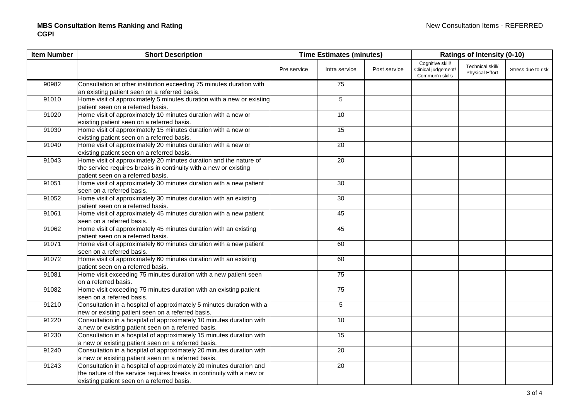| <b>Item Number</b> | <b>Short Description</b>                                              |             | <b>Time Estimates (minutes)</b> |              | <b>Ratings of Intensity (0-10)</b>                         |                                            |                    |  |
|--------------------|-----------------------------------------------------------------------|-------------|---------------------------------|--------------|------------------------------------------------------------|--------------------------------------------|--------------------|--|
|                    |                                                                       | Pre service | Intra service                   | Post service | Cognitive skill/<br>Clinical judgement/<br>Commun'n skills | Technical skill/<br><b>Physical Effort</b> | Stress due to risk |  |
| 90982              | Consultation at other institution exceeding 75 minutes duration with  |             | 75                              |              |                                                            |                                            |                    |  |
|                    | an existing patient seen on a referred basis.                         |             |                                 |              |                                                            |                                            |                    |  |
| 91010              | Home visit of approximately 5 minutes duration with a new or existing |             | $\sqrt{5}$                      |              |                                                            |                                            |                    |  |
|                    | patient seen on a referred basis.                                     |             |                                 |              |                                                            |                                            |                    |  |
| 91020              | Home visit of approximately 10 minutes duration with a new or         |             | 10                              |              |                                                            |                                            |                    |  |
|                    | existing patient seen on a referred basis.                            |             |                                 |              |                                                            |                                            |                    |  |
| 91030              | Home visit of approximately 15 minutes duration with a new or         |             | 15                              |              |                                                            |                                            |                    |  |
|                    | existing patient seen on a referred basis.                            |             |                                 |              |                                                            |                                            |                    |  |
| 91040              | Home visit of approximately 20 minutes duration with a new or         |             | 20                              |              |                                                            |                                            |                    |  |
|                    | existing patient seen on a referred basis.                            |             |                                 |              |                                                            |                                            |                    |  |
| 91043              | Home visit of approximately 20 minutes duration and the nature of     |             | 20                              |              |                                                            |                                            |                    |  |
|                    | the service requires breaks in continuity with a new or existing      |             |                                 |              |                                                            |                                            |                    |  |
|                    | patient seen on a referred basis.                                     |             |                                 |              |                                                            |                                            |                    |  |
| 91051              | Home visit of approximately 30 minutes duration with a new patient    |             | $\overline{30}$                 |              |                                                            |                                            |                    |  |
|                    | seen on a referred basis.                                             |             |                                 |              |                                                            |                                            |                    |  |
| 91052              | Home visit of approximately 30 minutes duration with an existing      |             | 30                              |              |                                                            |                                            |                    |  |
|                    | patient seen on a referred basis.                                     |             |                                 |              |                                                            |                                            |                    |  |
| 91061              | Home visit of approximately 45 minutes duration with a new patient    |             | 45                              |              |                                                            |                                            |                    |  |
|                    | seen on a referred basis.                                             |             |                                 |              |                                                            |                                            |                    |  |
| 91062              | Home visit of approximately 45 minutes duration with an existing      |             | 45                              |              |                                                            |                                            |                    |  |
|                    | patient seen on a referred basis.                                     |             |                                 |              |                                                            |                                            |                    |  |
| 91071              | Home visit of approximately 60 minutes duration with a new patient    |             | 60                              |              |                                                            |                                            |                    |  |
|                    | seen on a referred basis.                                             |             |                                 |              |                                                            |                                            |                    |  |
| 91072              | Home visit of approximately 60 minutes duration with an existing      |             | 60                              |              |                                                            |                                            |                    |  |
|                    | patient seen on a referred basis.                                     |             |                                 |              |                                                            |                                            |                    |  |
| 91081              | Home visit exceeding 75 minutes duration with a new patient seen      |             | 75                              |              |                                                            |                                            |                    |  |
|                    | on a referred basis.                                                  |             |                                 |              |                                                            |                                            |                    |  |
| 91082              | Home visit exceeding 75 minutes duration with an existing patient     |             | 75                              |              |                                                            |                                            |                    |  |
|                    | seen on a referred basis.                                             |             |                                 |              |                                                            |                                            |                    |  |
| 91210              | Consultation in a hospital of approximately 5 minutes duration with a |             | 5                               |              |                                                            |                                            |                    |  |
|                    | new or existing patient seen on a referred basis.                     |             |                                 |              |                                                            |                                            |                    |  |
| 91220              | Consultation in a hospital of approximately 10 minutes duration with  |             | 10                              |              |                                                            |                                            |                    |  |
|                    | a new or existing patient seen on a referred basis.                   |             |                                 |              |                                                            |                                            |                    |  |
| 91230              | Consultation in a hospital of approximately 15 minutes duration with  |             | 15                              |              |                                                            |                                            |                    |  |
|                    | a new or existing patient seen on a referred basis.                   |             |                                 |              |                                                            |                                            |                    |  |
| 91240              | Consultation in a hospital of approximately 20 minutes duration with  |             | 20                              |              |                                                            |                                            |                    |  |
|                    | a new or existing patient seen on a referred basis.                   |             |                                 |              |                                                            |                                            |                    |  |
| 91243              | Consultation in a hospital of approximately 20 minutes duration and   |             | 20                              |              |                                                            |                                            |                    |  |
|                    | the nature of the service requires breaks in continuity with a new or |             |                                 |              |                                                            |                                            |                    |  |
|                    | existing patient seen on a referred basis.                            |             |                                 |              |                                                            |                                            |                    |  |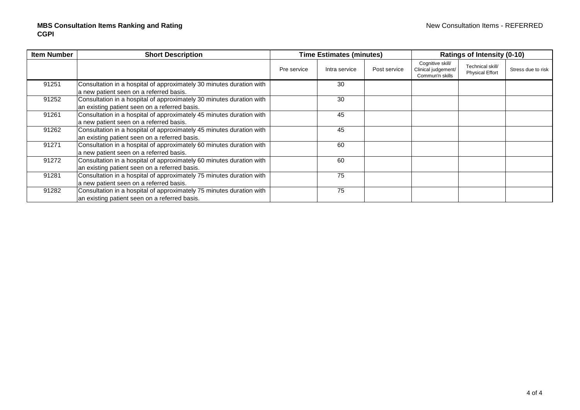| <b>Item Number</b> | <b>Short Description</b>                                                                                              |             | <b>Time Estimates (minutes)</b> |              | <b>Ratings of Intensity (0-10)</b>                         |                                            |                    |
|--------------------|-----------------------------------------------------------------------------------------------------------------------|-------------|---------------------------------|--------------|------------------------------------------------------------|--------------------------------------------|--------------------|
|                    |                                                                                                                       | Pre service | Intra service                   | Post service | Cognitive skill/<br>Clinical judgement/<br>Commun'n skills | Technical skill/<br><b>Physical Effort</b> | Stress due to risk |
| 91251              | Consultation in a hospital of approximately 30 minutes duration with<br>a new patient seen on a referred basis.       |             | 30                              |              |                                                            |                                            |                    |
| 91252              | Consultation in a hospital of approximately 30 minutes duration with<br>an existing patient seen on a referred basis. |             | 30                              |              |                                                            |                                            |                    |
| 91261              | Consultation in a hospital of approximately 45 minutes duration with<br>a new patient seen on a referred basis.       |             | 45                              |              |                                                            |                                            |                    |
| 91262              | Consultation in a hospital of approximately 45 minutes duration with<br>an existing patient seen on a referred basis. |             | 45                              |              |                                                            |                                            |                    |
| 91271              | Consultation in a hospital of approximately 60 minutes duration with<br>a new patient seen on a referred basis.       |             | 60                              |              |                                                            |                                            |                    |
| 91272              | Consultation in a hospital of approximately 60 minutes duration with<br>an existing patient seen on a referred basis. |             | 60                              |              |                                                            |                                            |                    |
| 91281              | Consultation in a hospital of approximately 75 minutes duration with<br>a new patient seen on a referred basis.       |             | 75                              |              |                                                            |                                            |                    |
| 91282              | Consultation in a hospital of approximately 75 minutes duration with<br>an existing patient seen on a referred basis. |             | 75                              |              |                                                            |                                            |                    |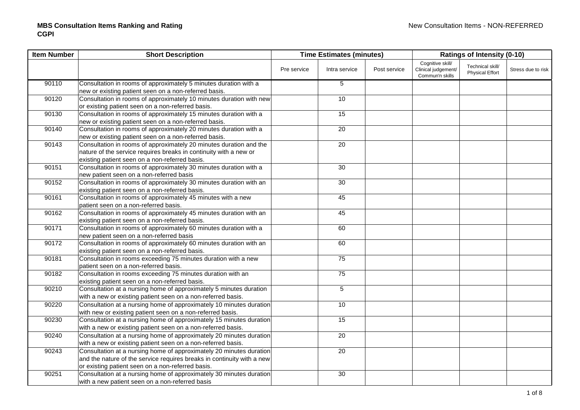| <b>Item Number</b> | <b>Short Description</b>                                               |             | <b>Time Estimates (minutes)</b> |              |                                                            | <b>Ratings of Intensity (0-10)</b>         |                    |  |
|--------------------|------------------------------------------------------------------------|-------------|---------------------------------|--------------|------------------------------------------------------------|--------------------------------------------|--------------------|--|
|                    |                                                                        | Pre service | Intra service                   | Post service | Cognitive skill/<br>Clinical judgement/<br>Commun'n skills | Technical skill/<br><b>Physical Effort</b> | Stress due to risk |  |
| 90110              | Consultation in rooms of approximately 5 minutes duration with a       |             | 5                               |              |                                                            |                                            |                    |  |
|                    | new or existing patient seen on a non-referred basis.                  |             |                                 |              |                                                            |                                            |                    |  |
| 90120              | Consultation in rooms of approximately 10 minutes duration with new    |             | 10                              |              |                                                            |                                            |                    |  |
|                    | or existing patient seen on a non-referred basis.                      |             |                                 |              |                                                            |                                            |                    |  |
| 90130              | Consultation in rooms of approximately 15 minutes duration with a      |             | 15                              |              |                                                            |                                            |                    |  |
|                    | new or existing patient seen on a non-referred basis.                  |             |                                 |              |                                                            |                                            |                    |  |
| 90140              | Consultation in rooms of approximately 20 minutes duration with a      |             | 20                              |              |                                                            |                                            |                    |  |
|                    | new or existing patient seen on a non-referred basis.                  |             |                                 |              |                                                            |                                            |                    |  |
| 90143              | Consultation in rooms of approximately 20 minutes duration and the     |             | 20                              |              |                                                            |                                            |                    |  |
|                    | nature of the service requires breaks in continuity with a new or      |             |                                 |              |                                                            |                                            |                    |  |
|                    | existing patient seen on a non-referred basis.                         |             |                                 |              |                                                            |                                            |                    |  |
| 90151              | Consultation in rooms of approximately 30 minutes duration with a      |             | 30                              |              |                                                            |                                            |                    |  |
|                    | new patient seen on a non-referred basis                               |             |                                 |              |                                                            |                                            |                    |  |
| 90152              | Consultation in rooms of approximately 30 minutes duration with an     |             | 30                              |              |                                                            |                                            |                    |  |
|                    | existing patient seen on a non-referred basis.                         |             |                                 |              |                                                            |                                            |                    |  |
| 90161              | Consultation in rooms of approximately 45 minutes with a new           |             | 45                              |              |                                                            |                                            |                    |  |
|                    | patient seen on a non-referred basis.                                  |             |                                 |              |                                                            |                                            |                    |  |
| 90162              | Consultation in rooms of approximately 45 minutes duration with an     |             | 45                              |              |                                                            |                                            |                    |  |
|                    | existing patient seen on a non-referred basis.                         |             |                                 |              |                                                            |                                            |                    |  |
| 90171              | Consultation in rooms of approximately 60 minutes duration with a      |             | 60                              |              |                                                            |                                            |                    |  |
|                    | new patient seen on a non-referred basis                               |             |                                 |              |                                                            |                                            |                    |  |
| 90172              | Consultation in rooms of approximately 60 minutes duration with an     |             | 60                              |              |                                                            |                                            |                    |  |
|                    | existing patient seen on a non-referred basis.                         |             |                                 |              |                                                            |                                            |                    |  |
| 90181              | Consultation in rooms exceeding 75 minutes duration with a new         |             | 75                              |              |                                                            |                                            |                    |  |
|                    | patient seen on a non-referred basis.                                  |             |                                 |              |                                                            |                                            |                    |  |
| 90182              | Consultation in rooms exceeding 75 minutes duration with an            |             | $\overline{75}$                 |              |                                                            |                                            |                    |  |
|                    | existing patient seen on a non-referred basis.                         |             |                                 |              |                                                            |                                            |                    |  |
| 90210              | Consultation at a nursing home of approximately 5 minutes duration     |             | $\overline{5}$                  |              |                                                            |                                            |                    |  |
|                    | with a new or existing patient seen on a non-referred basis.           |             |                                 |              |                                                            |                                            |                    |  |
| 90220              | Consultation at a nursing home of approximately 10 minutes duration    |             | 10                              |              |                                                            |                                            |                    |  |
|                    | with new or existing patient seen on a non-referred basis.             |             |                                 |              |                                                            |                                            |                    |  |
| 90230              | Consultation at a nursing home of approximately 15 minutes duration    |             | 15                              |              |                                                            |                                            |                    |  |
|                    | with a new or existing patient seen on a non-referred basis.           |             |                                 |              |                                                            |                                            |                    |  |
| 90240              | Consultation at a nursing home of approximately 20 minutes duration    |             | 20                              |              |                                                            |                                            |                    |  |
|                    | with a new or existing patient seen on a non-referred basis.           |             |                                 |              |                                                            |                                            |                    |  |
| 90243              | Consultation at a nursing home of approximately 20 minutes duration    |             | 20                              |              |                                                            |                                            |                    |  |
|                    | and the nature of the service requires breaks in continuity with a new |             |                                 |              |                                                            |                                            |                    |  |
|                    | or existing patient seen on a non-referred basis.                      |             |                                 |              |                                                            |                                            |                    |  |
| 90251              | Consultation at a nursing home of approximately 30 minutes duration    |             | 30                              |              |                                                            |                                            |                    |  |
|                    | with a new patient seen on a non-referred basis                        |             |                                 |              |                                                            |                                            |                    |  |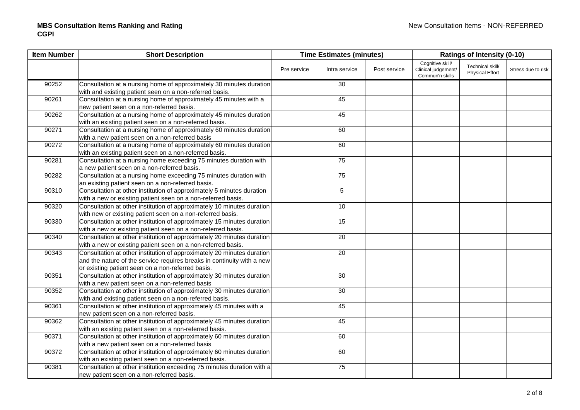| <b>Item Number</b> | <b>Short Description</b>                                                                                                                                                                              |             | <b>Time Estimates (minutes)</b> |              | <b>Ratings of Intensity (0-10)</b>                         |                                            |                    |  |
|--------------------|-------------------------------------------------------------------------------------------------------------------------------------------------------------------------------------------------------|-------------|---------------------------------|--------------|------------------------------------------------------------|--------------------------------------------|--------------------|--|
|                    |                                                                                                                                                                                                       | Pre service | Intra service                   | Post service | Cognitive skill/<br>Clinical judgement/<br>Commun'n skills | Technical skill/<br><b>Physical Effort</b> | Stress due to risk |  |
| 90252              | Consultation at a nursing home of approximately 30 minutes duration<br>with and existing patient seen on a non-referred basis.                                                                        |             | 30                              |              |                                                            |                                            |                    |  |
| 90261              | Consultation at a nursing home of approximately 45 minutes with a<br>new patient seen on a non-referred basis.                                                                                        |             | 45                              |              |                                                            |                                            |                    |  |
| 90262              | Consultation at a nursing home of approximately 45 minutes duration<br>with an existing patient seen on a non-referred basis.                                                                         |             | 45                              |              |                                                            |                                            |                    |  |
| 90271              | Consultation at a nursing home of approximately 60 minutes duration<br>with a new patient seen on a non-referred basis                                                                                |             | 60                              |              |                                                            |                                            |                    |  |
| 90272              | Consultation at a nursing home of approximately 60 minutes duration<br>with an existing patient seen on a non-referred basis.                                                                         |             | 60                              |              |                                                            |                                            |                    |  |
| 90281              | Consultation at a nursing home exceeding 75 minutes duration with<br>a new patient seen on a non-referred basis.                                                                                      |             | 75                              |              |                                                            |                                            |                    |  |
| 90282              | Consultation at a nursing home exceeding 75 minutes duration with<br>an existing patient seen on a non-referred basis.                                                                                |             | 75                              |              |                                                            |                                            |                    |  |
| 90310              | Consultation at other institution of approximately 5 minutes duration<br>with a new or existing patient seen on a non-referred basis.                                                                 |             | 5                               |              |                                                            |                                            |                    |  |
| 90320              | Consultation at other institution of approximately 10 minutes duration<br>with new or existing patient seen on a non-referred basis.                                                                  |             | 10                              |              |                                                            |                                            |                    |  |
| 90330              | Consultation at other institution of approximately 15 minutes duration<br>with a new or existing patient seen on a non-referred basis.                                                                |             | 15                              |              |                                                            |                                            |                    |  |
| 90340              | Consultation at other institution of approximately 20 minutes duration<br>with a new or existing patient seen on a non-referred basis.                                                                |             | 20                              |              |                                                            |                                            |                    |  |
| 90343              | Consultation at other institution of approximately 20 minutes duration<br>and the nature of the service requires breaks in continuity with a new<br>or existing patient seen on a non-referred basis. |             | 20                              |              |                                                            |                                            |                    |  |
| 90351              | Consultation at other institution of approximately 30 minutes duration<br>with a new patient seen on a non-referred basis                                                                             |             | 30                              |              |                                                            |                                            |                    |  |
| 90352              | Consultation at other institution of approximately 30 minutes duration<br>with and existing patient seen on a non-referred basis.                                                                     |             | $\overline{30}$                 |              |                                                            |                                            |                    |  |
| 90361              | Consultation at other institution of approximately 45 minutes with a<br>new patient seen on a non-referred basis.                                                                                     |             | 45                              |              |                                                            |                                            |                    |  |
| 90362              | Consultation at other institution of approximately 45 minutes duration<br>with an existing patient seen on a non-referred basis.                                                                      |             | 45                              |              |                                                            |                                            |                    |  |
| 90371              | Consultation at other institution of approximately 60 minutes duration<br>with a new patient seen on a non-referred basis                                                                             |             | 60                              |              |                                                            |                                            |                    |  |
| 90372              | Consultation at other institution of approximately 60 minutes duration<br>with an existing patient seen on a non-referred basis.                                                                      |             | 60                              |              |                                                            |                                            |                    |  |
| 90381              | Consultation at other institution exceeding 75 minutes duration with a<br>new patient seen on a non-referred basis.                                                                                   |             | 75                              |              |                                                            |                                            |                    |  |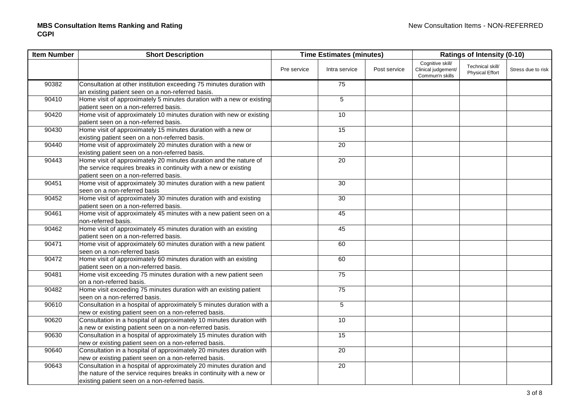| <b>Item Number</b> | <b>Short Description</b>                                                                                                                                                                       |             | <b>Time Estimates (minutes)</b> |              | <b>Ratings of Intensity (0-10)</b>                         |                                            |                    |
|--------------------|------------------------------------------------------------------------------------------------------------------------------------------------------------------------------------------------|-------------|---------------------------------|--------------|------------------------------------------------------------|--------------------------------------------|--------------------|
|                    |                                                                                                                                                                                                | Pre service | Intra service                   | Post service | Cognitive skill/<br>Clinical judgement/<br>Commun'n skills | Technical skill/<br><b>Physical Effort</b> | Stress due to risk |
| 90382              | Consultation at other institution exceeding 75 minutes duration with<br>an existing patient seen on a non-referred basis.                                                                      |             | 75                              |              |                                                            |                                            |                    |
| 90410              | Home visit of approximately 5 minutes duration with a new or existing<br>patient seen on a non-referred basis.                                                                                 |             | $\overline{5}$                  |              |                                                            |                                            |                    |
| 90420              | Home visit of approximately 10 minutes duration with new or existing<br>patient seen on a non-referred basis.                                                                                  |             | 10                              |              |                                                            |                                            |                    |
| 90430              | Home visit of approximately 15 minutes duration with a new or<br>existing patient seen on a non-referred basis.                                                                                |             | 15                              |              |                                                            |                                            |                    |
| 90440              | Home visit of approximately 20 minutes duration with a new or<br>existing patient seen on a non-referred basis.                                                                                |             | 20                              |              |                                                            |                                            |                    |
| 90443              | Home visit of approximately 20 minutes duration and the nature of<br>the service requires breaks in continuity with a new or existing<br>patient seen on a non-referred basis.                 |             | 20                              |              |                                                            |                                            |                    |
| 90451              | Home visit of approximately 30 minutes duration with a new patient<br>seen on a non-referred basis                                                                                             |             | 30                              |              |                                                            |                                            |                    |
| 90452              | Home visit of approximately 30 minutes duration with and existing<br>patient seen on a non-referred basis.                                                                                     |             | 30                              |              |                                                            |                                            |                    |
| 90461              | Home visit of approximately 45 minutes with a new patient seen on a<br>non-referred basis.                                                                                                     |             | 45                              |              |                                                            |                                            |                    |
| 90462              | Home visit of approximately 45 minutes duration with an existing<br>patient seen on a non-referred basis.                                                                                      |             | 45                              |              |                                                            |                                            |                    |
| 90471              | Home visit of approximately 60 minutes duration with a new patient<br>seen on a non-referred basis                                                                                             |             | 60                              |              |                                                            |                                            |                    |
| 90472              | Home visit of approximately 60 minutes duration with an existing<br>patient seen on a non-referred basis.                                                                                      |             | 60                              |              |                                                            |                                            |                    |
| 90481              | Home visit exceeding 75 minutes duration with a new patient seen<br>on a non-referred basis.                                                                                                   |             | 75                              |              |                                                            |                                            |                    |
| 90482              | Home visit exceeding 75 minutes duration with an existing patient<br>seen on a non-referred basis.                                                                                             |             | 75                              |              |                                                            |                                            |                    |
| 90610              | Consultation in a hospital of approximately 5 minutes duration with a<br>new or existing patient seen on a non-referred basis.                                                                 |             | $5\phantom{.0}$                 |              |                                                            |                                            |                    |
| 90620              | Consultation in a hospital of approximately 10 minutes duration with<br>a new or existing patient seen on a non-referred basis.                                                                |             | 10                              |              |                                                            |                                            |                    |
| 90630              | Consultation in a hospital of approximately 15 minutes duration with<br>new or existing patient seen on a non-referred basis.                                                                  |             | 15                              |              |                                                            |                                            |                    |
| 90640              | Consultation in a hospital of approximately 20 minutes duration with<br>new or existing patient seen on a non-referred basis.                                                                  |             | 20                              |              |                                                            |                                            |                    |
| 90643              | Consultation in a hospital of approximately 20 minutes duration and<br>the nature of the service requires breaks in continuity with a new or<br>existing patient seen on a non-referred basis. |             | 20                              |              |                                                            |                                            |                    |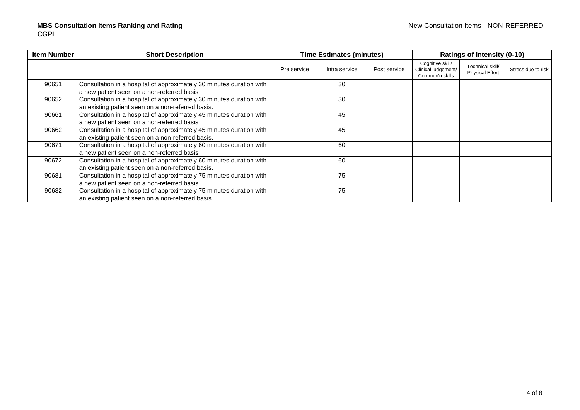| <b>Item Number</b> | <b>Short Description</b>                                             |             | <b>Time Estimates (minutes)</b> |              | <b>Ratings of Intensity (0-10)</b>                         |                                            |                    |  |
|--------------------|----------------------------------------------------------------------|-------------|---------------------------------|--------------|------------------------------------------------------------|--------------------------------------------|--------------------|--|
|                    |                                                                      | Pre service | Intra service                   | Post service | Cognitive skill/<br>Clinical judgement/<br>Commun'n skills | Technical skill/<br><b>Physical Effort</b> | Stress due to risk |  |
| 90651              | Consultation in a hospital of approximately 30 minutes duration with |             | 30                              |              |                                                            |                                            |                    |  |
|                    | a new patient seen on a non-referred basis                           |             |                                 |              |                                                            |                                            |                    |  |
| 90652              | Consultation in a hospital of approximately 30 minutes duration with |             | 30                              |              |                                                            |                                            |                    |  |
|                    | an existing patient seen on a non-referred basis.                    |             |                                 |              |                                                            |                                            |                    |  |
| 90661              | Consultation in a hospital of approximately 45 minutes duration with |             | 45                              |              |                                                            |                                            |                    |  |
|                    | a new patient seen on a non-referred basis                           |             |                                 |              |                                                            |                                            |                    |  |
| 90662              | Consultation in a hospital of approximately 45 minutes duration with |             | 45                              |              |                                                            |                                            |                    |  |
|                    | an existing patient seen on a non-referred basis.                    |             |                                 |              |                                                            |                                            |                    |  |
| 90671              | Consultation in a hospital of approximately 60 minutes duration with |             | 60                              |              |                                                            |                                            |                    |  |
|                    | a new patient seen on a non-referred basis                           |             |                                 |              |                                                            |                                            |                    |  |
| 90672              | Consultation in a hospital of approximately 60 minutes duration with |             | 60                              |              |                                                            |                                            |                    |  |
|                    | an existing patient seen on a non-referred basis.                    |             |                                 |              |                                                            |                                            |                    |  |
| 90681              | Consultation in a hospital of approximately 75 minutes duration with |             | 75                              |              |                                                            |                                            |                    |  |
|                    | a new patient seen on a non-referred basis                           |             |                                 |              |                                                            |                                            |                    |  |
| 90682              | Consultation in a hospital of approximately 75 minutes duration with |             | 75                              |              |                                                            |                                            |                    |  |
|                    | an existing patient seen on a non-referred basis.                    |             |                                 |              |                                                            |                                            |                    |  |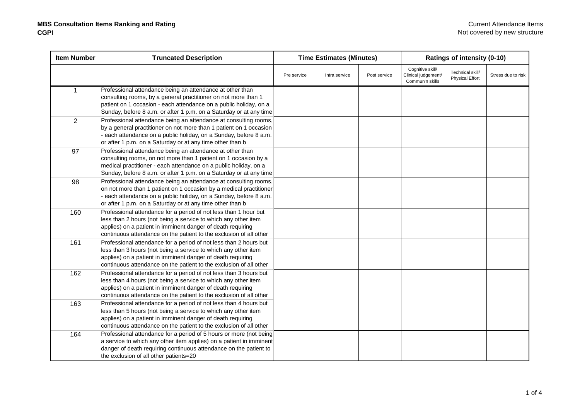| <b>Item Number</b> | <b>Truncated Description</b>                                                                                                                                                                                                                                             |             | Ratings of intensity (0-10)<br><b>Time Estimates (Minutes)</b> |              |                                                            |                                            |                    |  |
|--------------------|--------------------------------------------------------------------------------------------------------------------------------------------------------------------------------------------------------------------------------------------------------------------------|-------------|----------------------------------------------------------------|--------------|------------------------------------------------------------|--------------------------------------------|--------------------|--|
|                    |                                                                                                                                                                                                                                                                          | Pre service | Intra service                                                  | Post service | Cognitive skill/<br>Clinical judgement/<br>Commun'n skills | Technical skill/<br><b>Physical Effort</b> | Stress due to risk |  |
| $\mathbf{1}$       | Professional attendance being an attendance at other than<br>consulting rooms, by a general practitioner on not more than 1<br>patient on 1 occasion - each attendance on a public holiday, on a<br>Sunday, before 8 a.m. or after 1 p.m. on a Saturday or at any time   |             |                                                                |              |                                                            |                                            |                    |  |
| $\overline{2}$     | Professional attendance being an attendance at consulting rooms,<br>by a general practitioner on not more than 1 patient on 1 occasion<br>- each attendance on a public holiday, on a Sunday, before 8 a.m.<br>or after 1 p.m. on a Saturday or at any time other than b |             |                                                                |              |                                                            |                                            |                    |  |
| 97                 | Professional attendance being an attendance at other than<br>consulting rooms, on not more than 1 patient on 1 occasion by a<br>medical practitioner - each attendance on a public holiday, on a<br>Sunday, before 8 a.m. or after 1 p.m. on a Saturday or at any time   |             |                                                                |              |                                                            |                                            |                    |  |
| 98                 | Professional attendance being an attendance at consulting rooms,<br>on not more than 1 patient on 1 occasion by a medical practitioner<br>each attendance on a public holiday, on a Sunday, before 8 a.m.<br>or after 1 p.m. on a Saturday or at any time other than b   |             |                                                                |              |                                                            |                                            |                    |  |
| 160                | Professional attendance for a period of not less than 1 hour but<br>less than 2 hours (not being a service to which any other item<br>applies) on a patient in imminent danger of death requiring<br>continuous attendance on the patient to the exclusion of all other  |             |                                                                |              |                                                            |                                            |                    |  |
| 161                | Professional attendance for a period of not less than 2 hours but<br>less than 3 hours (not being a service to which any other item<br>applies) on a patient in imminent danger of death requiring<br>continuous attendance on the patient to the exclusion of all other |             |                                                                |              |                                                            |                                            |                    |  |
| 162                | Professional attendance for a period of not less than 3 hours but<br>less than 4 hours (not being a service to which any other item<br>applies) on a patient in imminent danger of death requiring<br>continuous attendance on the patient to the exclusion of all other |             |                                                                |              |                                                            |                                            |                    |  |
| 163                | Professional attendance for a period of not less than 4 hours but<br>less than 5 hours (not being a service to which any other item<br>applies) on a patient in imminent danger of death requiring<br>continuous attendance on the patient to the exclusion of all other |             |                                                                |              |                                                            |                                            |                    |  |
| 164                | Professional attendance for a period of 5 hours or more (not being<br>a service to which any other item applies) on a patient in imminent<br>danger of death requiring continuous attendance on the patient to<br>the exclusion of all other patients=20                 |             |                                                                |              |                                                            |                                            |                    |  |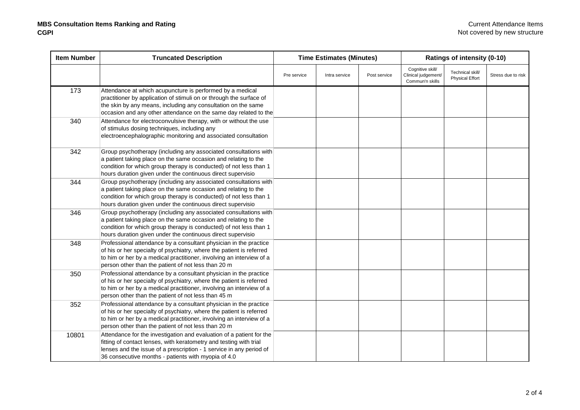| <b>Item Number</b> | <b>Truncated Description</b>                                                                                                                                                                                                                                             |             | <b>Time Estimates (Minutes)</b> |              |                                                            | Ratings of intensity (0-10)                |                    |  |
|--------------------|--------------------------------------------------------------------------------------------------------------------------------------------------------------------------------------------------------------------------------------------------------------------------|-------------|---------------------------------|--------------|------------------------------------------------------------|--------------------------------------------|--------------------|--|
|                    |                                                                                                                                                                                                                                                                          | Pre service | Intra service                   | Post service | Cognitive skill/<br>Clinical judgement/<br>Commun'n skills | Technical skill/<br><b>Physical Effort</b> | Stress due to risk |  |
| 173                | Attendance at which acupuncture is performed by a medical<br>practitioner by application of stimuli on or through the surface of<br>the skin by any means, including any consultation on the same<br>occasion and any other attendance on the same day related to the    |             |                                 |              |                                                            |                                            |                    |  |
| 340                | Attendance for electroconvulsive therapy, with or without the use<br>of stimulus dosing techniques, including any<br>electroencephalographic monitoring and associated consultation                                                                                      |             |                                 |              |                                                            |                                            |                    |  |
| 342                | Group psychotherapy (including any associated consultations with<br>a patient taking place on the same occasion and relating to the<br>condition for which group therapy is conducted) of not less than 1<br>hours duration given under the continuous direct supervisio |             |                                 |              |                                                            |                                            |                    |  |
| 344                | Group psychotherapy (including any associated consultations with<br>a patient taking place on the same occasion and relating to the<br>condition for which group therapy is conducted) of not less than 1<br>hours duration given under the continuous direct supervisio |             |                                 |              |                                                            |                                            |                    |  |
| 346                | Group psychotherapy (including any associated consultations with<br>a patient taking place on the same occasion and relating to the<br>condition for which group therapy is conducted) of not less than 1<br>hours duration given under the continuous direct supervisio |             |                                 |              |                                                            |                                            |                    |  |
| 348                | Professional attendance by a consultant physician in the practice<br>of his or her specialty of psychiatry, where the patient is referred<br>to him or her by a medical practitioner, involving an interview of a<br>person other than the patient of not less than 20 m |             |                                 |              |                                                            |                                            |                    |  |
| 350                | Professional attendance by a consultant physician in the practice<br>of his or her specialty of psychiatry, where the patient is referred<br>to him or her by a medical practitioner, involving an interview of a<br>person other than the patient of not less than 45 m |             |                                 |              |                                                            |                                            |                    |  |
| 352                | Professional attendance by a consultant physician in the practice<br>of his or her specialty of psychiatry, where the patient is referred<br>to him or her by a medical practitioner, involving an interview of a<br>person other than the patient of not less than 20 m |             |                                 |              |                                                            |                                            |                    |  |
| 10801              | Attendance for the investigation and evaluation of a patient for the<br>fitting of contact lenses, with keratometry and testing with trial<br>lenses and the issue of a prescription - 1 service in any period of<br>36 consecutive months - patients with myopia of 4.0 |             |                                 |              |                                                            |                                            |                    |  |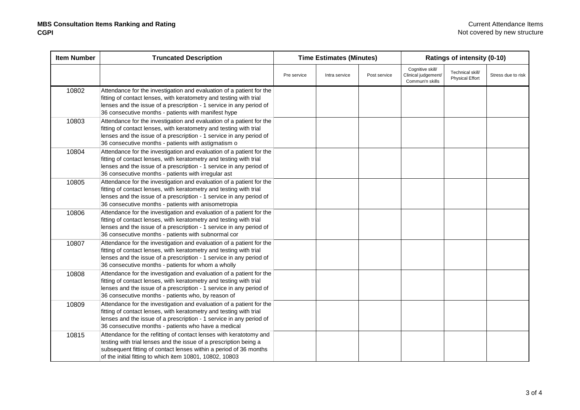| <b>Item Number</b> | <b>Truncated Description</b>                                                                                                                                                                                                                                             | <b>Time Estimates (Minutes)</b> |               |              |                                                            | Ratings of intensity (0-10)                |                    |
|--------------------|--------------------------------------------------------------------------------------------------------------------------------------------------------------------------------------------------------------------------------------------------------------------------|---------------------------------|---------------|--------------|------------------------------------------------------------|--------------------------------------------|--------------------|
|                    |                                                                                                                                                                                                                                                                          | Pre service                     | Intra service | Post service | Cognitive skill/<br>Clinical judgement/<br>Commun'n skills | Technical skill/<br><b>Physical Effort</b> | Stress due to risk |
| 10802              | Attendance for the investigation and evaluation of a patient for the<br>fitting of contact lenses, with keratometry and testing with trial<br>lenses and the issue of a prescription - 1 service in any period of<br>36 consecutive months - patients with manifest hype |                                 |               |              |                                                            |                                            |                    |
| 10803              | Attendance for the investigation and evaluation of a patient for the<br>fitting of contact lenses, with keratometry and testing with trial<br>lenses and the issue of a prescription - 1 service in any period of<br>36 consecutive months - patients with astigmatism o |                                 |               |              |                                                            |                                            |                    |
| 10804              | Attendance for the investigation and evaluation of a patient for the<br>fitting of contact lenses, with keratometry and testing with trial<br>lenses and the issue of a prescription - 1 service in any period of<br>36 consecutive months - patients with irregular ast |                                 |               |              |                                                            |                                            |                    |
| 10805              | Attendance for the investigation and evaluation of a patient for the<br>fitting of contact lenses, with keratometry and testing with trial<br>lenses and the issue of a prescription - 1 service in any period of<br>36 consecutive months - patients with anisometropia |                                 |               |              |                                                            |                                            |                    |
| 10806              | Attendance for the investigation and evaluation of a patient for the<br>fitting of contact lenses, with keratometry and testing with trial<br>lenses and the issue of a prescription - 1 service in any period of<br>36 consecutive months - patients with subnormal cor |                                 |               |              |                                                            |                                            |                    |
| 10807              | Attendance for the investigation and evaluation of a patient for the<br>fitting of contact lenses, with keratometry and testing with trial<br>lenses and the issue of a prescription - 1 service in any period of<br>36 consecutive months - patients for whom a wholly  |                                 |               |              |                                                            |                                            |                    |
| 10808              | Attendance for the investigation and evaluation of a patient for the<br>fitting of contact lenses, with keratometry and testing with trial<br>lenses and the issue of a prescription - 1 service in any period of<br>36 consecutive months - patients who, by reason of  |                                 |               |              |                                                            |                                            |                    |
| 10809              | Attendance for the investigation and evaluation of a patient for the<br>fitting of contact lenses, with keratometry and testing with trial<br>lenses and the issue of a prescription - 1 service in any period of<br>36 consecutive months - patients who have a medical |                                 |               |              |                                                            |                                            |                    |
| 10815              | Attendance for the refitting of contact lenses with keratotomy and<br>testing with trial lenses and the issue of a prescription being a<br>subsequent fitting of contact lenses within a period of 36 months<br>of the initial fitting to which item 10801, 10802, 10803 |                                 |               |              |                                                            |                                            |                    |